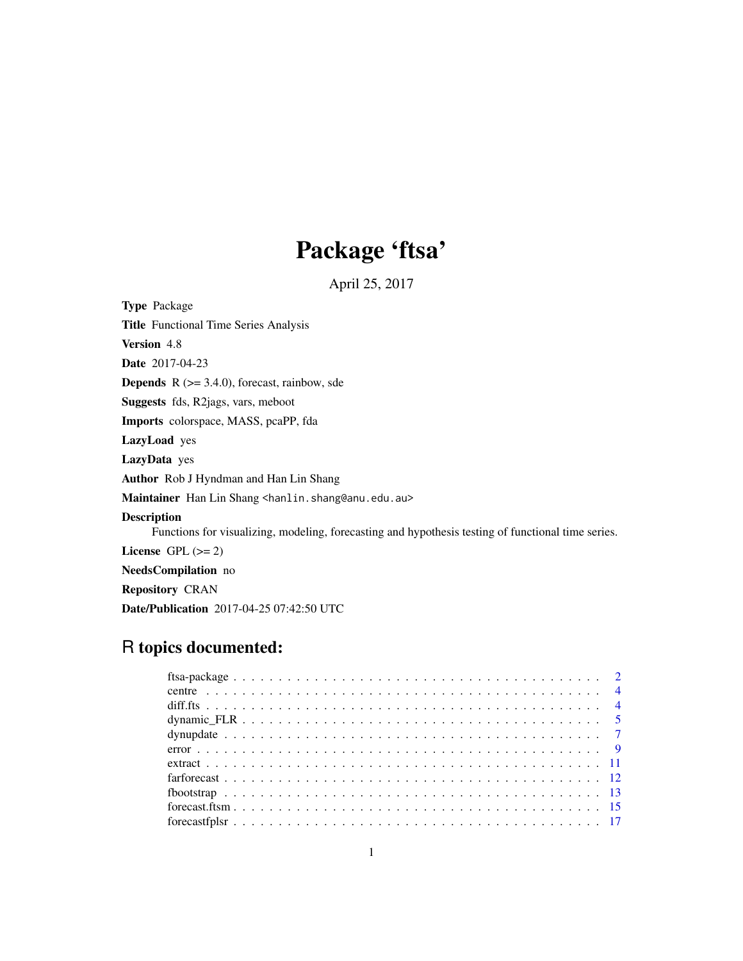# Package 'ftsa'

April 25, 2017

<span id="page-0-0"></span>Type Package Title Functional Time Series Analysis Version 4.8 Date 2017-04-23 **Depends**  $R$  ( $>= 3.4.0$ ), forecast, rainbow, sde Suggests fds, R2jags, vars, meboot Imports colorspace, MASS, pcaPP, fda LazyLoad yes LazyData yes Author Rob J Hyndman and Han Lin Shang Maintainer Han Lin Shang <hanlin.shang@anu.edu.au> Description Functions for visualizing, modeling, forecasting and hypothesis testing of functional time series. License GPL  $(>= 2)$ NeedsCompilation no Repository CRAN Date/Publication 2017-04-25 07:42:50 UTC

## R topics documented: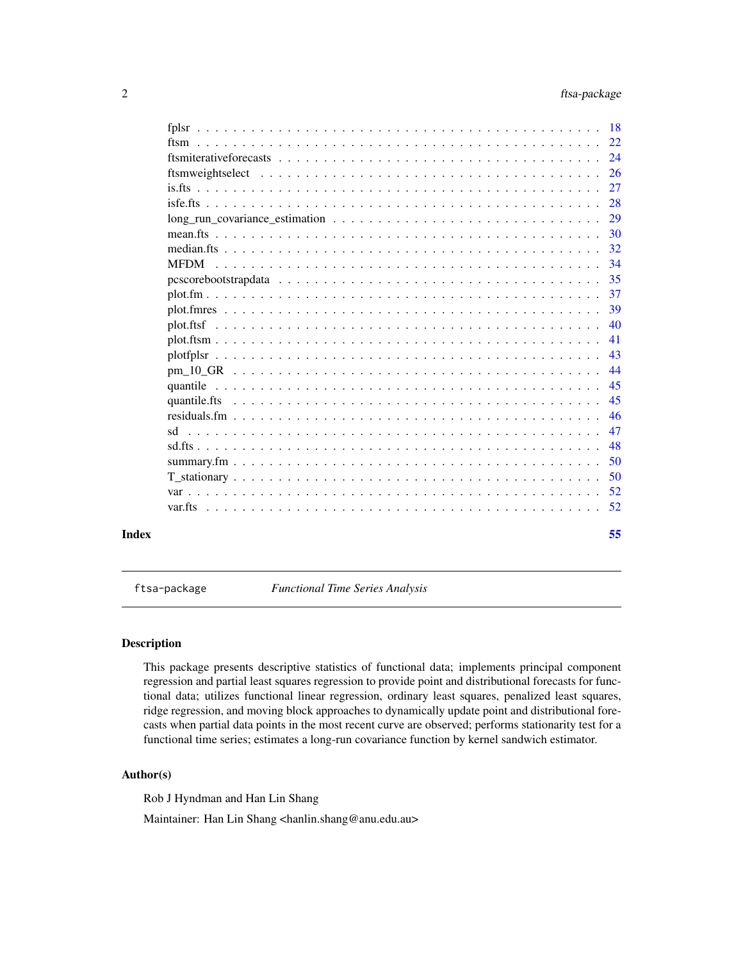<span id="page-1-0"></span>

|  | 55  |
|--|-----|
|  |     |
|  |     |
|  | -50 |
|  | 50  |
|  | 48  |
|  | 47  |
|  | -46 |
|  | 45  |
|  | 45  |
|  | 44  |
|  | 43  |
|  | 41  |
|  | 40  |
|  | -39 |
|  | 37  |
|  |     |
|  |     |
|  |     |
|  |     |
|  |     |
|  |     |
|  |     |
|  |     |
|  |     |
|  |     |

ftsa-package *Functional Time Series Analysis*

### Description

This package presents descriptive statistics of functional data; implements principal component regression and partial least squares regression to provide point and distributional forecasts for functional data; utilizes functional linear regression, ordinary least squares, penalized least squares, ridge regression, and moving block approaches to dynamically update point and distributional forecasts when partial data points in the most recent curve are observed; performs stationarity test for a functional time series; estimates a long-run covariance function by kernel sandwich estimator.

### Author(s)

Rob J Hyndman and Han Lin Shang

Maintainer: Han Lin Shang <hanlin.shang@anu.edu.au>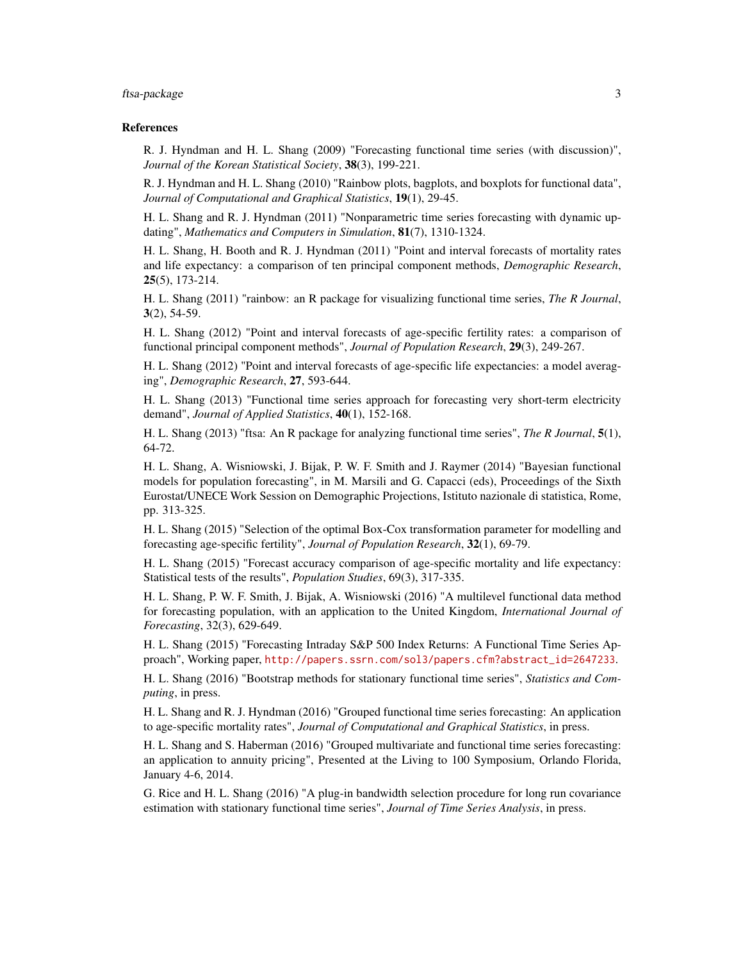### ftsa-package 3

#### References

R. J. Hyndman and H. L. Shang (2009) "Forecasting functional time series (with discussion)", *Journal of the Korean Statistical Society*, 38(3), 199-221.

R. J. Hyndman and H. L. Shang (2010) "Rainbow plots, bagplots, and boxplots for functional data", *Journal of Computational and Graphical Statistics*, 19(1), 29-45.

H. L. Shang and R. J. Hyndman (2011) "Nonparametric time series forecasting with dynamic updating", *Mathematics and Computers in Simulation*, 81(7), 1310-1324.

H. L. Shang, H. Booth and R. J. Hyndman (2011) "Point and interval forecasts of mortality rates and life expectancy: a comparison of ten principal component methods, *Demographic Research*, 25(5), 173-214.

H. L. Shang (2011) "rainbow: an R package for visualizing functional time series, *The R Journal*,  $3(2)$ , 54-59.

H. L. Shang (2012) "Point and interval forecasts of age-specific fertility rates: a comparison of functional principal component methods", *Journal of Population Research*, 29(3), 249-267.

H. L. Shang (2012) "Point and interval forecasts of age-specific life expectancies: a model averaging", *Demographic Research*, 27, 593-644.

H. L. Shang (2013) "Functional time series approach for forecasting very short-term electricity demand", *Journal of Applied Statistics*, 40(1), 152-168.

H. L. Shang (2013) "ftsa: An R package for analyzing functional time series", *The R Journal*, 5(1), 64-72.

H. L. Shang, A. Wisniowski, J. Bijak, P. W. F. Smith and J. Raymer (2014) "Bayesian functional models for population forecasting", in M. Marsili and G. Capacci (eds), Proceedings of the Sixth Eurostat/UNECE Work Session on Demographic Projections, Istituto nazionale di statistica, Rome, pp. 313-325.

H. L. Shang (2015) "Selection of the optimal Box-Cox transformation parameter for modelling and forecasting age-specific fertility", *Journal of Population Research*, 32(1), 69-79.

H. L. Shang (2015) "Forecast accuracy comparison of age-specific mortality and life expectancy: Statistical tests of the results", *Population Studies*, 69(3), 317-335.

H. L. Shang, P. W. F. Smith, J. Bijak, A. Wisniowski (2016) "A multilevel functional data method for forecasting population, with an application to the United Kingdom, *International Journal of Forecasting*, 32(3), 629-649.

H. L. Shang (2015) "Forecasting Intraday S&P 500 Index Returns: A Functional Time Series Approach", Working paper, [http://papers.ssrn.com/sol3/papers.cfm?abstract\\_id=2647233](http://papers.ssrn.com/sol3/papers.cfm?abstract_id=2647233).

H. L. Shang (2016) "Bootstrap methods for stationary functional time series", *Statistics and Computing*, in press.

H. L. Shang and R. J. Hyndman (2016) "Grouped functional time series forecasting: An application to age-specific mortality rates", *Journal of Computational and Graphical Statistics*, in press.

H. L. Shang and S. Haberman (2016) "Grouped multivariate and functional time series forecasting: an application to annuity pricing", Presented at the Living to 100 Symposium, Orlando Florida, January 4-6, 2014.

G. Rice and H. L. Shang (2016) "A plug-in bandwidth selection procedure for long run covariance estimation with stationary functional time series", *Journal of Time Series Analysis*, in press.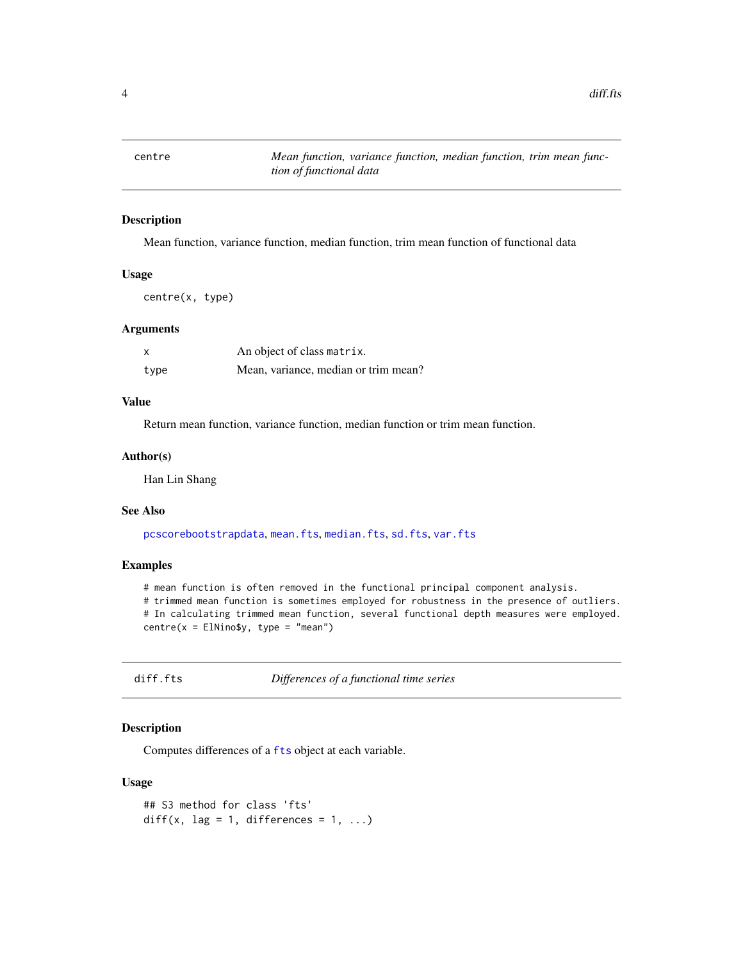<span id="page-3-0"></span>

Mean function, variance function, median function, trim mean function of functional data

#### Usage

centre(x, type)

#### Arguments

| X    | An object of class matrix.           |
|------|--------------------------------------|
| type | Mean, variance, median or trim mean? |

### Value

Return mean function, variance function, median function or trim mean function.

#### Author(s)

Han Lin Shang

#### See Also

[pcscorebootstrapdata](#page-34-1), [mean.fts](#page-29-1), [median.fts](#page-31-1), [sd.fts](#page-47-1), [var.fts](#page-51-1)

#### Examples

# mean function is often removed in the functional principal component analysis. # trimmed mean function is sometimes employed for robustness in the presence of outliers. # In calculating trimmed mean function, several functional depth measures were employed.  $centre(x = EllNino$y, type = "mean")$ 

diff.fts *Differences of a functional time series*

### Description

Computes differences of a [fts](#page-0-0) object at each variable.

#### Usage

```
## S3 method for class 'fts'
diff(x, lag = 1, differences = 1, ...)
```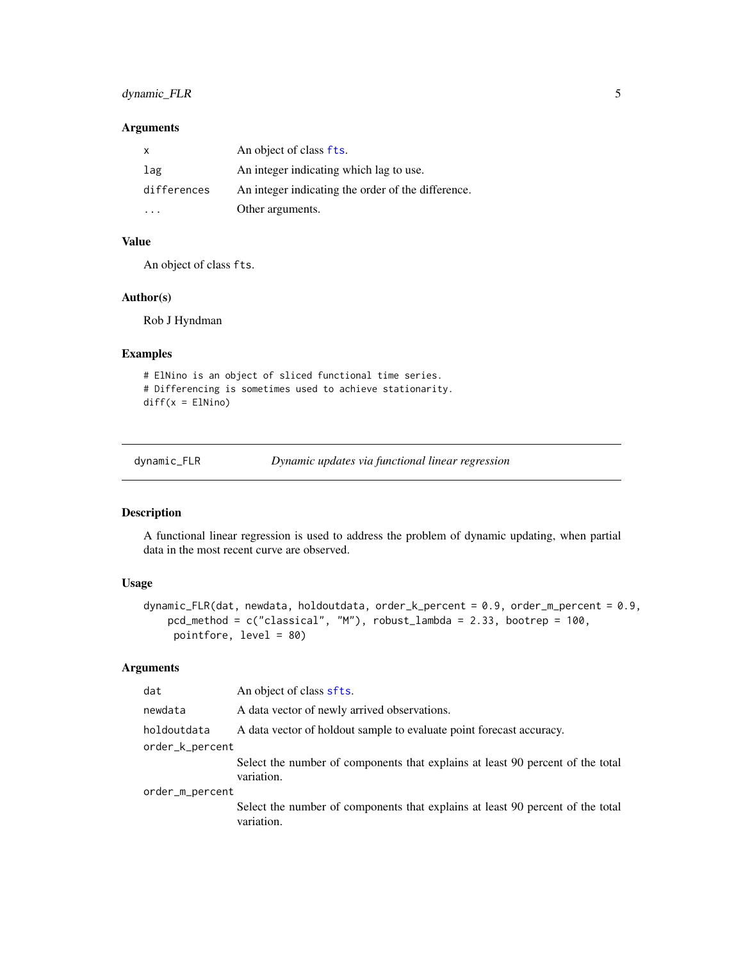## <span id="page-4-0"></span>dynamic\_FLR 5

### Arguments

| x           | An object of class fts.                            |
|-------------|----------------------------------------------------|
| lag         | An integer indicating which lag to use.            |
| differences | An integer indicating the order of the difference. |
|             | Other arguments.                                   |

### Value

An object of class fts.

#### Author(s)

Rob J Hyndman

### Examples

```
# ElNino is an object of sliced functional time series.
# Differencing is sometimes used to achieve stationarity.
diff(x = E1Nino)
```
dynamic\_FLR *Dynamic updates via functional linear regression*

### Description

A functional linear regression is used to address the problem of dynamic updating, when partial data in the most recent curve are observed.

#### Usage

```
dynamic_FLR(dat, newdata, holdoutdata, order_k_percent = 0.9, order_m_percent = 0.9,
   pcd_method = c("classical", "M"), robust_lambda = 2.33, bootrep = 100,
    pointfore, level = 80)
```
### Arguments

| dat             | An object of class sfts.                                                                     |
|-----------------|----------------------------------------------------------------------------------------------|
| newdata         | A data vector of newly arrived observations.                                                 |
| holdoutdata     | A data vector of holdout sample to evaluate point forecast accuracy.                         |
| order_k_percent |                                                                                              |
|                 | Select the number of components that explains at least 90 percent of the total<br>variation. |
| order_m_percent |                                                                                              |
|                 | Select the number of components that explains at least 90 percent of the total<br>variation. |
|                 |                                                                                              |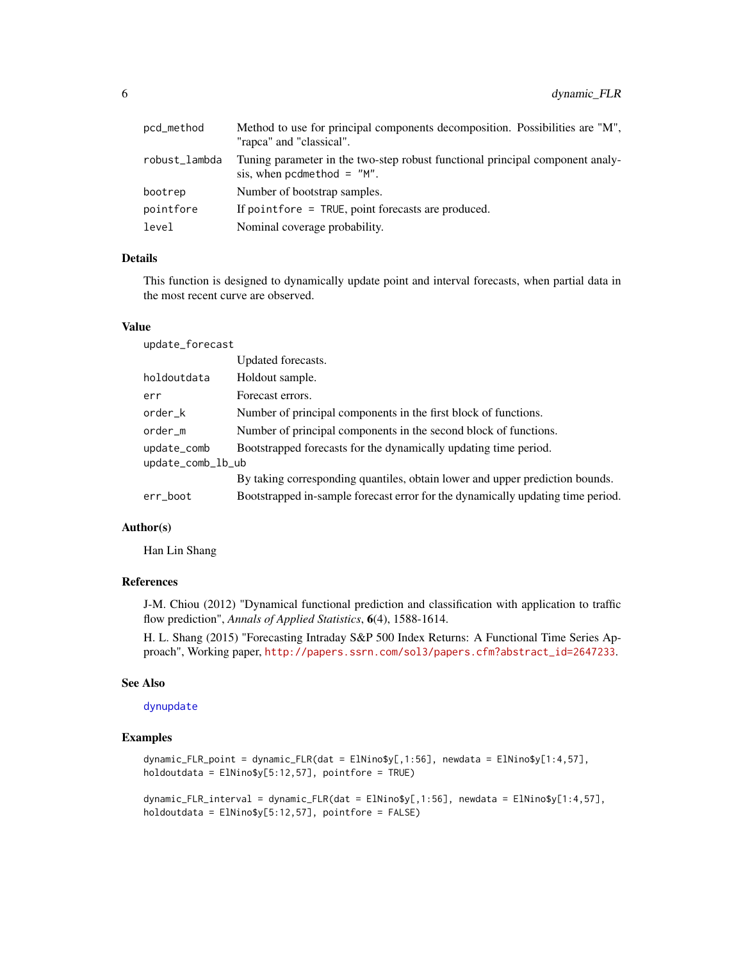<span id="page-5-0"></span>

| pcd_method    | Method to use for principal components decomposition. Possibilities are "M",<br>"rapca" and "classical".      |
|---------------|---------------------------------------------------------------------------------------------------------------|
| robust_lambda | Tuning parameter in the two-step robust functional principal component analy-<br>sis, when pcdmethod $=$ "M". |
| bootrep       | Number of bootstrap samples.                                                                                  |
| pointfore     | If point fore $=$ TRUE, point forecasts are produced.                                                         |
| level         | Nominal coverage probability.                                                                                 |
|               |                                                                                                               |

#### Details

This function is designed to dynamically update point and interval forecasts, when partial data in the most recent curve are observed.

### Value

update\_forecast

|                   | Updated forecasts.                                                              |
|-------------------|---------------------------------------------------------------------------------|
| holdoutdata       | Holdout sample.                                                                 |
| err               | Forecast errors.                                                                |
| order_k           | Number of principal components in the first block of functions.                 |
| order_m           | Number of principal components in the second block of functions.                |
| update_comb       | Bootstrapped forecasts for the dynamically updating time period.                |
| update_comb_lb_ub |                                                                                 |
|                   | By taking corresponding quantiles, obtain lower and upper prediction bounds.    |
| err_boot          | Bootstrapped in-sample forecast error for the dynamically updating time period. |
|                   |                                                                                 |

### Author(s)

Han Lin Shang

#### References

J-M. Chiou (2012) "Dynamical functional prediction and classification with application to traffic flow prediction", *Annals of Applied Statistics*, 6(4), 1588-1614.

H. L. Shang (2015) "Forecasting Intraday S&P 500 Index Returns: A Functional Time Series Approach", Working paper, [http://papers.ssrn.com/sol3/papers.cfm?abstract\\_id=2647233](http://papers.ssrn.com/sol3/papers.cfm?abstract_id=2647233).

#### See Also

#### [dynupdate](#page-6-1)

#### Examples

dynamic\_FLR\_point = dynamic\_FLR(dat = ElNino\$y[,1:56], newdata = ElNino\$y[1:4,57], holdoutdata = ElNino\$y[5:12,57], pointfore = TRUE)

dynamic\_FLR\_interval = dynamic\_FLR(dat = ElNino\$y[,1:56], newdata = ElNino\$y[1:4,57], holdoutdata = ElNino\$y[5:12,57], pointfore = FALSE)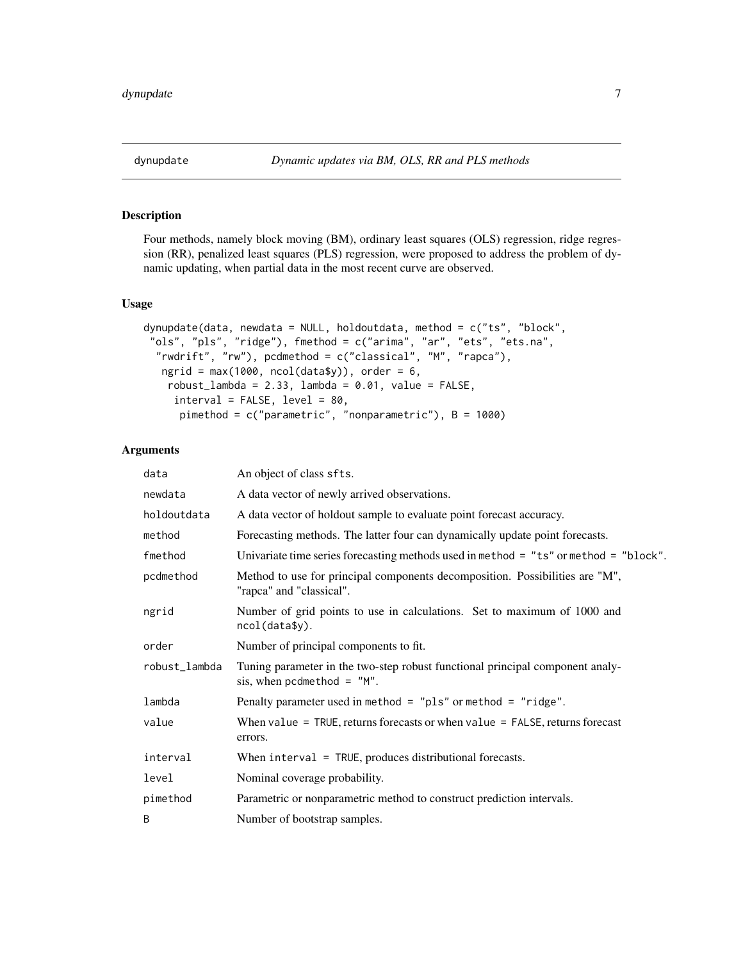<span id="page-6-1"></span><span id="page-6-0"></span>

Four methods, namely block moving (BM), ordinary least squares (OLS) regression, ridge regression (RR), penalized least squares (PLS) regression, were proposed to address the problem of dynamic updating, when partial data in the most recent curve are observed.

#### Usage

```
dynupdate(data, newdata = NULL, holdoutdata, method = c("ts", "block",
 "ols", "pls", "ridge"), fmethod = c("arima", "ar", "ets", "ets.na",
  "rwdrift", "rw"), pcdmethod = c("classical", "M", "rapca"),
  ngrid = max(1000, ncol(data$y)), order = 6,
   robust_lambda = 2.33, lambda = 0.01, value = FALSE,
    interval = FALSE, level = 80,
     pimethod = c("parametric", "nonparametric"), B = 1000)
```
#### Arguments

| data          | An object of class sfts.                                                                                       |  |
|---------------|----------------------------------------------------------------------------------------------------------------|--|
| newdata       | A data vector of newly arrived observations.                                                                   |  |
| holdoutdata   | A data vector of holdout sample to evaluate point forecast accuracy.                                           |  |
| method        | Forecasting methods. The latter four can dynamically update point forecasts.                                   |  |
| fmethod       | Univariate time series forecasting methods used in method = $"ts"$ or method = $"block".$                      |  |
| pcdmethod     | Method to use for principal components decomposition. Possibilities are "M",<br>"rapca" and "classical".       |  |
| ngrid         | Number of grid points to use in calculations. Set to maximum of 1000 and<br>ncol(data\$y).                     |  |
| order         | Number of principal components to fit.                                                                         |  |
| robust_lambda | Tuning parameter in the two-step robust functional principal component analy-<br>sis, when pcdmethod = $M''$ . |  |
| lambda        | Penalty parameter used in method = $"$ pls" or method = $"$ ridge".                                            |  |
| value         | When value = $TRUE$ , returns forecasts or when value = $FALSE$ , returns forecast<br>errors.                  |  |
| interval      | When $interval = TRUE$ , produces distributional forecasts.                                                    |  |
| level         | Nominal coverage probability.                                                                                  |  |
| pimethod      | Parametric or nonparametric method to construct prediction intervals.                                          |  |
| B             | Number of bootstrap samples.                                                                                   |  |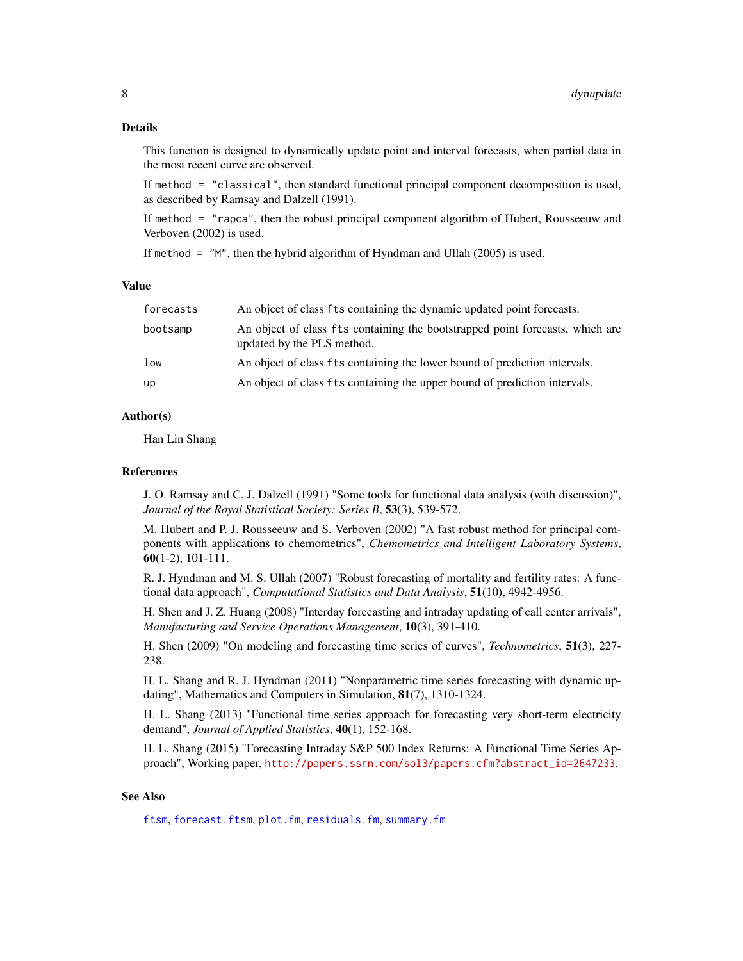#### <span id="page-7-0"></span>Details

This function is designed to dynamically update point and interval forecasts, when partial data in the most recent curve are observed.

If method = "classical", then standard functional principal component decomposition is used, as described by Ramsay and Dalzell (1991).

If method = "rapca", then the robust principal component algorithm of Hubert, Rousseeuw and Verboven (2002) is used.

If method  $=$  "M", then the hybrid algorithm of Hyndman and Ullah (2005) is used.

### Value

| forecasts       | An object of class fts containing the dynamic updated point forecasts.                                      |
|-----------------|-------------------------------------------------------------------------------------------------------------|
| bootsamp        | An object of class fts containing the bootstrapped point forecasts, which are<br>updated by the PLS method. |
| 1 <sub>ow</sub> | An object of class fts containing the lower bound of prediction intervals.                                  |
| up              | An object of class fts containing the upper bound of prediction intervals.                                  |

#### Author(s)

Han Lin Shang

#### References

J. O. Ramsay and C. J. Dalzell (1991) "Some tools for functional data analysis (with discussion)", *Journal of the Royal Statistical Society: Series B*, 53(3), 539-572.

M. Hubert and P. J. Rousseeuw and S. Verboven (2002) "A fast robust method for principal components with applications to chemometrics", *Chemometrics and Intelligent Laboratory Systems*, 60(1-2), 101-111.

R. J. Hyndman and M. S. Ullah (2007) "Robust forecasting of mortality and fertility rates: A functional data approach", *Computational Statistics and Data Analysis*, 51(10), 4942-4956.

H. Shen and J. Z. Huang (2008) "Interday forecasting and intraday updating of call center arrivals", *Manufacturing and Service Operations Management*, 10(3), 391-410.

H. Shen (2009) "On modeling and forecasting time series of curves", *Technometrics*, 51(3), 227- 238.

H. L. Shang and R. J. Hyndman (2011) "Nonparametric time series forecasting with dynamic updating", Mathematics and Computers in Simulation, 81(7), 1310-1324.

H. L. Shang (2013) "Functional time series approach for forecasting very short-term electricity demand", *Journal of Applied Statistics*, 40(1), 152-168.

H. L. Shang (2015) "Forecasting Intraday S&P 500 Index Returns: A Functional Time Series Approach", Working paper, [http://papers.ssrn.com/sol3/papers.cfm?abstract\\_id=2647233](http://papers.ssrn.com/sol3/papers.cfm?abstract_id=2647233).

#### See Also

[ftsm](#page-21-1), [forecast.ftsm](#page-14-1), [plot.fm](#page-36-1), [residuals.fm](#page-45-1), [summary.fm](#page-49-1)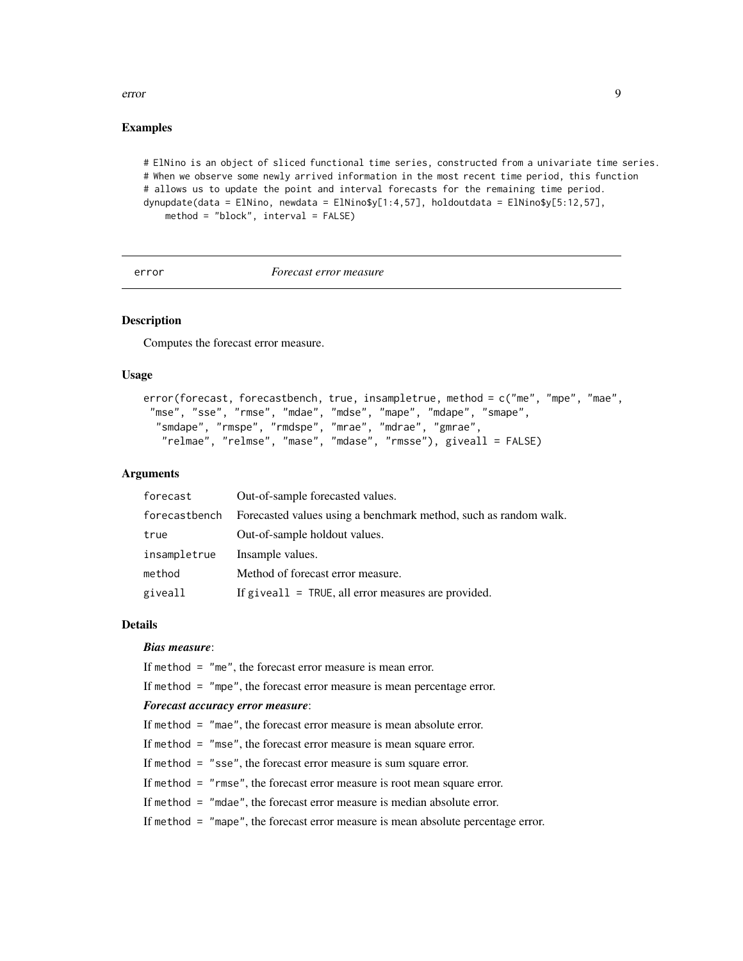#### <span id="page-8-0"></span>error 9

### Examples

```
# ElNino is an object of sliced functional time series, constructed from a univariate time series.
# When we observe some newly arrived information in the most recent time period, this function
# allows us to update the point and interval forecasts for the remaining time period.
dynupdate(data = ElNino, newdata = ElNino$y[1:4,57], holdoutdata = ElNino$y[5:12,57],
   method = "block", interval = FALSE)
```
error *Forecast error measure*

### Description

Computes the forecast error measure.

#### Usage

```
error(forecast, forecastbench, true, insampletrue, method = c("me", "mpe", "mae",
 "mse", "sse", "rmse", "mdae", "mdse", "mape", "mdape", "smape",
  "smdape", "rmspe", "rmdspe", "mrae", "mdrae", "gmrae",
   "relmae", "relmse", "mase", "mdase", "rmsse"), giveall = FALSE)
```
### Arguments

| forecast      | Out-of-sample forecasted values.                                 |
|---------------|------------------------------------------------------------------|
| forecastbench | Forecasted values using a benchmark method, such as random walk. |
| true          | Out-of-sample holdout values.                                    |
| insampletrue  | Insample values.                                                 |
| method        | Method of forecast error measure.                                |
| giveall       | If give all $=$ TRUE, all error measures are provided.           |

#### Details

### *Bias measure*:

If method = "me", the forecast error measure is mean error.

If method = "mpe", the forecast error measure is mean percentage error.

#### *Forecast accuracy error measure*:

```
If method = "mae", the forecast error measure is mean absolute error.
```
If method = "mse", the forecast error measure is mean square error.

If method = "sse", the forecast error measure is sum square error.

If method = "rmse", the forecast error measure is root mean square error.

If method = "mdae", the forecast error measure is median absolute error.

If method = "mape", the forecast error measure is mean absolute percentage error.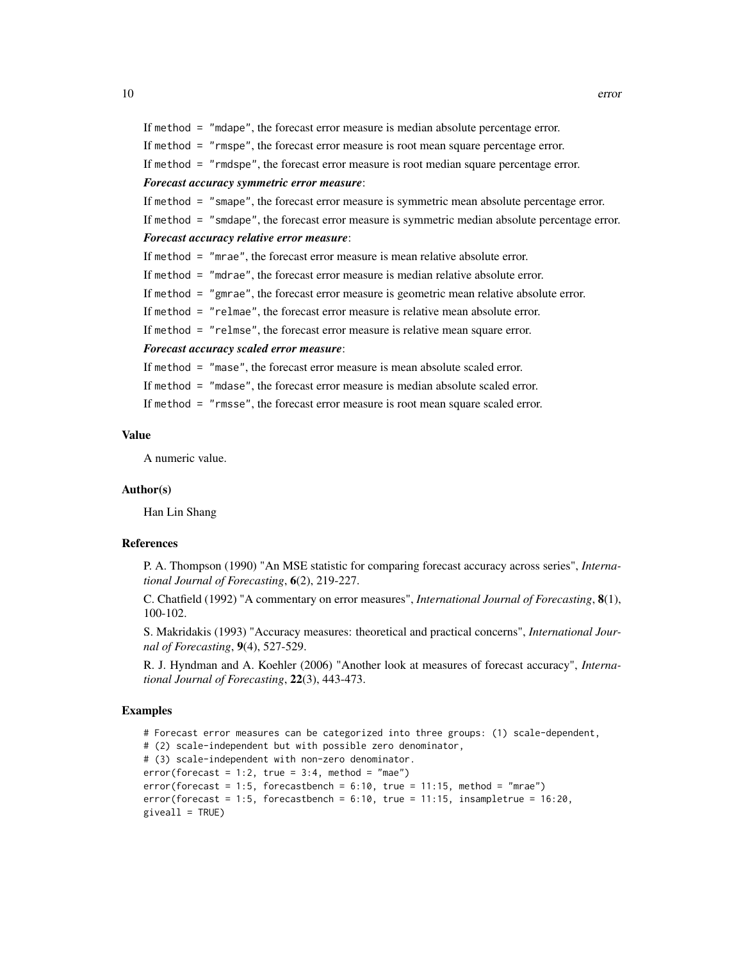```
If method = "mdape", the forecast error measure is median absolute percentage error.
If method = "rmspe", the forecast error measure is root mean square percentage error.
If method = "rmdspe", the forecast error measure is root median square percentage error.
Forecast accuracy symmetric error measure:
If method = "smape", the forecast error measure is symmetric mean absolute percentage error.
If method = "smdape", the forecast error measure is symmetric median absolute percentage error.
Forecast accuracy relative error measure:
If method = "mrae", the forecast error measure is mean relative absolute error.
If method = "mdrae", the forecast error measure is median relative absolute error.
If method = "gmrae", the forecast error measure is geometric mean relative absolute error.
If method = "relmae", the forecast error measure is relative mean absolute error.
If method = "relmse", the forecast error measure is relative mean square error.
Forecast accuracy scaled error measure:
If method = "mase", the forecast error measure is mean absolute scaled error.
If method = "mdase", the forecast error measure is median absolute scaled error.
```
If method = "rmsse", the forecast error measure is root mean square scaled error.

#### Value

A numeric value.

#### Author(s)

Han Lin Shang

#### References

P. A. Thompson (1990) "An MSE statistic for comparing forecast accuracy across series", *International Journal of Forecasting*, 6(2), 219-227.

C. Chatfield (1992) "A commentary on error measures", *International Journal of Forecasting*, 8(1), 100-102.

S. Makridakis (1993) "Accuracy measures: theoretical and practical concerns", *International Journal of Forecasting*, 9(4), 527-529.

R. J. Hyndman and A. Koehler (2006) "Another look at measures of forecast accuracy", *International Journal of Forecasting*, 22(3), 443-473.

#### Examples

```
# Forecast error measures can be categorized into three groups: (1) scale-dependent,
# (2) scale-independent but with possible zero denominator,
# (3) scale-independent with non-zero denominator.
error(forecast = 1:2, true = 3:4, method = "mae")error(forecast = 1:5, forecastbench = 6:10, true = 11:15, method = "mrae")error(forecast = 1:5, forecastbench = 6:10, true = 11:15, insampletrue = 16:20,given11 = TRUE)
```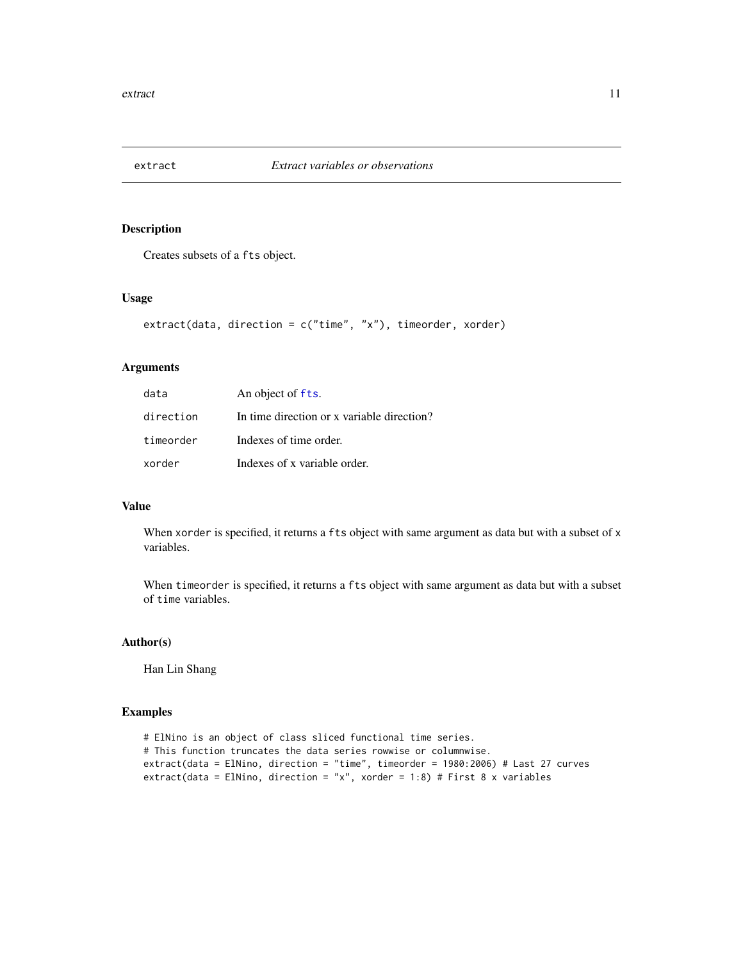<span id="page-10-0"></span>

Creates subsets of a fts object.

#### Usage

```
extract(data, direction = c("time", "x"), timeorder, xorder)
```
### Arguments

| data      | An object of fts.                          |
|-----------|--------------------------------------------|
| direction | In time direction or x variable direction? |
| timeorder | Indexes of time order.                     |
| xorder    | Indexes of x variable order.               |

### Value

When xorder is specified, it returns a fts object with same argument as data but with a subset of x variables.

When timeorder is specified, it returns a fts object with same argument as data but with a subset of time variables.

#### Author(s)

Han Lin Shang

#### Examples

```
# ElNino is an object of class sliced functional time series.
# This function truncates the data series rowwise or columnwise.
extract(data = ElNino, direction = "time", timeorder = 1980:2006) # Last 27 curves
extract(data = ElNino, direction = "x", xorder = 1:8) # First 8 x variables
```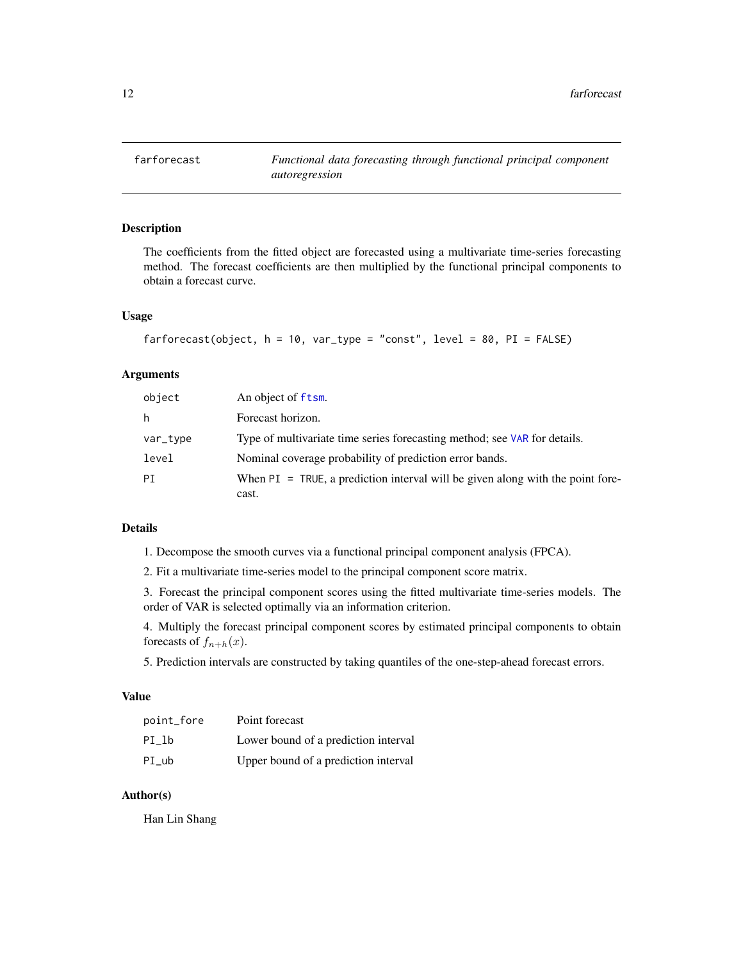<span id="page-11-1"></span><span id="page-11-0"></span>

The coefficients from the fitted object are forecasted using a multivariate time-series forecasting method. The forecast coefficients are then multiplied by the functional principal components to obtain a forecast curve.

### Usage

```
farforecast(object, h = 10, var_type = "const", level = 80, PI = FALSE)
```
### Arguments

| object   | An object of ftsm.                                                                         |
|----------|--------------------------------------------------------------------------------------------|
| h        | Forecast horizon.                                                                          |
| var_type | Type of multivariate time series forecasting method; see VAR for details.                  |
| level    | Nominal coverage probability of prediction error bands.                                    |
| PT       | When $PI = TRUE$ , a prediction interval will be given along with the point fore-<br>cast. |

#### Details

1. Decompose the smooth curves via a functional principal component analysis (FPCA).

2. Fit a multivariate time-series model to the principal component score matrix.

3. Forecast the principal component scores using the fitted multivariate time-series models. The order of VAR is selected optimally via an information criterion.

4. Multiply the forecast principal component scores by estimated principal components to obtain forecasts of  $f_{n+h}(x)$ .

5. Prediction intervals are constructed by taking quantiles of the one-step-ahead forecast errors.

#### Value

| point_fore | Point forecast                       |
|------------|--------------------------------------|
| PI lb      | Lower bound of a prediction interval |
| PI ub      | Upper bound of a prediction interval |

### Author(s)

Han Lin Shang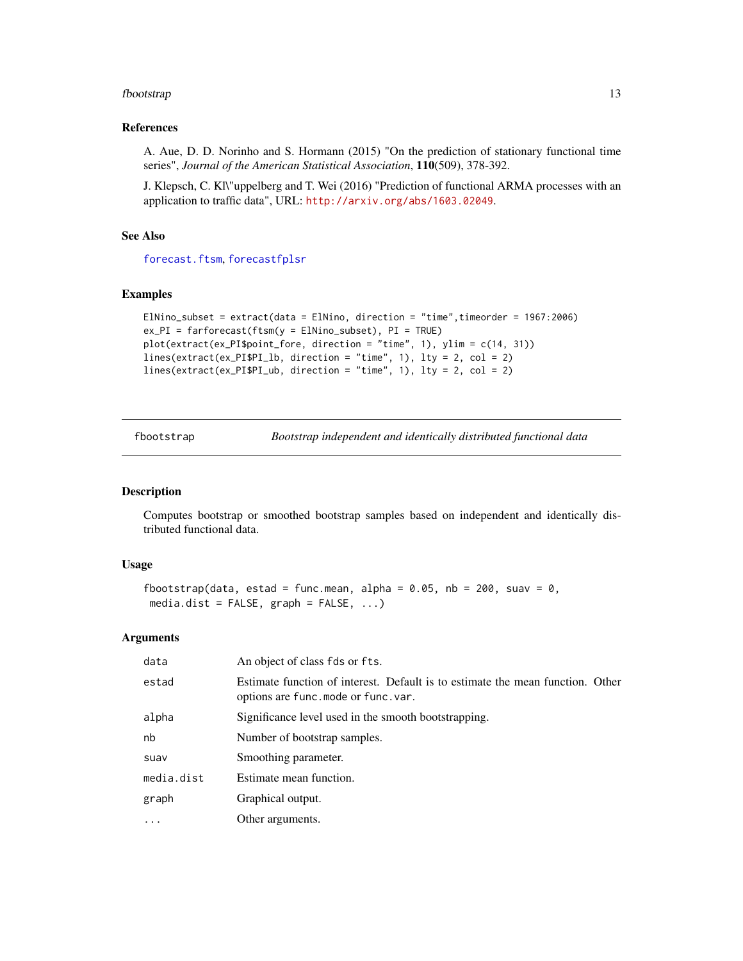#### <span id="page-12-0"></span>fbootstrap and the set of the set of the set of the set of the set of the set of the set of the set of the set of the set of the set of the set of the set of the set of the set of the set of the set of the set of the set o

#### References

A. Aue, D. D. Norinho and S. Hormann (2015) "On the prediction of stationary functional time series", *Journal of the American Statistical Association*, 110(509), 378-392.

J. Klepsch, C. Kl\"uppelberg and T. Wei (2016) "Prediction of functional ARMA processes with an application to traffic data", URL: <http://arxiv.org/abs/1603.02049>.

### See Also

[forecast.ftsm](#page-14-1), [forecastfplsr](#page-16-1)

### Examples

```
ElNino_subset = extract(data = ElNino, direction = "time",timeorder = 1967:2006)
ex_PI = farforecast(ftsm(y = ElNino_subset), PI = TRUE)
plot(extract(ex_PI$point_fore, direction = "time", 1), ylim = c(14, 31))
lines(extract(ex_PI$PI_lb, direction = "time", 1), lty = 2, col = 2)
lines(extract(ex_PI$PI_ub, direction = "time", 1), lty = 2, col = 2)
```
<span id="page-12-1"></span>fbootstrap *Bootstrap independent and identically distributed functional data*

#### Description

Computes bootstrap or smoothed bootstrap samples based on independent and identically distributed functional data.

#### Usage

```
fbootstrap(data, estad = func.mean, alpha = 0.05, nb = 200, suav = 0,
media.dist = FALSE, graph = FALSE, ...
```
#### Arguments

| data       | An object of class fds or fts.                                                                                         |
|------------|------------------------------------------------------------------------------------------------------------------------|
| estad      | Estimate function of interest. Default is to estimate the mean function. Other<br>options are func. mode or func. var. |
| alpha      | Significance level used in the smooth bootstrapping.                                                                   |
| nb         | Number of bootstrap samples.                                                                                           |
| suav       | Smoothing parameter.                                                                                                   |
| media.dist | Estimate mean function.                                                                                                |
| graph      | Graphical output.                                                                                                      |
| $\ddots$   | Other arguments.                                                                                                       |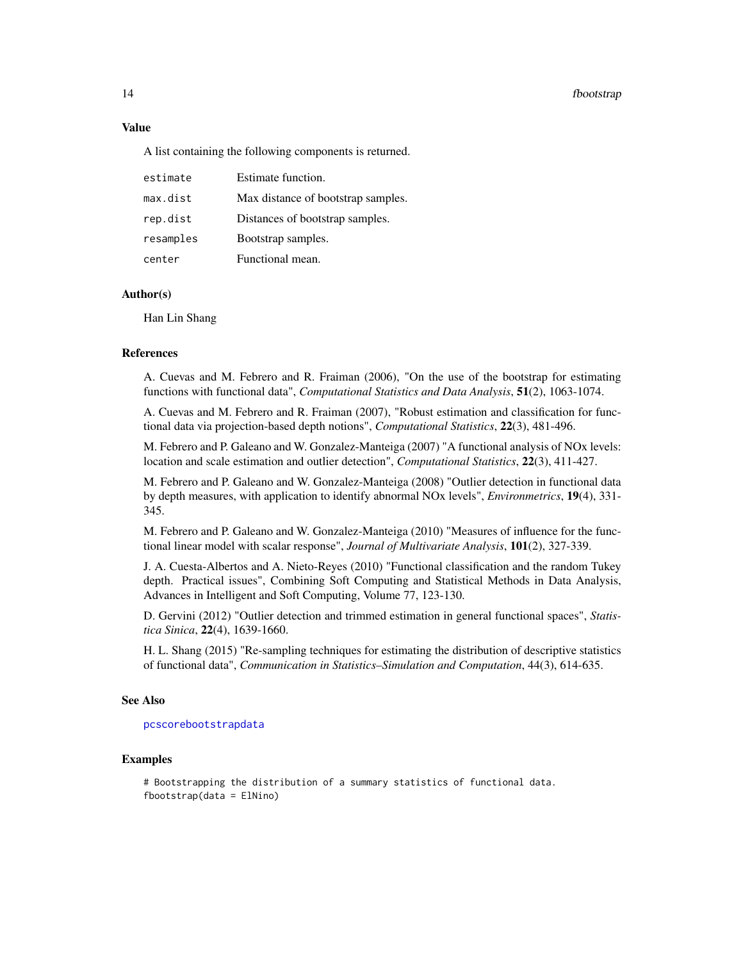#### <span id="page-13-0"></span>14 fbootstrap

#### Value

A list containing the following components is returned.

| estimate  | Estimate function.                 |
|-----------|------------------------------------|
| max.dist  | Max distance of bootstrap samples. |
| rep.dist  | Distances of bootstrap samples.    |
| resamples | Bootstrap samples.                 |
| center    | Functional mean.                   |

### Author(s)

Han Lin Shang

#### References

A. Cuevas and M. Febrero and R. Fraiman (2006), "On the use of the bootstrap for estimating functions with functional data", *Computational Statistics and Data Analysis*, 51(2), 1063-1074.

A. Cuevas and M. Febrero and R. Fraiman (2007), "Robust estimation and classification for functional data via projection-based depth notions", *Computational Statistics*, 22(3), 481-496.

M. Febrero and P. Galeano and W. Gonzalez-Manteiga (2007) "A functional analysis of NOx levels: location and scale estimation and outlier detection", *Computational Statistics*, 22(3), 411-427.

M. Febrero and P. Galeano and W. Gonzalez-Manteiga (2008) "Outlier detection in functional data by depth measures, with application to identify abnormal NOx levels", *Environmetrics*, 19(4), 331- 345.

M. Febrero and P. Galeano and W. Gonzalez-Manteiga (2010) "Measures of influence for the functional linear model with scalar response", *Journal of Multivariate Analysis*, 101(2), 327-339.

J. A. Cuesta-Albertos and A. Nieto-Reyes (2010) "Functional classification and the random Tukey depth. Practical issues", Combining Soft Computing and Statistical Methods in Data Analysis, Advances in Intelligent and Soft Computing, Volume 77, 123-130.

D. Gervini (2012) "Outlier detection and trimmed estimation in general functional spaces", *Statistica Sinica*, 22(4), 1639-1660.

H. L. Shang (2015) "Re-sampling techniques for estimating the distribution of descriptive statistics of functional data", *Communication in Statistics–Simulation and Computation*, 44(3), 614-635.

### See Also

[pcscorebootstrapdata](#page-34-1)

#### Examples

```
# Bootstrapping the distribution of a summary statistics of functional data.
fbootstrap(data = ElNino)
```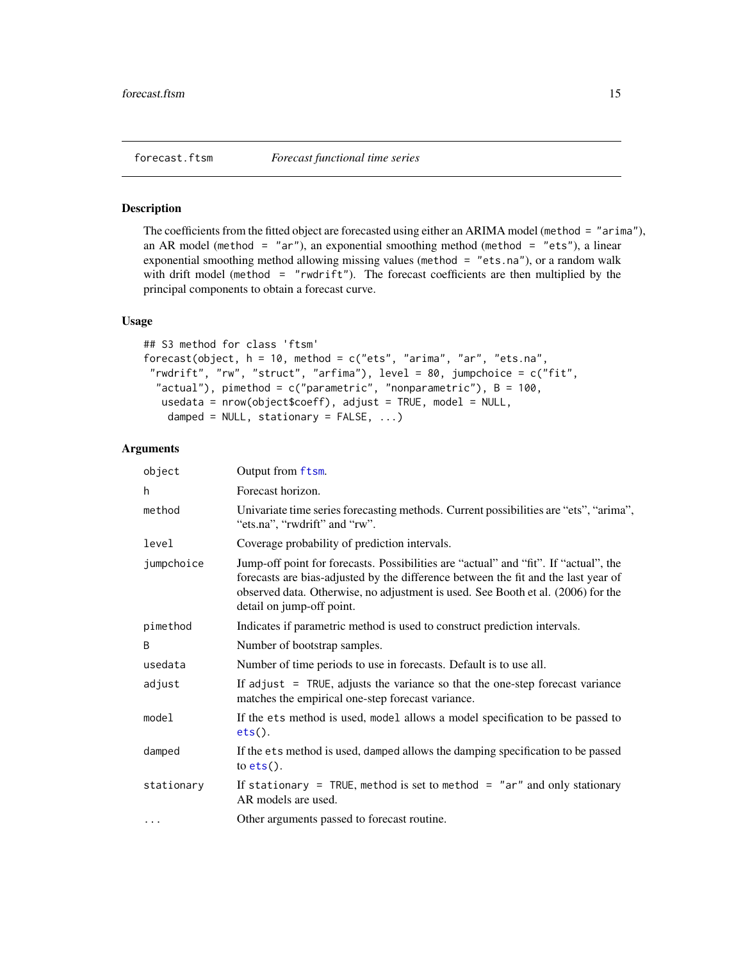<span id="page-14-1"></span><span id="page-14-0"></span>The coefficients from the fitted object are forecasted using either an ARIMA model (method = "arima"), an AR model (method = "ar"), an exponential smoothing method (method = "ets"), a linear exponential smoothing method allowing missing values (method = "ets.na"), or a random walk with drift model (method = "rwdrift"). The forecast coefficients are then multiplied by the principal components to obtain a forecast curve.

### Usage

```
## S3 method for class 'ftsm'
forecast(object, h = 10, method = c("ets", "arima", "ar", "ets.na",
 "rwdrift", "rw", "struct", "arfima"), level = 80, jumpchoice = c("fit",
  "actual"), pimethod = c("parametric", "nonparametric"), B = 100,usedata = nrow(object$coeff), adjust = TRUE, model = NULL,
   damped = NULL, stationary = FALSE, ...)
```
### **Arguments**

| object     | Output from ftsm.                                                                                                                                                                                                                                                                           |
|------------|---------------------------------------------------------------------------------------------------------------------------------------------------------------------------------------------------------------------------------------------------------------------------------------------|
| h          | Forecast horizon.                                                                                                                                                                                                                                                                           |
| method     | Univariate time series forecasting methods. Current possibilities are "ets", "arima",<br>"ets.na", "rwdrift" and "rw".                                                                                                                                                                      |
| level      | Coverage probability of prediction intervals.                                                                                                                                                                                                                                               |
| jumpchoice | Jump-off point for forecasts. Possibilities are "actual" and "fit". If "actual", the<br>forecasts are bias-adjusted by the difference between the fit and the last year of<br>observed data. Otherwise, no adjustment is used. See Booth et al. (2006) for the<br>detail on jump-off point. |
| pimethod   | Indicates if parametric method is used to construct prediction intervals.                                                                                                                                                                                                                   |
| B          | Number of bootstrap samples.                                                                                                                                                                                                                                                                |
| usedata    | Number of time periods to use in forecasts. Default is to use all.                                                                                                                                                                                                                          |
| adjust     | If adjust $=$ TRUE, adjusts the variance so that the one-step forecast variance<br>matches the empirical one-step forecast variance.                                                                                                                                                        |
| model      | If the ets method is used, model allows a model specification to be passed to<br>$ets()$ .                                                                                                                                                                                                  |
| damped     | If the ets method is used, damped allows the damping specification to be passed<br>to $ets()$ .                                                                                                                                                                                             |
| stationary | If stationary = TRUE, method is set to method = "ar" and only stationary<br>AR models are used.                                                                                                                                                                                             |
| $\cdots$   | Other arguments passed to forecast routine.                                                                                                                                                                                                                                                 |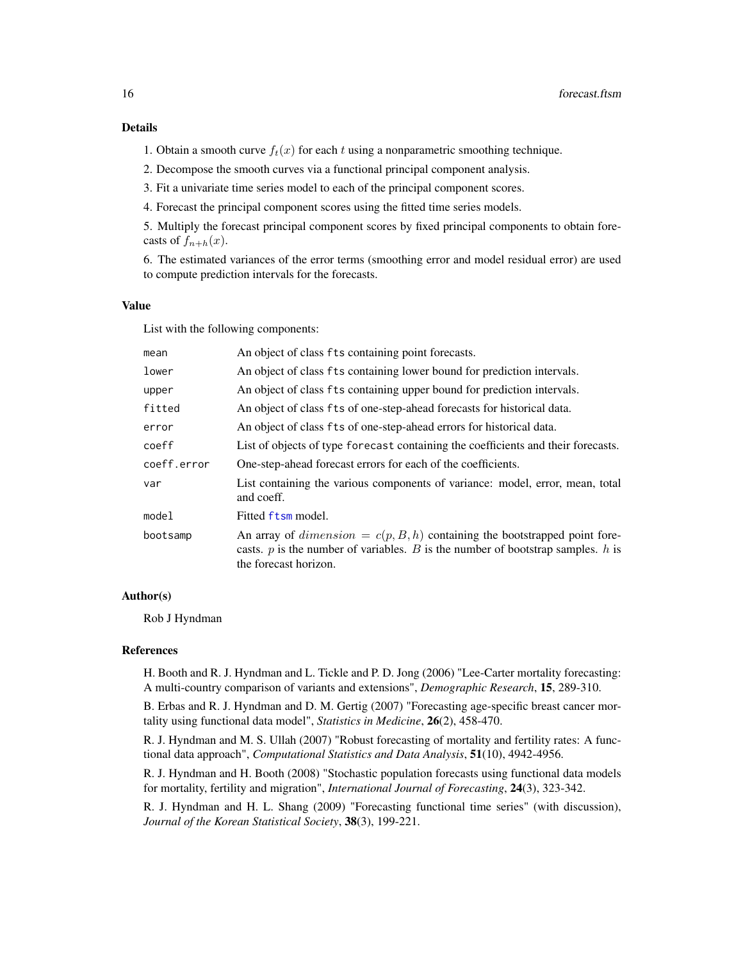#### Details

- 1. Obtain a smooth curve  $f_t(x)$  for each t using a nonparametric smoothing technique.
- 2. Decompose the smooth curves via a functional principal component analysis.
- 3. Fit a univariate time series model to each of the principal component scores.
- 4. Forecast the principal component scores using the fitted time series models.

5. Multiply the forecast principal component scores by fixed principal components to obtain forecasts of  $f_{n+h}(x)$ .

6. The estimated variances of the error terms (smoothing error and model residual error) are used to compute prediction intervals for the forecasts.

#### Value

List with the following components:

| mean        | An object of class fts containing point forecasts.                                                                                                                                             |
|-------------|------------------------------------------------------------------------------------------------------------------------------------------------------------------------------------------------|
| lower       | An object of class fts containing lower bound for prediction intervals.                                                                                                                        |
| upper       | An object of class fts containing upper bound for prediction intervals.                                                                                                                        |
| fitted      | An object of class fts of one-step-ahead forecasts for historical data.                                                                                                                        |
| error       | An object of class fts of one-step-ahead errors for historical data.                                                                                                                           |
| coeff       | List of objects of type forecast containing the coefficients and their forecasts.                                                                                                              |
| coeff.error | One-step-ahead forecast errors for each of the coefficients.                                                                                                                                   |
| var         | List containing the various components of variance: model, error, mean, total<br>and coeff.                                                                                                    |
| model       | Fitted ftsm model.                                                                                                                                                                             |
| bootsamp    | An array of $dimension = c(p, B, h)$ containing the bootstrapped point fore-<br>casts. $p$ is the number of variables. $B$ is the number of bootstrap samples. $h$ is<br>the forecast horizon. |

#### Author(s)

Rob J Hyndman

#### References

H. Booth and R. J. Hyndman and L. Tickle and P. D. Jong (2006) "Lee-Carter mortality forecasting: A multi-country comparison of variants and extensions", *Demographic Research*, 15, 289-310.

B. Erbas and R. J. Hyndman and D. M. Gertig (2007) "Forecasting age-specific breast cancer mortality using functional data model", *Statistics in Medicine*, 26(2), 458-470.

R. J. Hyndman and M. S. Ullah (2007) "Robust forecasting of mortality and fertility rates: A functional data approach", *Computational Statistics and Data Analysis*, 51(10), 4942-4956.

R. J. Hyndman and H. Booth (2008) "Stochastic population forecasts using functional data models for mortality, fertility and migration", *International Journal of Forecasting*, 24(3), 323-342.

R. J. Hyndman and H. L. Shang (2009) "Forecasting functional time series" (with discussion), *Journal of the Korean Statistical Society*, 38(3), 199-221.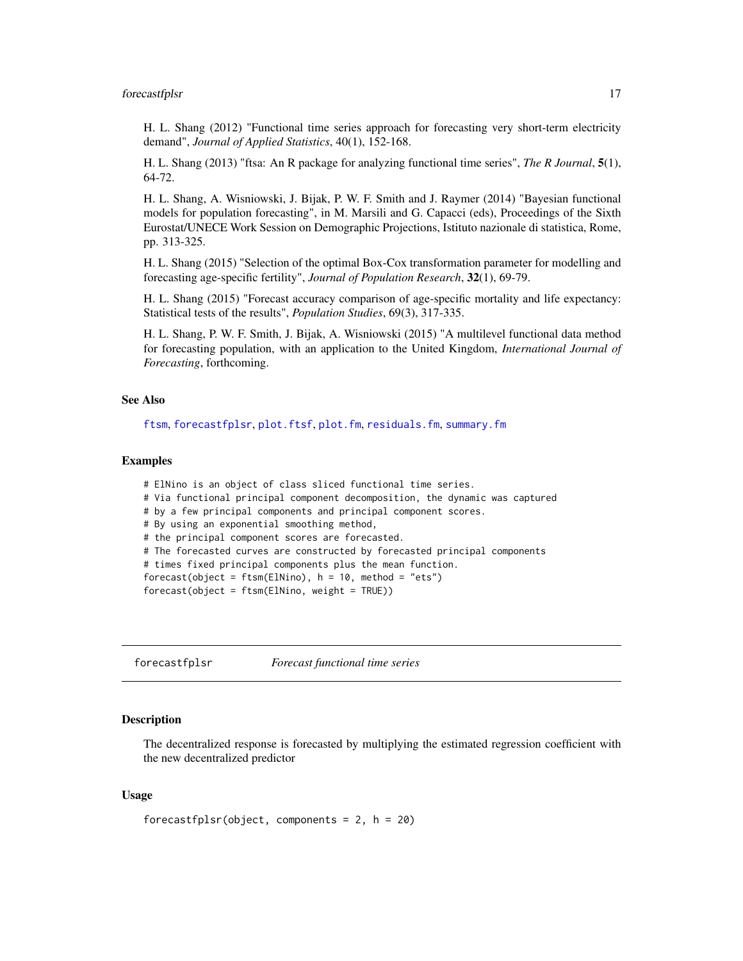#### <span id="page-16-0"></span>forecastfplsr 17

H. L. Shang (2012) "Functional time series approach for forecasting very short-term electricity demand", *Journal of Applied Statistics*, 40(1), 152-168.

H. L. Shang (2013) "ftsa: An R package for analyzing functional time series", *The R Journal*, 5(1), 64-72.

H. L. Shang, A. Wisniowski, J. Bijak, P. W. F. Smith and J. Raymer (2014) "Bayesian functional models for population forecasting", in M. Marsili and G. Capacci (eds), Proceedings of the Sixth Eurostat/UNECE Work Session on Demographic Projections, Istituto nazionale di statistica, Rome, pp. 313-325.

H. L. Shang (2015) "Selection of the optimal Box-Cox transformation parameter for modelling and forecasting age-specific fertility", *Journal of Population Research*, 32(1), 69-79.

H. L. Shang (2015) "Forecast accuracy comparison of age-specific mortality and life expectancy: Statistical tests of the results", *Population Studies*, 69(3), 317-335.

H. L. Shang, P. W. F. Smith, J. Bijak, A. Wisniowski (2015) "A multilevel functional data method for forecasting population, with an application to the United Kingdom, *International Journal of Forecasting*, forthcoming.

#### See Also

[ftsm](#page-21-1), [forecastfplsr](#page-16-1), [plot.ftsf](#page-39-1), [plot.fm](#page-36-1), [residuals.fm](#page-45-1), [summary.fm](#page-49-1)

#### Examples

```
# ElNino is an object of class sliced functional time series.
# Via functional principal component decomposition, the dynamic was captured
# by a few principal components and principal component scores.
# By using an exponential smoothing method,
# the principal component scores are forecasted.
# The forecasted curves are constructed by forecasted principal components
# times fixed principal components plus the mean function.
forecast(object = ftsm(ElNino), h = 10, method = "ets")
forecast(object = ftsm(ElNino, weight = TRUE))
```
<span id="page-16-1"></span>forecastfplsr *Forecast functional time series*

#### Description

The decentralized response is forecasted by multiplying the estimated regression coefficient with the new decentralized predictor

#### Usage

```
forecastfplsr(object, components = 2, h = 20)
```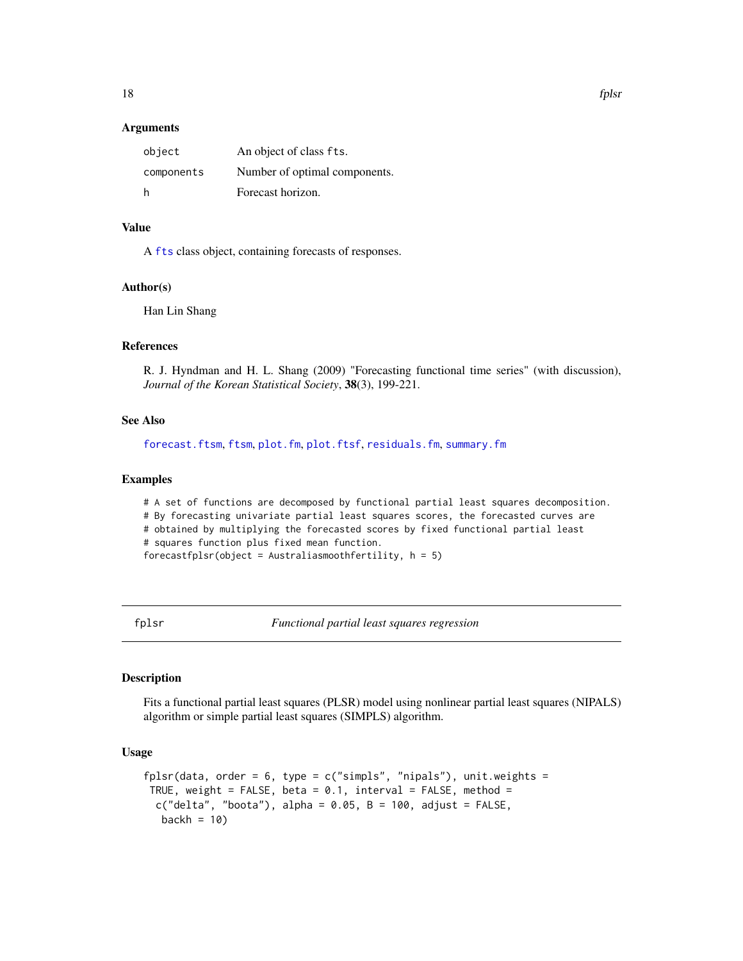#### <span id="page-17-0"></span>Arguments

| object     | An object of class fts.       |
|------------|-------------------------------|
| components | Number of optimal components. |
| h          | Forecast horizon.             |

### Value

A [fts](#page-0-0) class object, containing forecasts of responses.

#### Author(s)

Han Lin Shang

### References

R. J. Hyndman and H. L. Shang (2009) "Forecasting functional time series" (with discussion), *Journal of the Korean Statistical Society*, 38(3), 199-221.

### See Also

[forecast.ftsm](#page-14-1), [ftsm](#page-21-1), [plot.fm](#page-36-1), [plot.ftsf](#page-39-1), [residuals.fm](#page-45-1), [summary.fm](#page-49-1)

### Examples

# A set of functions are decomposed by functional partial least squares decomposition. # By forecasting univariate partial least squares scores, the forecasted curves are # obtained by multiplying the forecasted scores by fixed functional partial least # squares function plus fixed mean function. forecastfplsr(object = Australiasmoothfertility,  $h = 5$ )

<span id="page-17-1"></span>fplsr *Functional partial least squares regression*

#### Description

Fits a functional partial least squares (PLSR) model using nonlinear partial least squares (NIPALS) algorithm or simple partial least squares (SIMPLS) algorithm.

### Usage

```
fplsr(data, order = 6, type = c("simpls", "nipals"), unit. weights =TRUE, weight = FALSE, beta = 0.1, interval = FALSE, method =
 c("delta", "boota"), alpha = 0.05, B = 100, adjust = FALSE,backh = 10)
```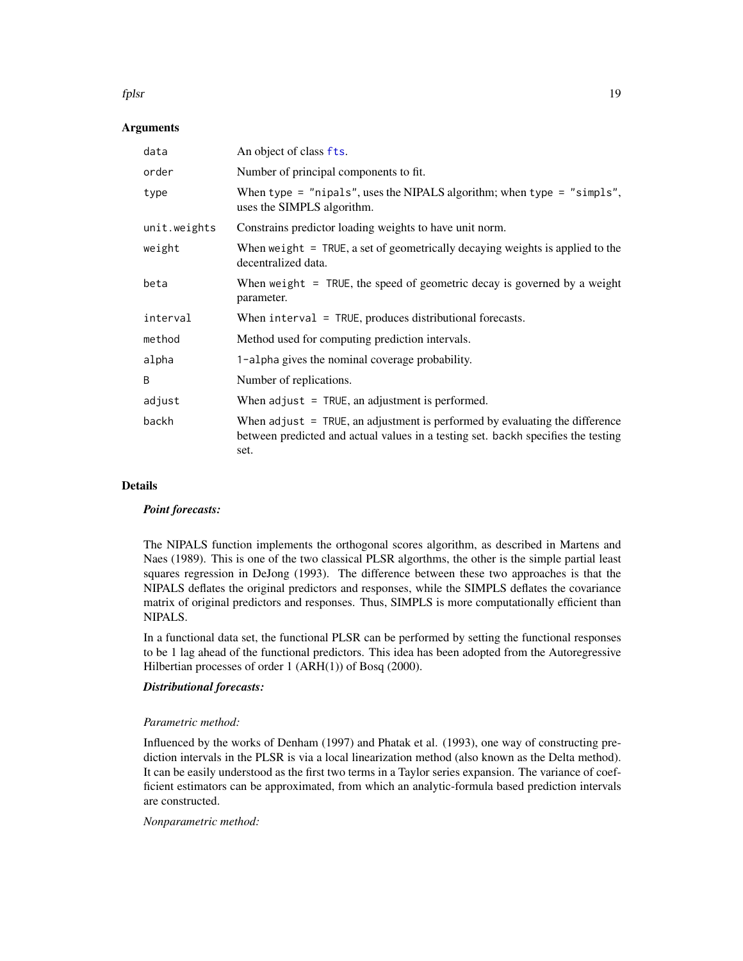#### <span id="page-18-0"></span>fplsr 19

#### **Arguments**

| data         | An object of class fts.                                                                                                                                                  |
|--------------|--------------------------------------------------------------------------------------------------------------------------------------------------------------------------|
| order        | Number of principal components to fit.                                                                                                                                   |
| type         | When type = "nipals", uses the NIPALS algorithm; when type = "simpls",<br>uses the SIMPLS algorithm.                                                                     |
| unit.weights | Constrains predictor loading weights to have unit norm.                                                                                                                  |
| weight       | When we ight $=$ TRUE, a set of geometrically decaying weights is applied to the<br>decentralized data.                                                                  |
| beta         | When weight $=$ TRUE, the speed of geometric decay is governed by a weight<br>parameter.                                                                                 |
| interval     | When interval = TRUE, produces distributional forecasts.                                                                                                                 |
| method       | Method used for computing prediction intervals.                                                                                                                          |
| alpha        | 1-alpha gives the nominal coverage probability.                                                                                                                          |
| B            | Number of replications.                                                                                                                                                  |
| adjust       | When $adjust = TRUE$ , an adjustment is performed.                                                                                                                       |
| backh        | When adjust = TRUE, an adjustment is performed by evaluating the difference<br>between predicted and actual values in a testing set. backh specifies the testing<br>set. |

#### Details

#### *Point forecasts:*

The NIPALS function implements the orthogonal scores algorithm, as described in Martens and Naes (1989). This is one of the two classical PLSR algorthms, the other is the simple partial least squares regression in DeJong (1993). The difference between these two approaches is that the NIPALS deflates the original predictors and responses, while the SIMPLS deflates the covariance matrix of original predictors and responses. Thus, SIMPLS is more computationally efficient than NIPALS.

In a functional data set, the functional PLSR can be performed by setting the functional responses to be 1 lag ahead of the functional predictors. This idea has been adopted from the Autoregressive Hilbertian processes of order 1 (ARH(1)) of Bosq (2000).

### *Distributional forecasts:*

#### *Parametric method:*

Influenced by the works of Denham (1997) and Phatak et al. (1993), one way of constructing prediction intervals in the PLSR is via a local linearization method (also known as the Delta method). It can be easily understood as the first two terms in a Taylor series expansion. The variance of coefficient estimators can be approximated, from which an analytic-formula based prediction intervals are constructed.

*Nonparametric method:*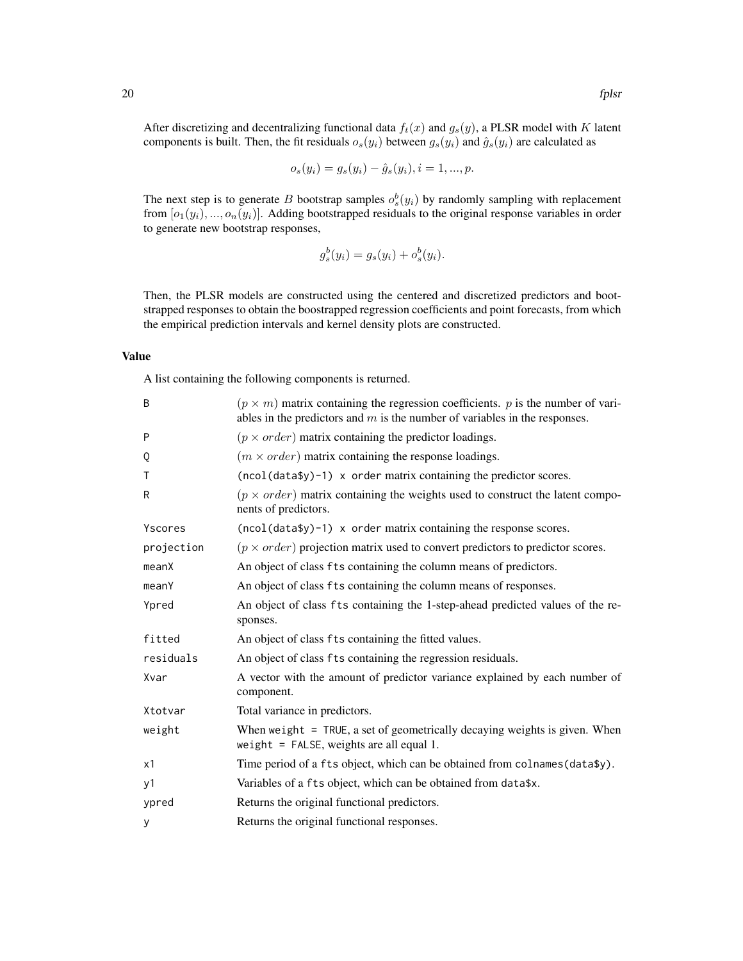After discretizing and decentralizing functional data  $f_t(x)$  and  $g_s(y)$ , a PLSR model with K latent components is built. Then, the fit residuals  $o_s(y_i)$  between  $g_s(y_i)$  and  $\hat{g}_s(y_i)$  are calculated as

$$
o_s(y_i) = g_s(y_i) - \hat{g}_s(y_i), i = 1, ..., p.
$$

The next step is to generate B bootstrap samples  $o_s^b(y_i)$  by randomly sampling with replacement from  $[o_1(y_i), ..., o_n(y_i)]$ . Adding bootstrapped residuals to the original response variables in order to generate new bootstrap responses,

$$
g_s^b(y_i) = g_s(y_i) + o_s^b(y_i).
$$

Then, the PLSR models are constructed using the centered and discretized predictors and bootstrapped responses to obtain the boostrapped regression coefficients and point forecasts, from which the empirical prediction intervals and kernel density plots are constructed.

#### Value

A list containing the following components is returned.

| B          | $(p \times m)$ matrix containing the regression coefficients. p is the number of vari-<br>ables in the predictors and $m$ is the number of variables in the responses. |
|------------|------------------------------------------------------------------------------------------------------------------------------------------------------------------------|
| P          | $(p \times order)$ matrix containing the predictor loadings.                                                                                                           |
| Q          | $(m \times order)$ matrix containing the response loadings.                                                                                                            |
| Τ          | $(ncol(data\$ y)-1) x order matrix containing the predictor scores.                                                                                                    |
| R          | $(p \times order)$ matrix containing the weights used to construct the latent compo-<br>nents of predictors.                                                           |
| Yscores    | $(ncol(data\$ y) - 1) x order matrix containing the response scores.                                                                                                   |
| projection | $(p \times order)$ projection matrix used to convert predictors to predictor scores.                                                                                   |
| meanX      | An object of class fts containing the column means of predictors.                                                                                                      |
| meanY      | An object of class fts containing the column means of responses.                                                                                                       |
| Ypred      | An object of class fts containing the 1-step-ahead predicted values of the re-<br>sponses.                                                                             |
| fitted     | An object of class fts containing the fitted values.                                                                                                                   |
| residuals  | An object of class fts containing the regression residuals.                                                                                                            |
| Xvar       | A vector with the amount of predictor variance explained by each number of<br>component.                                                                               |
| Xtotvar    | Total variance in predictors.                                                                                                                                          |
| weight     | When weight $=$ TRUE, a set of geometrically decaying weights is given. When<br>weight = $FALSE$ , weights are all equal 1.                                            |
| x1         | Time period of a fts object, which can be obtained from colnames (data\$y).                                                                                            |
| y1         | Variables of a fts object, which can be obtained from data\$x.                                                                                                         |
| ypred      | Returns the original functional predictors.                                                                                                                            |
| У          | Returns the original functional responses.                                                                                                                             |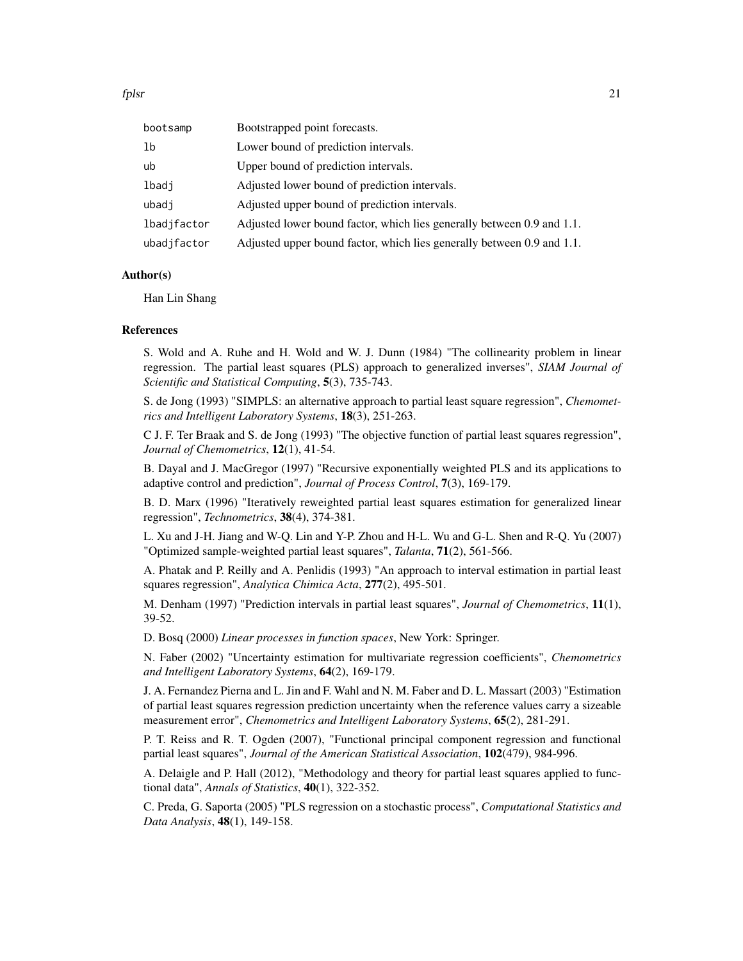fplsr 21

| bootsamp    | Bootstrapped point forecasts.                                          |
|-------------|------------------------------------------------------------------------|
| 1b          | Lower bound of prediction intervals.                                   |
| ub          | Upper bound of prediction intervals.                                   |
| lbadj       | Adjusted lower bound of prediction intervals.                          |
| ubadj       | Adjusted upper bound of prediction intervals.                          |
| lbadjfactor | Adjusted lower bound factor, which lies generally between 0.9 and 1.1. |
| ubadjfactor | Adjusted upper bound factor, which lies generally between 0.9 and 1.1. |

### Author(s)

Han Lin Shang

#### References

S. Wold and A. Ruhe and H. Wold and W. J. Dunn (1984) "The collinearity problem in linear regression. The partial least squares (PLS) approach to generalized inverses", *SIAM Journal of Scientific and Statistical Computing*, 5(3), 735-743.

S. de Jong (1993) "SIMPLS: an alternative approach to partial least square regression", *Chemometrics and Intelligent Laboratory Systems*, 18(3), 251-263.

C J. F. Ter Braak and S. de Jong (1993) "The objective function of partial least squares regression", *Journal of Chemometrics*, 12(1), 41-54.

B. Dayal and J. MacGregor (1997) "Recursive exponentially weighted PLS and its applications to adaptive control and prediction", *Journal of Process Control*, 7(3), 169-179.

B. D. Marx (1996) "Iteratively reweighted partial least squares estimation for generalized linear regression", *Technometrics*, 38(4), 374-381.

L. Xu and J-H. Jiang and W-Q. Lin and Y-P. Zhou and H-L. Wu and G-L. Shen and R-Q. Yu (2007) "Optimized sample-weighted partial least squares", *Talanta*, 71(2), 561-566.

A. Phatak and P. Reilly and A. Penlidis (1993) "An approach to interval estimation in partial least squares regression", *Analytica Chimica Acta*, 277(2), 495-501.

M. Denham (1997) "Prediction intervals in partial least squares", *Journal of Chemometrics*, 11(1), 39-52.

D. Bosq (2000) *Linear processes in function spaces*, New York: Springer.

N. Faber (2002) "Uncertainty estimation for multivariate regression coefficients", *Chemometrics and Intelligent Laboratory Systems*, 64(2), 169-179.

J. A. Fernandez Pierna and L. Jin and F. Wahl and N. M. Faber and D. L. Massart (2003) "Estimation of partial least squares regression prediction uncertainty when the reference values carry a sizeable measurement error", *Chemometrics and Intelligent Laboratory Systems*, 65(2), 281-291.

P. T. Reiss and R. T. Ogden (2007), "Functional principal component regression and functional partial least squares", *Journal of the American Statistical Association*, 102(479), 984-996.

A. Delaigle and P. Hall (2012), "Methodology and theory for partial least squares applied to functional data", *Annals of Statistics*, 40(1), 322-352.

C. Preda, G. Saporta (2005) "PLS regression on a stochastic process", *Computational Statistics and Data Analysis*, 48(1), 149-158.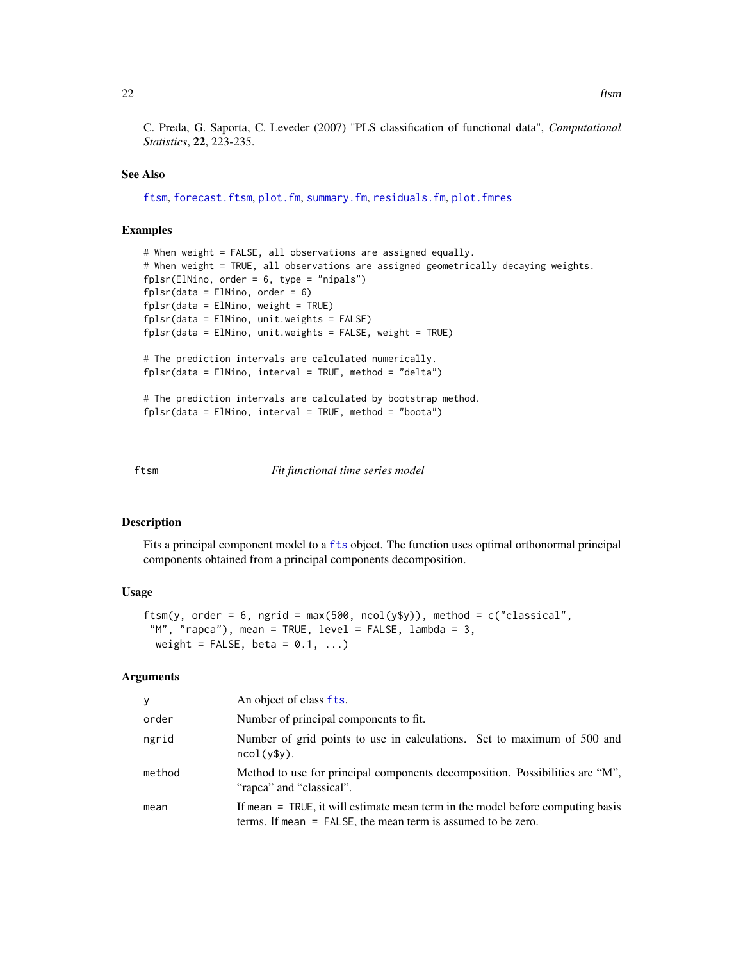<span id="page-21-0"></span>22 ftsm  $\frac{1}{2}$  ftsm  $\frac{1}{2}$  ftsm  $\frac{1}{2}$  ftsm  $\frac{1}{2}$  ftsm  $\frac{1}{2}$  ftsm  $\frac{1}{2}$  ftsm  $\frac{1}{2}$  ftsm  $\frac{1}{2}$  ftsm  $\frac{1}{2}$  ftsm  $\frac{1}{2}$  ftsm  $\frac{1}{2}$  ftsm  $\frac{1}{2}$  ftsm  $\frac{1}{2}$  ftsm  $\frac{1}{2}$  ftsm  $\frac$ 

C. Preda, G. Saporta, C. Leveder (2007) "PLS classification of functional data", *Computational Statistics*, 22, 223-235.

#### See Also

[ftsm](#page-21-1), [forecast.ftsm](#page-14-1), [plot.fm](#page-36-1), [summary.fm](#page-49-1), [residuals.fm](#page-45-1), [plot.fmres](#page-38-1)

#### Examples

```
# When weight = FALSE, all observations are assigned equally.
# When weight = TRUE, all observations are assigned geometrically decaying weights.
fplsr(ElNino, order = 6, type = "nipals")
fplsr(data = E1Nino, order = 6)fplsr(data = E1Nino, weight = TRUE)fplsr(data = ElNino, unit.weights = FALSE)
fplsr(data = ElNino, unit.weights = FALSE, weight = TRUE)
# The prediction intervals are calculated numerically.
fplsr(data = ElNino, interval = TRUE, method = "delta")# The prediction intervals are calculated by bootstrap method.
fplsr(data = ElNino, interval = TRUE, method = "boota")
```
<span id="page-21-1"></span>ftsm *Fit functional time series model*

#### **Description**

Fits a principal component model to a [fts](#page-0-0) object. The function uses optimal orthonormal principal components obtained from a principal components decomposition.

#### Usage

```
ftsm(y, order = 6, ngrid = max(500, ncol(y$y)), method = c("classical","M", "rapca"), mean = TRUE, level = FALSE, lambda = 3,
 weight = FALSE, beta = 0.1, ...)
```
#### Arguments

| v      | An object of class fts.                                                                                                                          |
|--------|--------------------------------------------------------------------------------------------------------------------------------------------------|
| order  | Number of principal components to fit.                                                                                                           |
| ngrid  | Number of grid points to use in calculations. Set to maximum of 500 and<br>$ncol(ysy)$ .                                                         |
| method | Method to use for principal components decomposition. Possibilities are "M",<br>"rapea" and "classical".                                         |
| mean   | If mean = TRUE, it will estimate mean term in the model before computing basis<br>terms. If mean $=$ FALSE, the mean term is assumed to be zero. |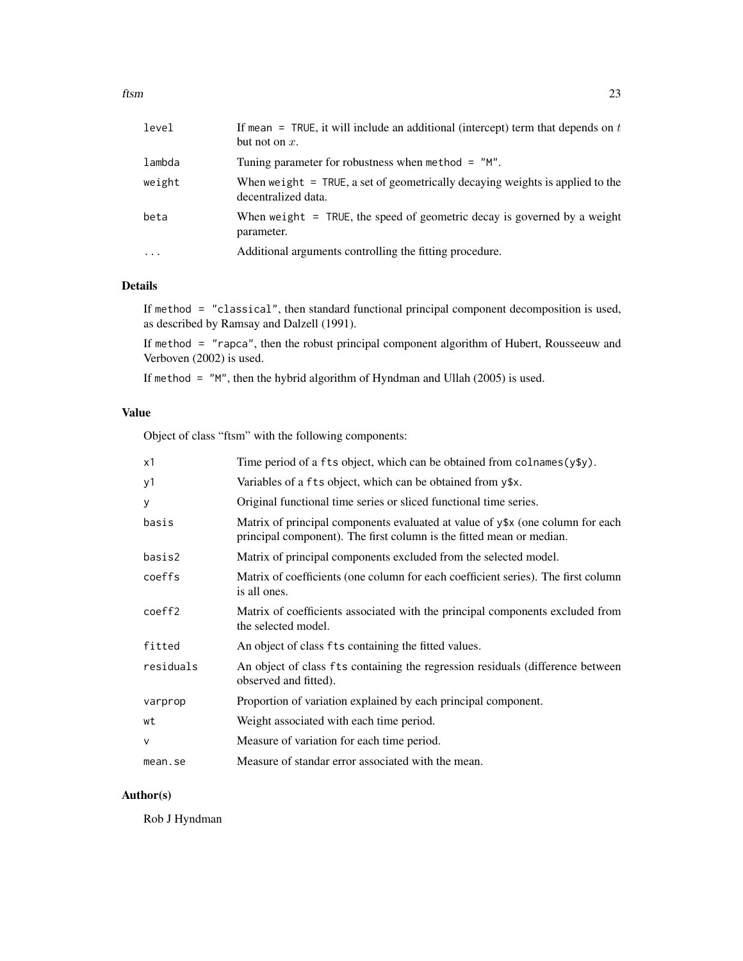| level    | If mean = TRUE, it will include an additional (intercept) term that depends on $t$<br>but not on $x$ . |
|----------|--------------------------------------------------------------------------------------------------------|
| lambda   | Tuning parameter for robustness when method $=$ "M".                                                   |
| weight   | When weight $=$ TRUE, a set of geometrically decaying weights is applied to the<br>decentralized data. |
| beta     | When weight $=$ TRUE, the speed of geometric decay is governed by a weight<br>parameter.               |
| $\cdots$ | Additional arguments controlling the fitting procedure.                                                |
|          |                                                                                                        |

### Details

If method = "classical", then standard functional principal component decomposition is used, as described by Ramsay and Dalzell (1991).

If method = "rapca", then the robust principal component algorithm of Hubert, Rousseeuw and Verboven (2002) is used.

If method = "M", then the hybrid algorithm of Hyndman and Ullah (2005) is used.

### Value

Object of class "ftsm" with the following components:

| Time period of a fts object, which can be obtained from colnames (y\$y).                                                                               |
|--------------------------------------------------------------------------------------------------------------------------------------------------------|
| Variables of a fts object, which can be obtained from y\$x.                                                                                            |
| Original functional time series or sliced functional time series.                                                                                      |
| Matrix of principal components evaluated at value of y\$x (one column for each<br>principal component). The first column is the fitted mean or median. |
| Matrix of principal components excluded from the selected model.                                                                                       |
| Matrix of coefficients (one column for each coefficient series). The first column<br>is all ones.                                                      |
| Matrix of coefficients associated with the principal components excluded from<br>the selected model.                                                   |
| An object of class fts containing the fitted values.                                                                                                   |
| An object of class fts containing the regression residuals (difference between<br>observed and fitted).                                                |
| Proportion of variation explained by each principal component.                                                                                         |
| Weight associated with each time period.                                                                                                               |
| Measure of variation for each time period.                                                                                                             |
| Measure of standar error associated with the mean.                                                                                                     |
|                                                                                                                                                        |

### Author(s)

Rob J Hyndman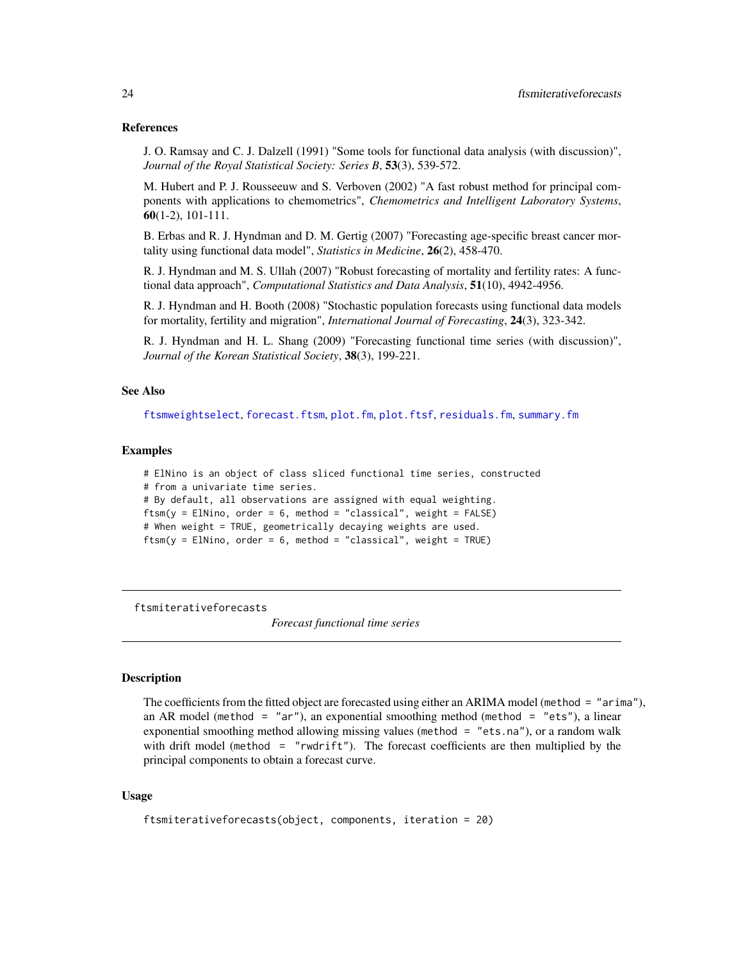#### <span id="page-23-0"></span>References

J. O. Ramsay and C. J. Dalzell (1991) "Some tools for functional data analysis (with discussion)", *Journal of the Royal Statistical Society: Series B*, 53(3), 539-572.

M. Hubert and P. J. Rousseeuw and S. Verboven (2002) "A fast robust method for principal components with applications to chemometrics", *Chemometrics and Intelligent Laboratory Systems*, 60(1-2), 101-111.

B. Erbas and R. J. Hyndman and D. M. Gertig (2007) "Forecasting age-specific breast cancer mortality using functional data model", *Statistics in Medicine*, 26(2), 458-470.

R. J. Hyndman and M. S. Ullah (2007) "Robust forecasting of mortality and fertility rates: A functional data approach", *Computational Statistics and Data Analysis*, 51(10), 4942-4956.

R. J. Hyndman and H. Booth (2008) "Stochastic population forecasts using functional data models for mortality, fertility and migration", *International Journal of Forecasting*, 24(3), 323-342.

R. J. Hyndman and H. L. Shang (2009) "Forecasting functional time series (with discussion)", *Journal of the Korean Statistical Society*, 38(3), 199-221.

### See Also

[ftsmweightselect](#page-25-1), [forecast.ftsm](#page-14-1), [plot.fm](#page-36-1), [plot.ftsf](#page-39-1), [residuals.fm](#page-45-1), [summary.fm](#page-49-1)

#### Examples

```
# ElNino is an object of class sliced functional time series, constructed
# from a univariate time series.
# By default, all observations are assigned with equal weighting.
ftsm(y = E1Nino, order = 6, method = "classical", weight = FALSE)# When weight = TRUE, geometrically decaying weights are used.
ftsm(y = E1Nino, order = 6, method = "classical", weight = TRUE)
```
ftsmiterativeforecasts

*Forecast functional time series*

#### Description

The coefficients from the fitted object are forecasted using either an ARIMA model (method = "arima"), an AR model (method = "ar"), an exponential smoothing method (method = "ets"), a linear exponential smoothing method allowing missing values (method = "ets.na"), or a random walk with drift model (method  $=$  "rwdrift"). The forecast coefficients are then multiplied by the principal components to obtain a forecast curve.

#### Usage

```
ftsmiterativeforecasts(object, components, iteration = 20)
```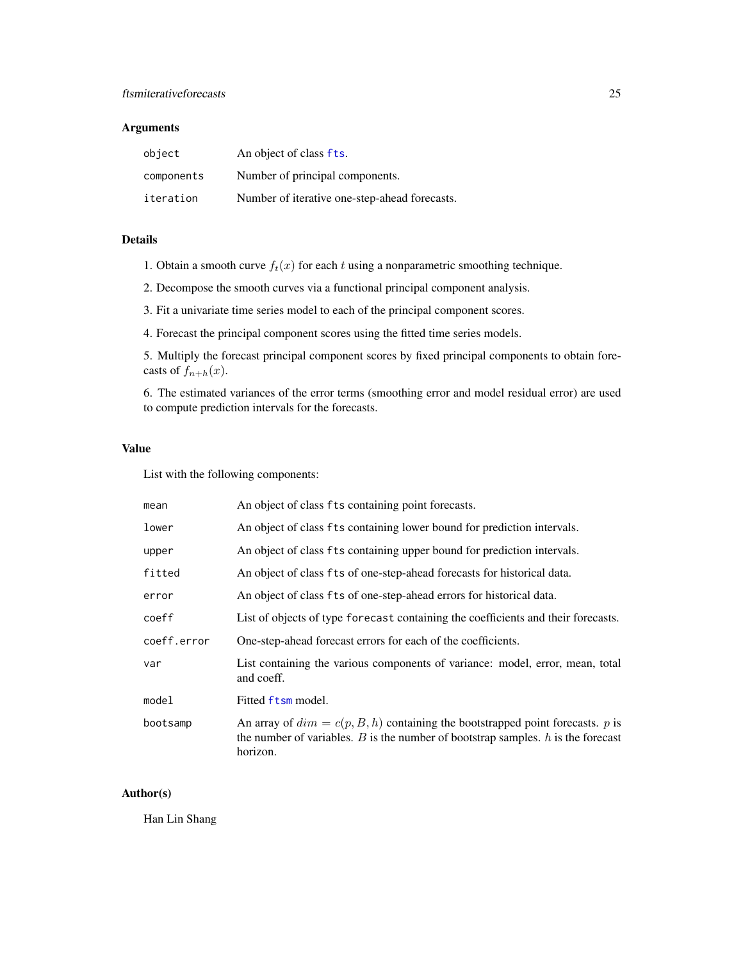### <span id="page-24-0"></span>Arguments

| object     | An object of class fts.                       |
|------------|-----------------------------------------------|
| components | Number of principal components.               |
| iteration  | Number of iterative one-step-ahead forecasts. |

### Details

1. Obtain a smooth curve  $f_t(x)$  for each t using a nonparametric smoothing technique.

2. Decompose the smooth curves via a functional principal component analysis.

3. Fit a univariate time series model to each of the principal component scores.

4. Forecast the principal component scores using the fitted time series models.

5. Multiply the forecast principal component scores by fixed principal components to obtain forecasts of  $f_{n+h}(x)$ .

6. The estimated variances of the error terms (smoothing error and model residual error) are used to compute prediction intervals for the forecasts.

### Value

List with the following components:

| mean        | An object of class fts containing point forecasts.                                                                                                                                   |
|-------------|--------------------------------------------------------------------------------------------------------------------------------------------------------------------------------------|
| lower       | An object of class fts containing lower bound for prediction intervals.                                                                                                              |
| upper       | An object of class fts containing upper bound for prediction intervals.                                                                                                              |
| fitted      | An object of class fts of one-step-ahead forecasts for historical data.                                                                                                              |
| error       | An object of class fts of one-step-ahead errors for historical data.                                                                                                                 |
| coeff       | List of objects of type forecast containing the coefficients and their forecasts.                                                                                                    |
| coeff.error | One-step-ahead forecast errors for each of the coefficients.                                                                                                                         |
| var         | List containing the various components of variance: model, error, mean, total<br>and coeff.                                                                                          |
| model       | Fitted ftsm model.                                                                                                                                                                   |
| bootsamp    | An array of $dim = c(p, B, h)$ containing the bootstrapped point forecasts. p is<br>the number of variables. $B$ is the number of bootstrap samples. $h$ is the forecast<br>horizon. |

### Author(s)

Han Lin Shang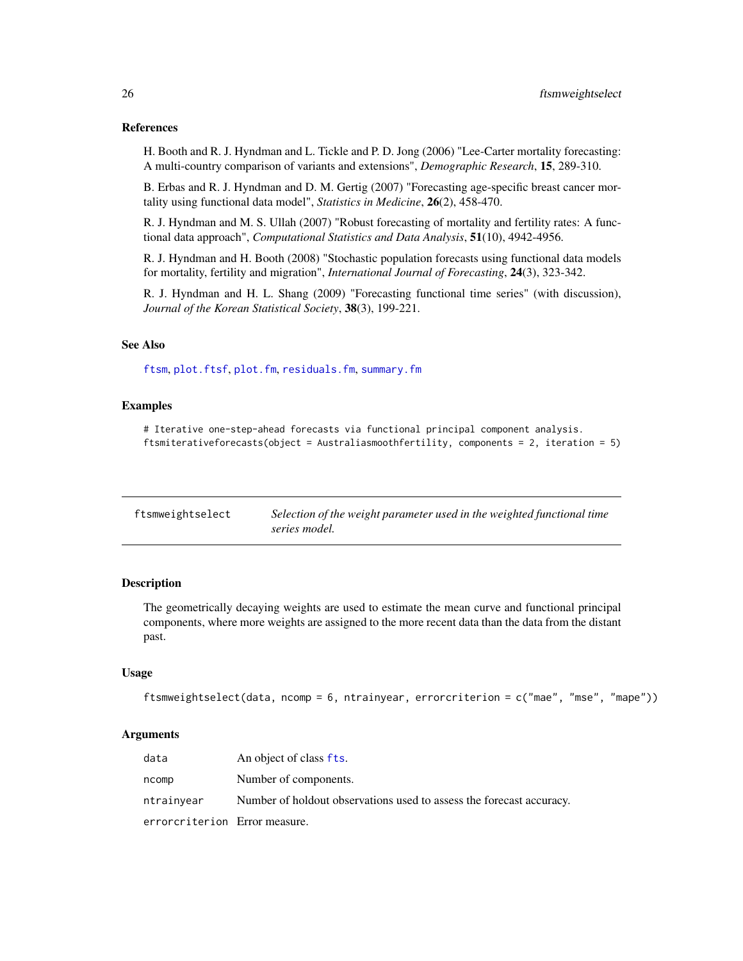#### <span id="page-25-0"></span>References

H. Booth and R. J. Hyndman and L. Tickle and P. D. Jong (2006) "Lee-Carter mortality forecasting: A multi-country comparison of variants and extensions", *Demographic Research*, 15, 289-310.

B. Erbas and R. J. Hyndman and D. M. Gertig (2007) "Forecasting age-specific breast cancer mortality using functional data model", *Statistics in Medicine*, 26(2), 458-470.

R. J. Hyndman and M. S. Ullah (2007) "Robust forecasting of mortality and fertility rates: A functional data approach", *Computational Statistics and Data Analysis*, 51(10), 4942-4956.

R. J. Hyndman and H. Booth (2008) "Stochastic population forecasts using functional data models for mortality, fertility and migration", *International Journal of Forecasting*, 24(3), 323-342.

R. J. Hyndman and H. L. Shang (2009) "Forecasting functional time series" (with discussion), *Journal of the Korean Statistical Society*, 38(3), 199-221.

### See Also

[ftsm](#page-21-1), [plot.ftsf](#page-39-1), [plot.fm](#page-36-1), [residuals.fm](#page-45-1), [summary.fm](#page-49-1)

#### Examples

# Iterative one-step-ahead forecasts via functional principal component analysis. ftsmiterativeforecasts(object = Australiasmoothfertility, components = 2, iteration = 5)

<span id="page-25-1"></span>

| ftsmweightselect | Selection of the weight parameter used in the weighted functional time |
|------------------|------------------------------------------------------------------------|
|                  | series model.                                                          |

#### **Description**

The geometrically decaying weights are used to estimate the mean curve and functional principal components, where more weights are assigned to the more recent data than the data from the distant past.

### Usage

```
ftsmweightselect(data, ncomp = 6, ntrainyear, errorcriterion = c("mae", "mse", "mape"))
```
#### Arguments

| data                          | An object of class fts.                                              |
|-------------------------------|----------------------------------------------------------------------|
| ncomp                         | Number of components.                                                |
| ntrainyear                    | Number of holdout observations used to assess the forecast accuracy. |
| errorcriterion Error measure. |                                                                      |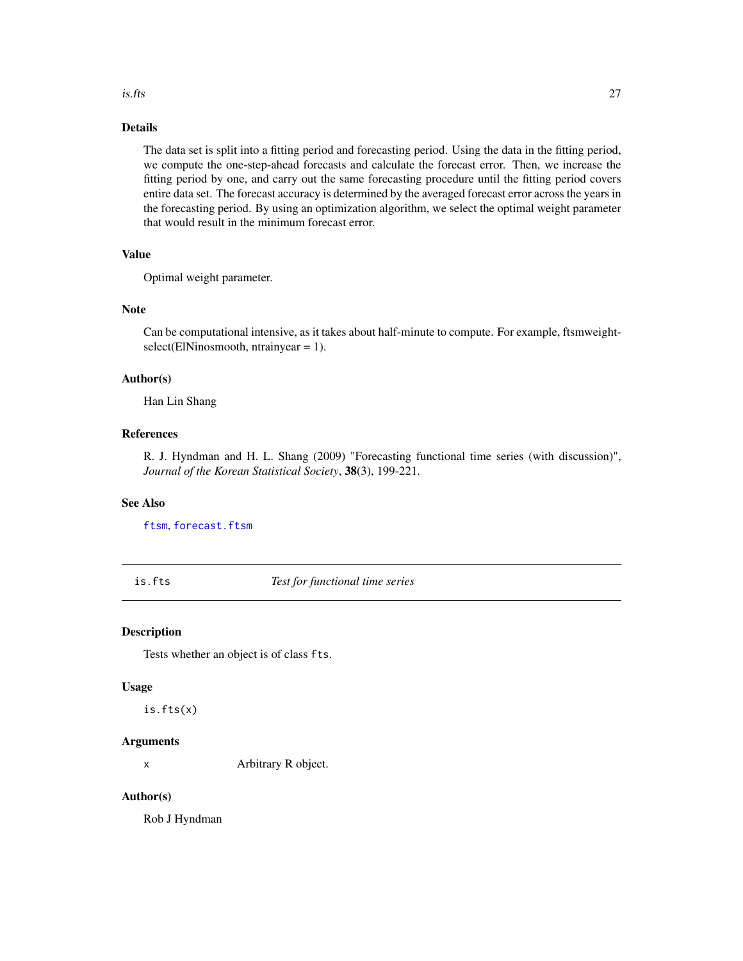#### <span id="page-26-0"></span>is.fts 27

### Details

The data set is split into a fitting period and forecasting period. Using the data in the fitting period, we compute the one-step-ahead forecasts and calculate the forecast error. Then, we increase the fitting period by one, and carry out the same forecasting procedure until the fitting period covers entire data set. The forecast accuracy is determined by the averaged forecast error across the years in the forecasting period. By using an optimization algorithm, we select the optimal weight parameter that would result in the minimum forecast error.

### Value

Optimal weight parameter.

#### Note

Can be computational intensive, as it takes about half-minute to compute. For example, ftsmweightselect(ElNinosmooth, ntrainyear = 1).

### Author(s)

Han Lin Shang

### References

R. J. Hyndman and H. L. Shang (2009) "Forecasting functional time series (with discussion)", *Journal of the Korean Statistical Society*, 38(3), 199-221.

#### See Also

[ftsm](#page-21-1), [forecast.ftsm](#page-14-1)

is.fts *Test for functional time series*

#### Description

Tests whether an object is of class fts.

#### Usage

is.fts(x)

#### Arguments

x Arbitrary R object.

#### Author(s)

Rob J Hyndman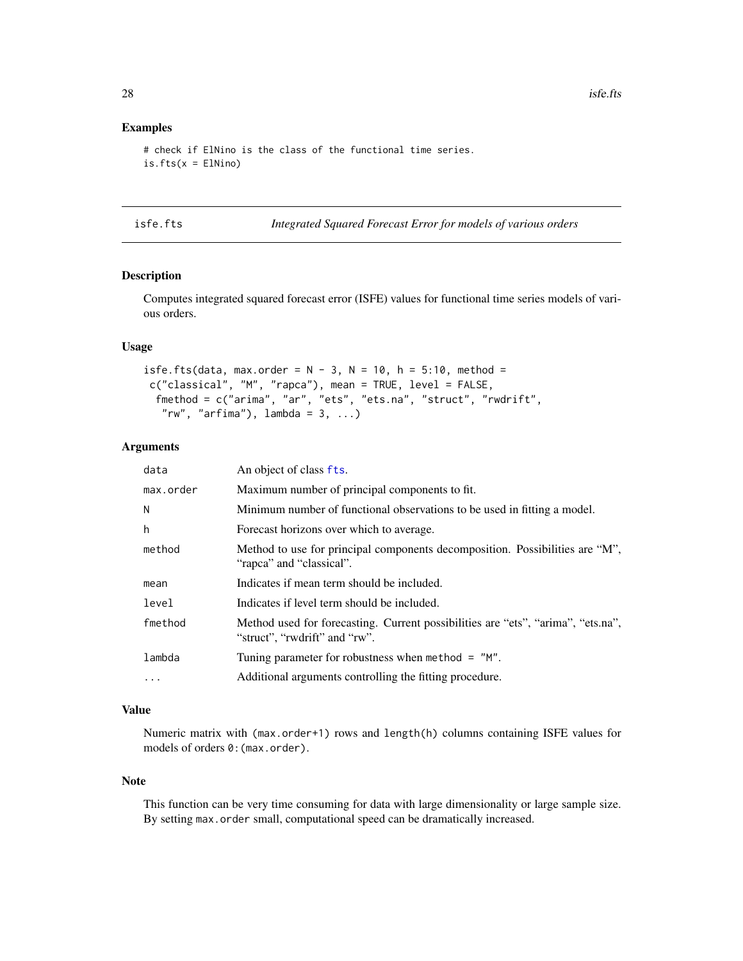### <span id="page-27-0"></span>Examples

```
# check if ElNino is the class of the functional time series.
is.fts(x = ElNino)
```

|  |  | isfe.fts |
|--|--|----------|
|  |  |          |

Integrated Squared Forecast Error for models of various orders

### Description

Computes integrated squared forecast error (ISFE) values for functional time series models of various orders.

### Usage

```
isfe.fts(data, max.order = N - 3, N = 10, h = 5:10, method =
c("classical", "M", "rapca"), mean = TRUE, level = FALSE,
 fmethod = c("arima", "ar", "ets", "ets.na", "struct", "rwdrift",
   "rw", "arfima"), lambda = 3, ...
```
### Arguments

| data      | An object of class fts.                                                                                           |
|-----------|-------------------------------------------------------------------------------------------------------------------|
| max.order | Maximum number of principal components to fit.                                                                    |
| N         | Minimum number of functional observations to be used in fitting a model.                                          |
| h         | Forecast horizons over which to average.                                                                          |
| method    | Method to use for principal components decomposition. Possibilities are "M",<br>"rapca" and "classical".          |
| mean      | Indicates if mean term should be included.                                                                        |
| level     | Indicates if level term should be included.                                                                       |
| fmethod   | Method used for forecasting. Current possibilities are "ets", "arima", "ets.na",<br>"struct", "rwdrift" and "rw". |
| lambda    | Tuning parameter for robustness when method $=$ "M".                                                              |
| $\cdot$   | Additional arguments controlling the fitting procedure.                                                           |

#### Value

Numeric matrix with (max.order+1) rows and length(h) columns containing ISFE values for models of orders 0:(max.order).

### Note

This function can be very time consuming for data with large dimensionality or large sample size. By setting max.order small, computational speed can be dramatically increased.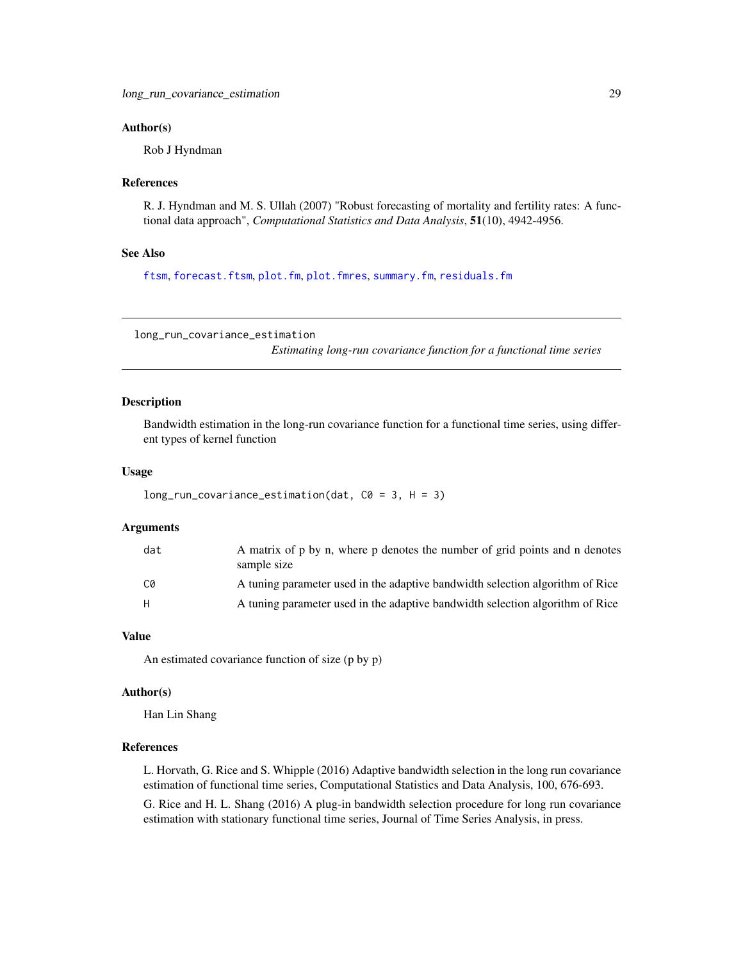#### <span id="page-28-0"></span>Author(s)

Rob J Hyndman

#### References

R. J. Hyndman and M. S. Ullah (2007) "Robust forecasting of mortality and fertility rates: A functional data approach", *Computational Statistics and Data Analysis*, 51(10), 4942-4956.

### See Also

[ftsm](#page-21-1), [forecast.ftsm](#page-14-1), [plot.fm](#page-36-1), [plot.fmres](#page-38-1), [summary.fm](#page-49-1), [residuals.fm](#page-45-1)

long\_run\_covariance\_estimation

*Estimating long-run covariance function for a functional time series*

### Description

Bandwidth estimation in the long-run covariance function for a functional time series, using different types of kernel function

#### Usage

```
long_run_covariance_estimation(dat, C0 = 3, H = 3)
```
#### Arguments

| dat | A matrix of p by n, where p denotes the number of grid points and n denotes<br>sample size |
|-----|--------------------------------------------------------------------------------------------|
| C0  | A tuning parameter used in the adaptive bandwidth selection algorithm of Rice              |
| H.  | A tuning parameter used in the adaptive bandwidth selection algorithm of Rice              |

#### Value

An estimated covariance function of size (p by p)

#### Author(s)

Han Lin Shang

### References

L. Horvath, G. Rice and S. Whipple (2016) Adaptive bandwidth selection in the long run covariance estimation of functional time series, Computational Statistics and Data Analysis, 100, 676-693.

G. Rice and H. L. Shang (2016) A plug-in bandwidth selection procedure for long run covariance estimation with stationary functional time series, Journal of Time Series Analysis, in press.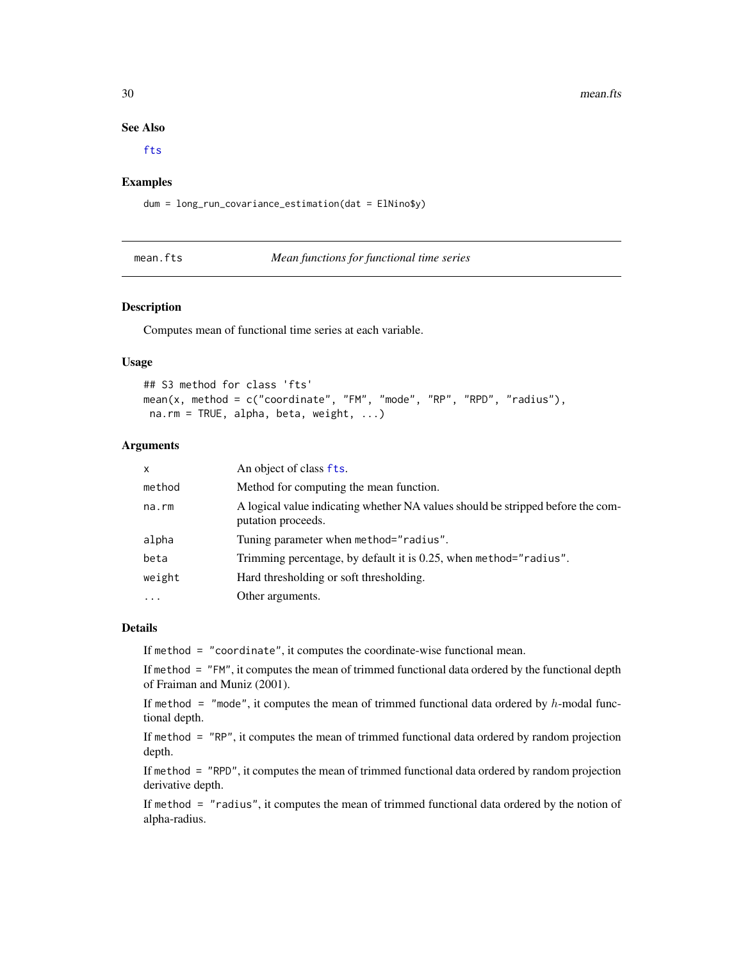30 mean.fts

#### See Also

[fts](#page-0-0)

### Examples

dum = long\_run\_covariance\_estimation(dat = ElNino\$y)

<span id="page-29-1"></span>mean.fts *Mean functions for functional time series*

#### Description

Computes mean of functional time series at each variable.

#### Usage

## S3 method for class 'fts' mean(x, method = c("coordinate", "FM", "mode", "RP", "RPD", "radius"), na.rm = TRUE, alpha, beta, weight, ...)

### Arguments

| $\mathsf{x}$ | An object of class fts.                                                                               |
|--------------|-------------------------------------------------------------------------------------------------------|
| method       | Method for computing the mean function.                                                               |
| $na$ . $rm$  | A logical value indicating whether NA values should be stripped before the com-<br>putation proceeds. |
| alpha        | Tuning parameter when method="radius".                                                                |
| beta         | Trimming percentage, by default it is 0.25, when method="radius".                                     |
| weight       | Hard thresholding or soft thresholding.                                                               |
| .            | Other arguments.                                                                                      |

### Details

If method = "coordinate", it computes the coordinate-wise functional mean.

If method = "FM", it computes the mean of trimmed functional data ordered by the functional depth of Fraiman and Muniz (2001).

If method = "mode", it computes the mean of trimmed functional data ordered by  $h$ -modal functional depth.

If method = "RP", it computes the mean of trimmed functional data ordered by random projection depth.

If method = "RPD", it computes the mean of trimmed functional data ordered by random projection derivative depth.

If method = "radius", it computes the mean of trimmed functional data ordered by the notion of alpha-radius.

<span id="page-29-0"></span>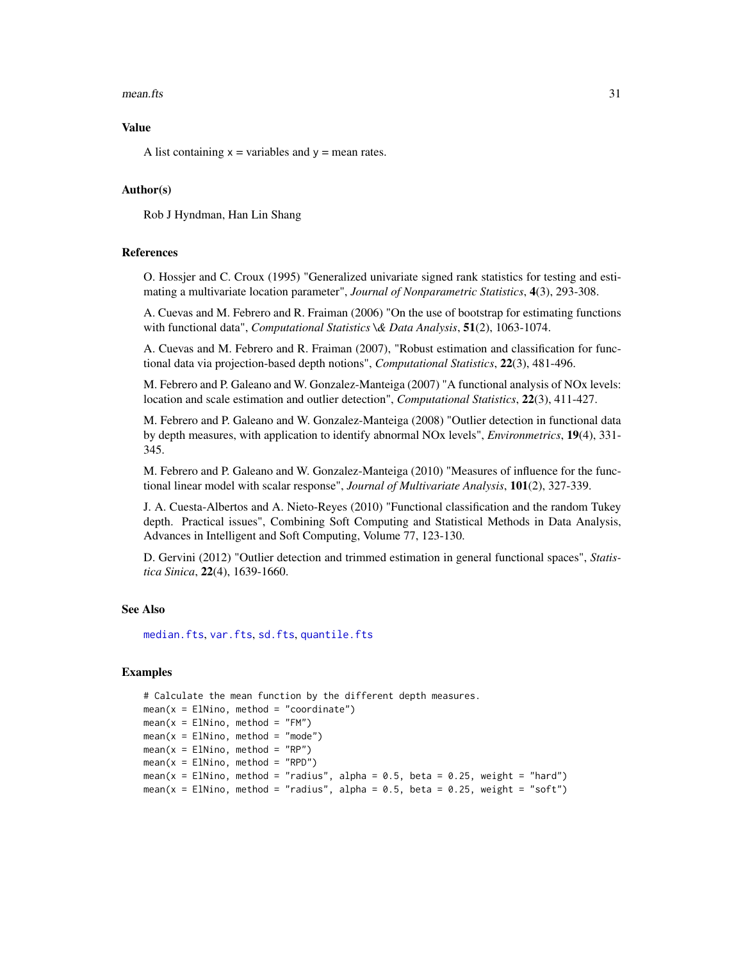#### <span id="page-30-0"></span> $mean.$ fts  $31$

#### Value

A list containing  $x =$  variables and  $y =$  mean rates.

#### Author(s)

Rob J Hyndman, Han Lin Shang

#### References

O. Hossjer and C. Croux (1995) "Generalized univariate signed rank statistics for testing and estimating a multivariate location parameter", *Journal of Nonparametric Statistics*, 4(3), 293-308.

A. Cuevas and M. Febrero and R. Fraiman (2006) "On the use of bootstrap for estimating functions with functional data", *Computational Statistics \& Data Analysis*, 51(2), 1063-1074.

A. Cuevas and M. Febrero and R. Fraiman (2007), "Robust estimation and classification for functional data via projection-based depth notions", *Computational Statistics*, 22(3), 481-496.

M. Febrero and P. Galeano and W. Gonzalez-Manteiga (2007) "A functional analysis of NOx levels: location and scale estimation and outlier detection", *Computational Statistics*, 22(3), 411-427.

M. Febrero and P. Galeano and W. Gonzalez-Manteiga (2008) "Outlier detection in functional data by depth measures, with application to identify abnormal NOx levels", *Environmetrics*, 19(4), 331- 345.

M. Febrero and P. Galeano and W. Gonzalez-Manteiga (2010) "Measures of influence for the functional linear model with scalar response", *Journal of Multivariate Analysis*, 101(2), 327-339.

J. A. Cuesta-Albertos and A. Nieto-Reyes (2010) "Functional classification and the random Tukey depth. Practical issues", Combining Soft Computing and Statistical Methods in Data Analysis, Advances in Intelligent and Soft Computing, Volume 77, 123-130.

D. Gervini (2012) "Outlier detection and trimmed estimation in general functional spaces", *Statistica Sinica*, 22(4), 1639-1660.

#### See Also

[median.fts](#page-31-1), [var.fts](#page-51-1), [sd.fts](#page-47-1), [quantile.fts](#page-44-1)

#### Examples

```
# Calculate the mean function by the different depth measures.
mean(x = E1Nino, method = "coordinate")mean(x = E1Nino, method = "FM")mean(x = E1Nino, method = "mode")mean(x = E1Nino, method = "RP")mean(x = E1Nino, method = "RPD")mean(x = ElNino, method = "radius", alpha = 0.5, beta = 0.25, weight = "hard")
mean(x = ElNino, method = "radius", alpha = 0.5, beta = 0.25, weight = "soft")
```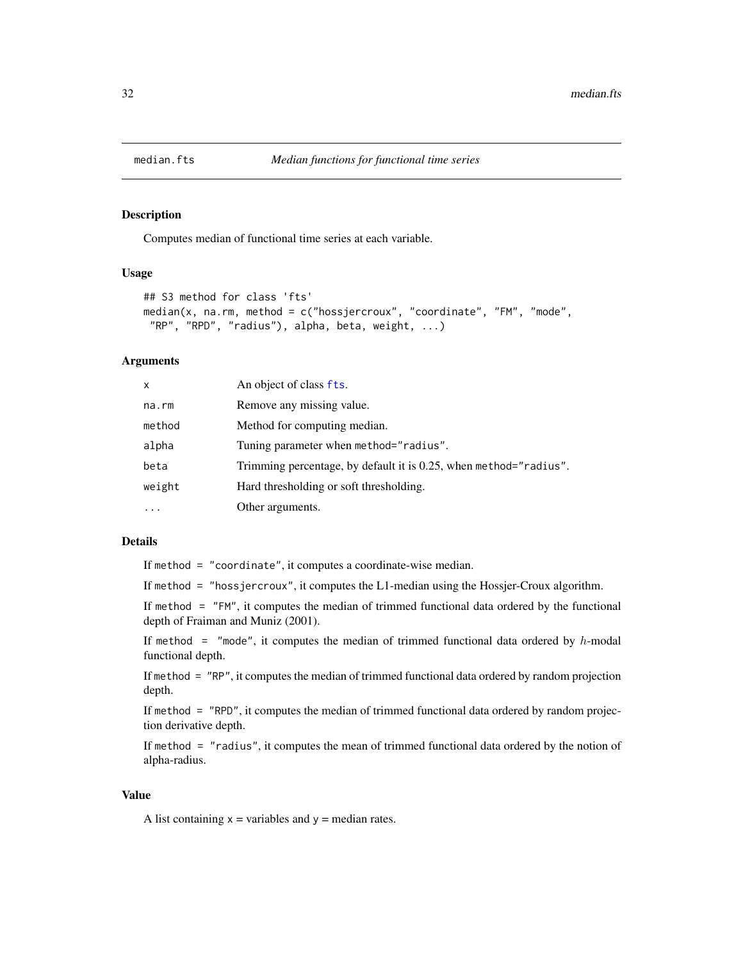<span id="page-31-1"></span><span id="page-31-0"></span>

Computes median of functional time series at each variable.

### Usage

```
## S3 method for class 'fts'
median(x, na.rm, method = c("hossjercroux", "coordinate", "FM", "mode",
 "RP", "RPD", "radius"), alpha, beta, weight, ...)
```
### Arguments

| x      | An object of class fts.                                           |
|--------|-------------------------------------------------------------------|
| na.rm  | Remove any missing value.                                         |
| method | Method for computing median.                                      |
| alpha  | Tuning parameter when method="radius".                            |
| beta   | Trimming percentage, by default it is 0.25, when method="radius". |
| weight | Hard thresholding or soft thresholding.                           |
| .      | Other arguments.                                                  |

### Details

If method = "coordinate", it computes a coordinate-wise median.

If method = "hossjercroux", it computes the L1-median using the Hossjer-Croux algorithm.

If method = "FM", it computes the median of trimmed functional data ordered by the functional depth of Fraiman and Muniz (2001).

If method = "mode", it computes the median of trimmed functional data ordered by  $h$ -modal functional depth.

If method = "RP", it computes the median of trimmed functional data ordered by random projection depth.

If method = "RPD", it computes the median of trimmed functional data ordered by random projection derivative depth.

If method = "radius", it computes the mean of trimmed functional data ordered by the notion of alpha-radius.

### Value

A list containing  $x =$  variables and  $y =$  median rates.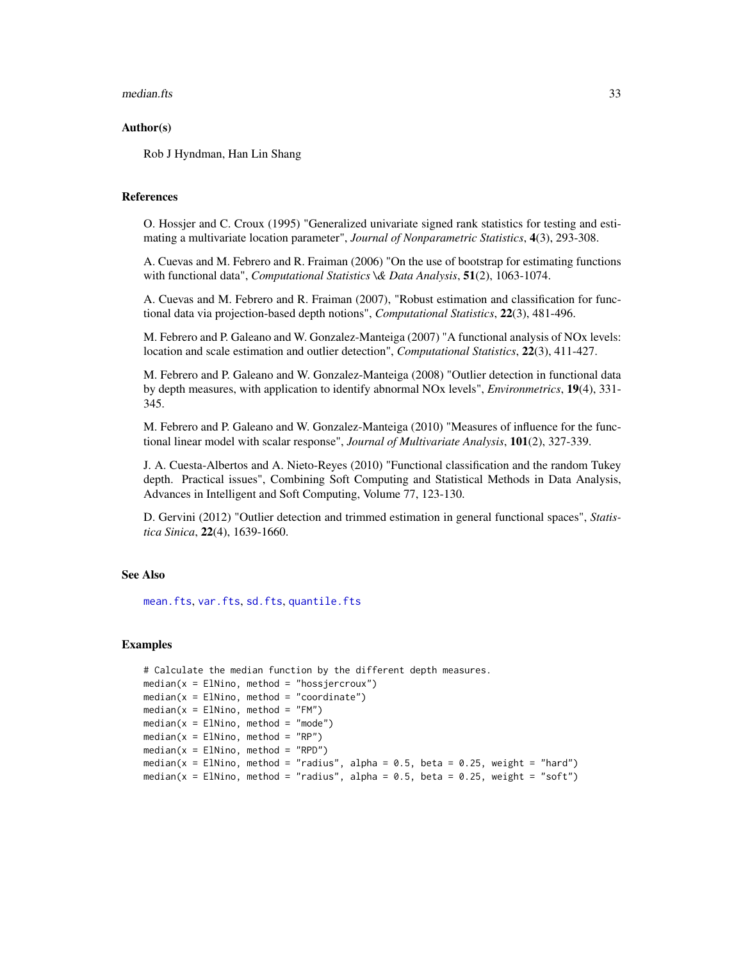#### <span id="page-32-0"></span>median.fts 33

#### Author(s)

Rob J Hyndman, Han Lin Shang

#### References

O. Hossjer and C. Croux (1995) "Generalized univariate signed rank statistics for testing and estimating a multivariate location parameter", *Journal of Nonparametric Statistics*, 4(3), 293-308.

A. Cuevas and M. Febrero and R. Fraiman (2006) "On the use of bootstrap for estimating functions with functional data", *Computational Statistics \& Data Analysis*, 51(2), 1063-1074.

A. Cuevas and M. Febrero and R. Fraiman (2007), "Robust estimation and classification for functional data via projection-based depth notions", *Computational Statistics*, 22(3), 481-496.

M. Febrero and P. Galeano and W. Gonzalez-Manteiga (2007) "A functional analysis of NOx levels: location and scale estimation and outlier detection", *Computational Statistics*, 22(3), 411-427.

M. Febrero and P. Galeano and W. Gonzalez-Manteiga (2008) "Outlier detection in functional data by depth measures, with application to identify abnormal NOx levels", *Environmetrics*, 19(4), 331- 345.

M. Febrero and P. Galeano and W. Gonzalez-Manteiga (2010) "Measures of influence for the functional linear model with scalar response", *Journal of Multivariate Analysis*, 101(2), 327-339.

J. A. Cuesta-Albertos and A. Nieto-Reyes (2010) "Functional classification and the random Tukey depth. Practical issues", Combining Soft Computing and Statistical Methods in Data Analysis, Advances in Intelligent and Soft Computing, Volume 77, 123-130.

D. Gervini (2012) "Outlier detection and trimmed estimation in general functional spaces", *Statistica Sinica*, 22(4), 1639-1660.

### See Also

[mean.fts](#page-29-1), [var.fts](#page-51-1), [sd.fts](#page-47-1), [quantile.fts](#page-44-1)

#### Examples

```
# Calculate the median function by the different depth measures.
median(x = E1Nino, method = "hossjercroux")median(x = EllNino, method = "coordinate")median(x = E1Nino, method = "FM")median(x = E1Nino, method = "mode")median(x = E1Nino, method = "RP")median(x = E1Nino, method = "RPD")median(x = ElNino, method = "radius", alpha = 0.5, beta = 0.25, weight = "hard")
median(x = ElNino, method = "radius", alpha = 0.5, beta = 0.25, weight = "soft")
```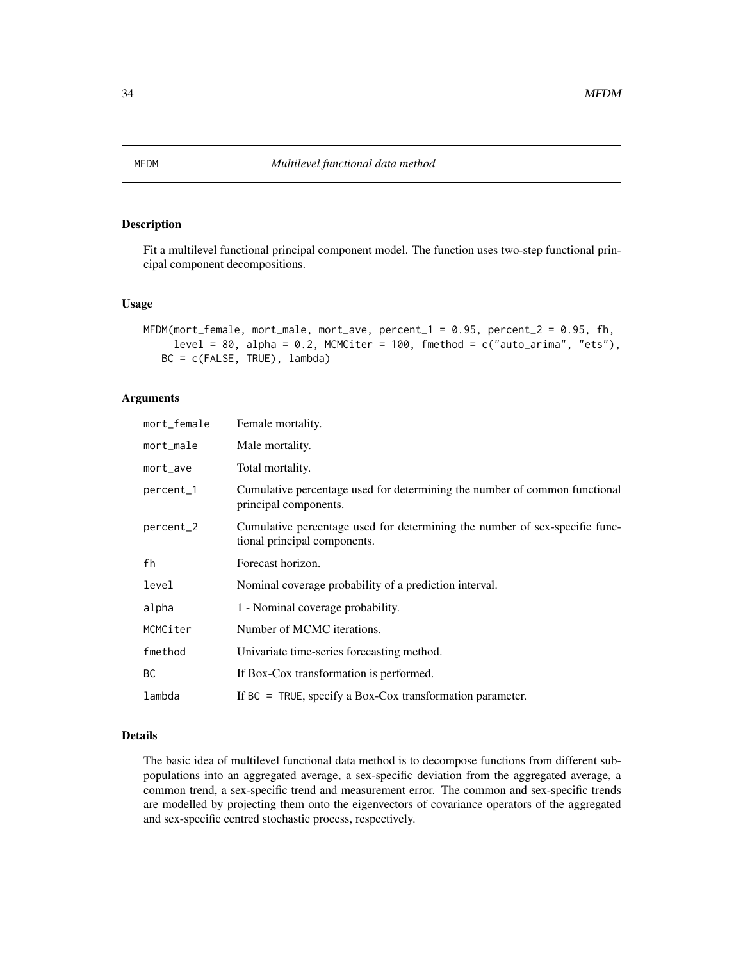<span id="page-33-0"></span>Fit a multilevel functional principal component model. The function uses two-step functional principal component decompositions.

#### Usage

```
MFDM(mort_female, mort_male, mort_ave, percent_1 = 0.95, percent_2 = 0.95, fh,level = 80, alpha = 0.2, MCMCiter = 100, fmethod = c("auto_arrima", "ets"),BC = c(FALSE, TRUE), lambda)
```
### Arguments

| Female mortality.                                                                                           |
|-------------------------------------------------------------------------------------------------------------|
| Male mortality.                                                                                             |
| Total mortality.                                                                                            |
| Cumulative percentage used for determining the number of common functional<br>principal components.         |
| Cumulative percentage used for determining the number of sex-specific func-<br>tional principal components. |
| Forecast horizon.                                                                                           |
| Nominal coverage probability of a prediction interval.                                                      |
| 1 - Nominal coverage probability.                                                                           |
| Number of MCMC iterations.                                                                                  |
| Univariate time-series forecasting method.                                                                  |
| If Box-Cox transformation is performed.                                                                     |
| If $BC = TRUE$ , specify a Box-Cox transformation parameter.                                                |
|                                                                                                             |

#### Details

The basic idea of multilevel functional data method is to decompose functions from different subpopulations into an aggregated average, a sex-specific deviation from the aggregated average, a common trend, a sex-specific trend and measurement error. The common and sex-specific trends are modelled by projecting them onto the eigenvectors of covariance operators of the aggregated and sex-specific centred stochastic process, respectively.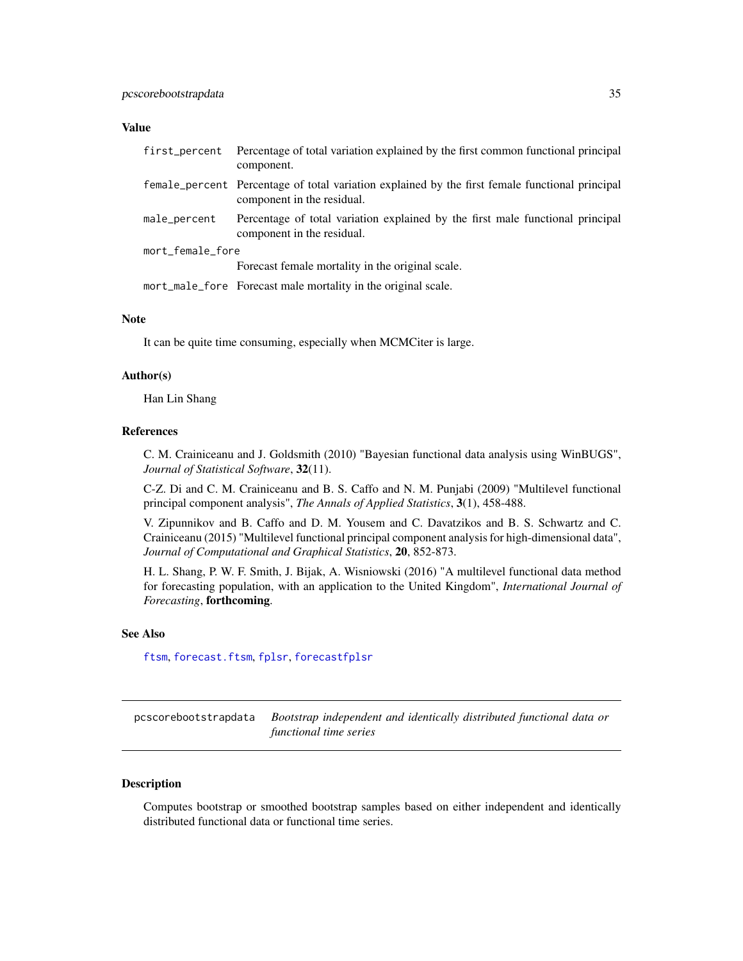### <span id="page-34-0"></span>Value

| first_percent    | Percentage of total variation explained by the first common functional principal<br>component.                                |
|------------------|-------------------------------------------------------------------------------------------------------------------------------|
|                  | female_percent Percentage of total variation explained by the first female functional principal<br>component in the residual. |
| male_percent     | Percentage of total variation explained by the first male functional principal<br>component in the residual.                  |
| mort_female_fore |                                                                                                                               |
|                  | Forecast female mortality in the original scale.                                                                              |
|                  | mort_male_fore Forecast male mortality in the original scale.                                                                 |

### Note

It can be quite time consuming, especially when MCMCiter is large.

#### Author(s)

Han Lin Shang

#### References

C. M. Crainiceanu and J. Goldsmith (2010) "Bayesian functional data analysis using WinBUGS", *Journal of Statistical Software*, 32(11).

C-Z. Di and C. M. Crainiceanu and B. S. Caffo and N. M. Punjabi (2009) "Multilevel functional principal component analysis", *The Annals of Applied Statistics*, 3(1), 458-488.

V. Zipunnikov and B. Caffo and D. M. Yousem and C. Davatzikos and B. S. Schwartz and C. Crainiceanu (2015) "Multilevel functional principal component analysis for high-dimensional data", *Journal of Computational and Graphical Statistics*, 20, 852-873.

H. L. Shang, P. W. F. Smith, J. Bijak, A. Wisniowski (2016) "A multilevel functional data method for forecasting population, with an application to the United Kingdom", *International Journal of Forecasting*, forthcoming.

#### See Also

[ftsm](#page-21-1), [forecast.ftsm](#page-14-1), [fplsr](#page-17-1), [forecastfplsr](#page-16-1)

<span id="page-34-1"></span>pcscorebootstrapdata *Bootstrap independent and identically distributed functional data or functional time series*

#### Description

Computes bootstrap or smoothed bootstrap samples based on either independent and identically distributed functional data or functional time series.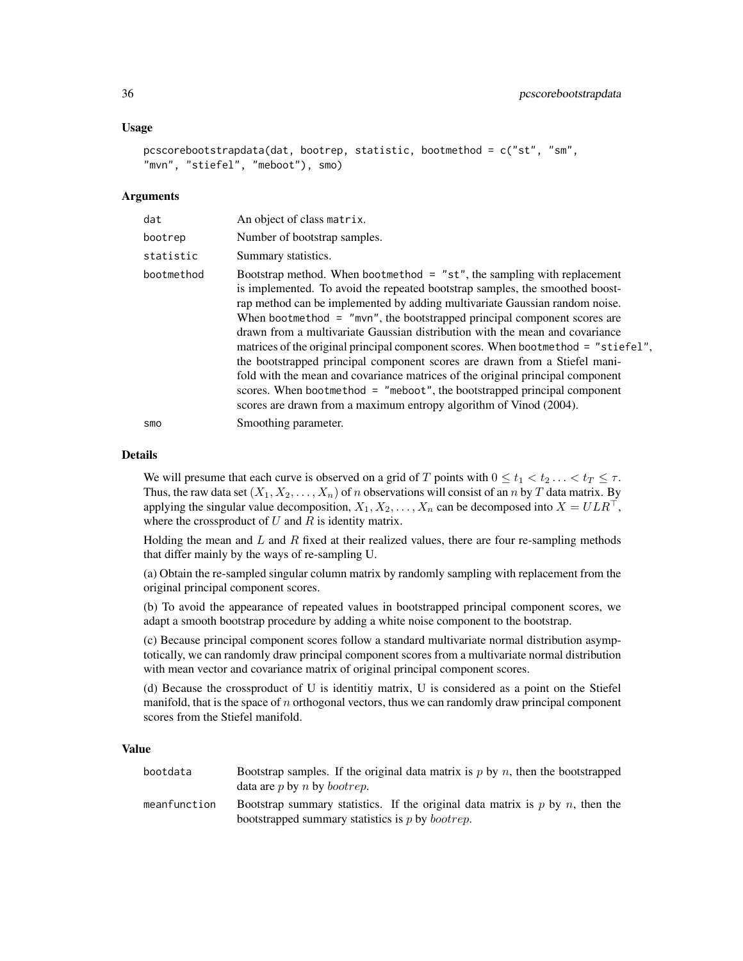#### Usage

```
pcscorebootstrapdata(dat, bootrep, statistic, bootmethod = c("st", "sm",
"mvn", "stiefel", "meboot"), smo)
```
#### Arguments

| dat        | An object of class matrix.                                                                                                                                                                                                                                                                                                                                                                                                                                                                                                                                                                                                                                                                                                                                                                                    |
|------------|---------------------------------------------------------------------------------------------------------------------------------------------------------------------------------------------------------------------------------------------------------------------------------------------------------------------------------------------------------------------------------------------------------------------------------------------------------------------------------------------------------------------------------------------------------------------------------------------------------------------------------------------------------------------------------------------------------------------------------------------------------------------------------------------------------------|
| bootrep    | Number of bootstrap samples.                                                                                                                                                                                                                                                                                                                                                                                                                                                                                                                                                                                                                                                                                                                                                                                  |
| statistic  | Summary statistics.                                                                                                                                                                                                                                                                                                                                                                                                                                                                                                                                                                                                                                                                                                                                                                                           |
| bootmethod | Bootstrap method. When bootmethod $=$ "st", the sampling with replacement<br>is implemented. To avoid the repeated bootstrap samples, the smoothed boost-<br>rap method can be implemented by adding multivariate Gaussian random noise.<br>When bootmethod $=$ "mvn", the bootstrapped principal component scores are<br>drawn from a multivariate Gaussian distribution with the mean and covariance<br>matrices of the original principal component scores. When bootmethod = "stiefel",<br>the bootstrapped principal component scores are drawn from a Stiefel mani-<br>fold with the mean and covariance matrices of the original principal component<br>scores. When bootmethod = "meboot", the bootstrapped principal component<br>scores are drawn from a maximum entropy algorithm of Vinod (2004). |
| smo        | Smoothing parameter.                                                                                                                                                                                                                                                                                                                                                                                                                                                                                                                                                                                                                                                                                                                                                                                          |

#### Details

We will presume that each curve is observed on a grid of T points with  $0 \le t_1 < t_2 \ldots < t_T \le \tau$ . Thus, the raw data set  $(X_1, X_2, \ldots, X_n)$  of n observations will consist of an n by T data matrix. By applying the singular value decomposition,  $X_1, X_2, \ldots, X_n$  can be decomposed into  $X = ULR^{\top}$ , where the crossproduct of  $U$  and  $R$  is identity matrix.

Holding the mean and  $L$  and  $R$  fixed at their realized values, there are four re-sampling methods that differ mainly by the ways of re-sampling U.

(a) Obtain the re-sampled singular column matrix by randomly sampling with replacement from the original principal component scores.

(b) To avoid the appearance of repeated values in bootstrapped principal component scores, we adapt a smooth bootstrap procedure by adding a white noise component to the bootstrap.

(c) Because principal component scores follow a standard multivariate normal distribution asymptotically, we can randomly draw principal component scores from a multivariate normal distribution with mean vector and covariance matrix of original principal component scores.

(d) Because the crossproduct of U is identitiy matrix, U is considered as a point on the Stiefel manifold, that is the space of  $n$  orthogonal vectors, thus we can randomly draw principal component scores from the Stiefel manifold.

#### Value

| bootdata     | Bootstrap samples. If the original data matrix is p by n, then the bootstrapped<br>data are $p$ by $n$ by <i>bootrep</i> .                  |
|--------------|---------------------------------------------------------------------------------------------------------------------------------------------|
| meanfunction | Bootstrap summary statistics. If the original data matrix is p by n, then the<br>bootstrapped summary statistics is $p$ by <i>bootrep</i> . |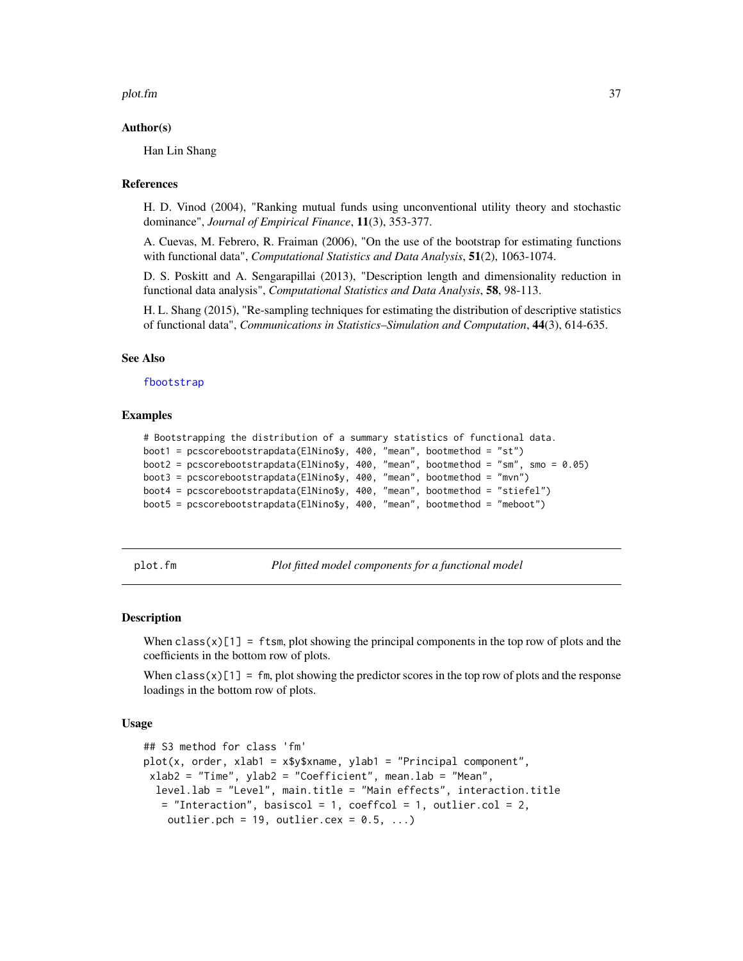#### <span id="page-36-0"></span>plot.fm 37

#### Author(s)

Han Lin Shang

#### References

H. D. Vinod (2004), "Ranking mutual funds using unconventional utility theory and stochastic dominance", *Journal of Empirical Finance*, 11(3), 353-377.

A. Cuevas, M. Febrero, R. Fraiman (2006), "On the use of the bootstrap for estimating functions with functional data", *Computational Statistics and Data Analysis*, 51(2), 1063-1074.

D. S. Poskitt and A. Sengarapillai (2013), "Description length and dimensionality reduction in functional data analysis", *Computational Statistics and Data Analysis*, 58, 98-113.

H. L. Shang (2015), "Re-sampling techniques for estimating the distribution of descriptive statistics of functional data", *Communications in Statistics–Simulation and Computation*, 44(3), 614-635.

#### See Also

[fbootstrap](#page-12-1)

#### Examples

```
# Bootstrapping the distribution of a summary statistics of functional data.
boot1 = pcscorebootstrapdata(ElNino$y, 400, "mean", bootmethod = "st")
boot2 = pcscorebootstrapdata(ElNino$y, 400, "mean", bootmethod = "sm", smo = 0.05)
boot3 = pcscorebootstrapdata(ElNino$y, 400, "mean", bootmethod = "mvn")
boot4 = pcscorebootstrapdata(ElNino$y, 400, "mean", bootmethod = "stiefel")
boot5 = pcscorebootstrapdata(ElNino$y, 400, "mean", bootmethod = "meboot")
```
<span id="page-36-1"></span>plot.fm *Plot fitted model components for a functional model*

#### Description

When class(x)[1] = ftsm, plot showing the principal components in the top row of plots and the coefficients in the bottom row of plots.

When class(x)[1] = fm, plot showing the predictor scores in the top row of plots and the response loadings in the bottom row of plots.

#### Usage

```
## S3 method for class 'fm'
plot(x, order, xlab1 = x$y$xname, ylab1 = "Principal component",
xlab2 = "Time", ylab2 = "Coefficient", mean.lab = "Mean",
  level.lab = "Level", main.title = "Main effects", interaction.title
   = "Interaction", basiscol = 1, coeffcol = 1, outlier.col = 2,
   outlier.pch = 19, outlier.cex = 0.5, ...)
```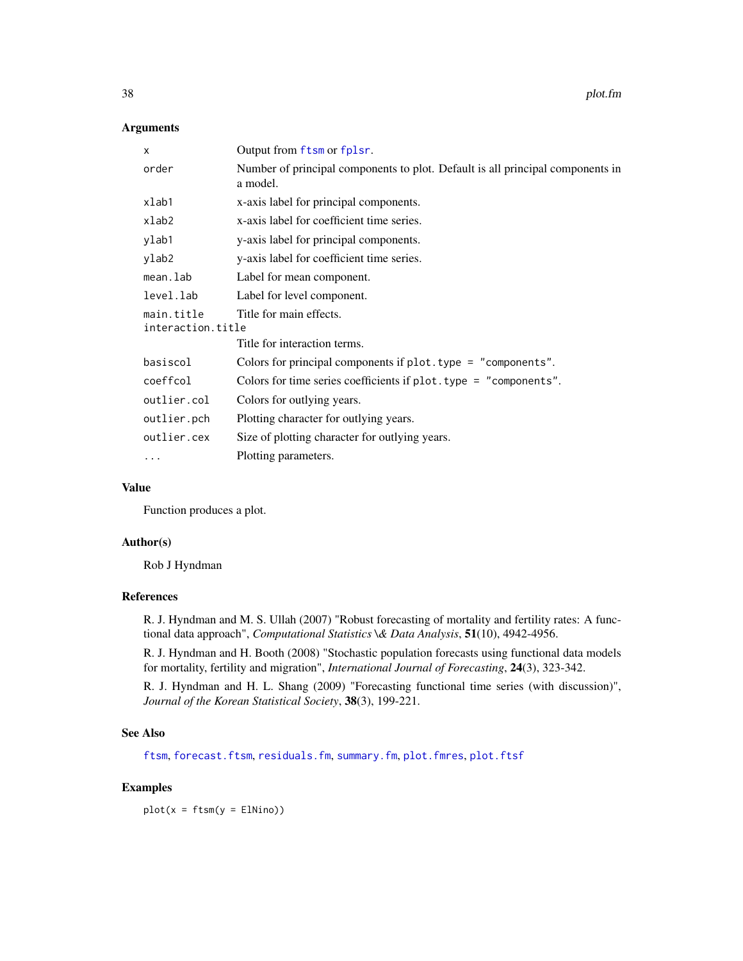#### <span id="page-37-0"></span>Arguments

| X                                                          | Output from ftsm or fplsr.                                                                 |  |
|------------------------------------------------------------|--------------------------------------------------------------------------------------------|--|
| order                                                      | Number of principal components to plot. Default is all principal components in<br>a model. |  |
| xlab1                                                      | x-axis label for principal components.                                                     |  |
| xlab2                                                      | x-axis label for coefficient time series.                                                  |  |
| ylab1                                                      | y-axis label for principal components.                                                     |  |
| ylab2                                                      | y-axis label for coefficient time series.                                                  |  |
| mean.lab                                                   | Label for mean component.                                                                  |  |
| level.lab                                                  | Label for level component.                                                                 |  |
| main.title<br>Title for main effects.<br>interaction.title |                                                                                            |  |
|                                                            | Title for interaction terms.                                                               |  |
| basiscol                                                   | Colors for principal components if plot. type = "components".                              |  |
| coeffcol                                                   | Colors for time series coefficients if plot. type = "components".                          |  |
| outlier.col                                                | Colors for outlying years.                                                                 |  |
| outlier.pch                                                | Plotting character for outlying years.                                                     |  |
| outlier.cex                                                | Size of plotting character for outlying years.                                             |  |
| .                                                          | Plotting parameters.                                                                       |  |

### Value

Function produces a plot.

### Author(s)

Rob J Hyndman

### References

R. J. Hyndman and M. S. Ullah (2007) "Robust forecasting of mortality and fertility rates: A functional data approach", *Computational Statistics \& Data Analysis*, 51(10), 4942-4956.

R. J. Hyndman and H. Booth (2008) "Stochastic population forecasts using functional data models for mortality, fertility and migration", *International Journal of Forecasting*, 24(3), 323-342.

R. J. Hyndman and H. L. Shang (2009) "Forecasting functional time series (with discussion)", *Journal of the Korean Statistical Society*, 38(3), 199-221.

#### See Also

[ftsm](#page-21-1), [forecast.ftsm](#page-14-1), [residuals.fm](#page-45-1), [summary.fm](#page-49-1), [plot.fmres](#page-38-1), [plot.ftsf](#page-39-1)

### Examples

 $plot(x = ftsm(y = E1Nino))$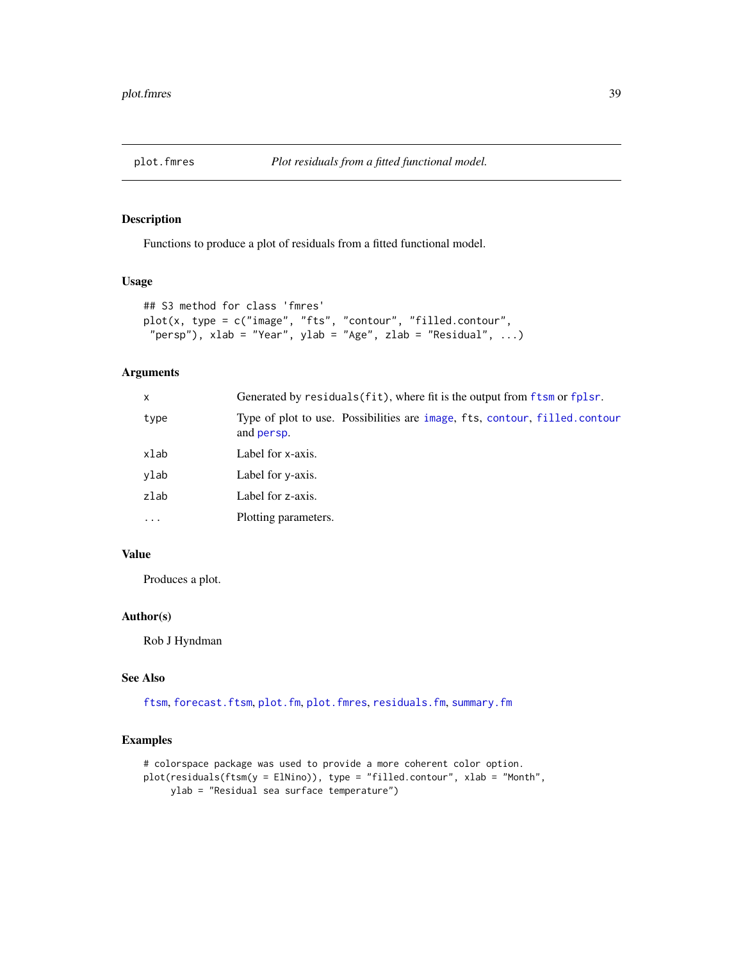<span id="page-38-1"></span><span id="page-38-0"></span>

Functions to produce a plot of residuals from a fitted functional model.

### Usage

```
## S3 method for class 'fmres'
plot(x, type = c("image", "fts", "contour", "filled.contour",
 "persp"), xlab = "Year", ylab = "Age", zlab = "Residual", ...)
```
### Arguments

| $\mathsf{x}$ | Generated by residuals (fit), where fit is the output from ftsm or fplsr.                        |
|--------------|--------------------------------------------------------------------------------------------------|
| type         | Type of plot to use. Possibilities are image, fts, contour, filled.contour<br>and <b>persp</b> . |
| xlab         | Label for x-axis.                                                                                |
| ylab         | Label for y-axis.                                                                                |
| zlab         | Label for z-axis.                                                                                |
| $\ddotsc$    | Plotting parameters.                                                                             |
|              |                                                                                                  |

### Value

Produces a plot.

### Author(s)

Rob J Hyndman

#### See Also

[ftsm](#page-21-1), [forecast.ftsm](#page-14-1), [plot.fm](#page-36-1), [plot.fmres](#page-38-1), [residuals.fm](#page-45-1), [summary.fm](#page-49-1)

### Examples

```
# colorspace package was used to provide a more coherent color option.
plot(residuals(ftsm(y = ElNino)), type = "filled.contour", xlab = "Month",
    ylab = "Residual sea surface temperature")
```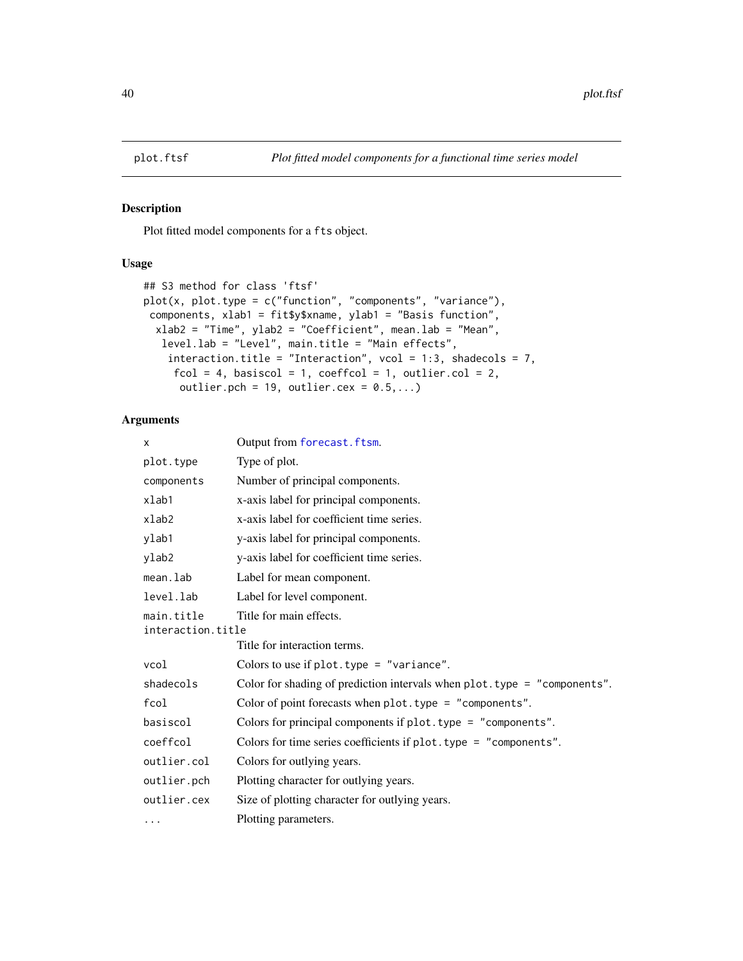<span id="page-39-1"></span><span id="page-39-0"></span>

Plot fitted model components for a fts object.

### Usage

```
## S3 method for class 'ftsf'
plot(x, plot-type = c("function", "components", "variance"),components, xlab1 = fit$y$xname, ylab1 = "Basis function",
 xlab2 = "Time", ylab2 = "Coefficient", mean.lab = "Mean",
   level.lab = "Level", main.title = "Main effects",
   interaction.title = "Interaction", vcol = 1:3, shadecols = 7,
     fcol = 4, basiscol = 1, coeffcol = 1, outlier.col = 2,
     outlier.pch = 19, outlier.cex = 0.5,...)
```
### Arguments

| X                                                          | Output from forecast.ftsm.                                               |  |
|------------------------------------------------------------|--------------------------------------------------------------------------|--|
| plot.type                                                  | Type of plot.                                                            |  |
| components                                                 | Number of principal components.                                          |  |
| xlab1                                                      | x-axis label for principal components.                                   |  |
| xlab2                                                      | x-axis label for coefficient time series.                                |  |
| ylab1                                                      | y-axis label for principal components.                                   |  |
| ylab2                                                      | y-axis label for coefficient time series.                                |  |
| mean.lab                                                   | Label for mean component.                                                |  |
| level.lab                                                  | Label for level component.                                               |  |
| Title for main effects.<br>main.title<br>interaction.title |                                                                          |  |
|                                                            | Title for interaction terms.                                             |  |
| vcol                                                       | Colors to use if $plot-type = "variance".$                               |  |
| shadecols                                                  | Color for shading of prediction intervals when plot.type = "components". |  |
| fcol                                                       | Color of point forecasts when $plot. type = "components".$               |  |
| basiscol                                                   | Colors for principal components if plot. type = "components".            |  |
| coeffcol                                                   | Colors for time series coefficients if plot. type = "components".        |  |
| outlier.col                                                | Colors for outlying years.                                               |  |
| outlier.pch                                                | Plotting character for outlying years.                                   |  |
| outlier.cex                                                | Size of plotting character for outlying years.                           |  |
| .                                                          | Plotting parameters.                                                     |  |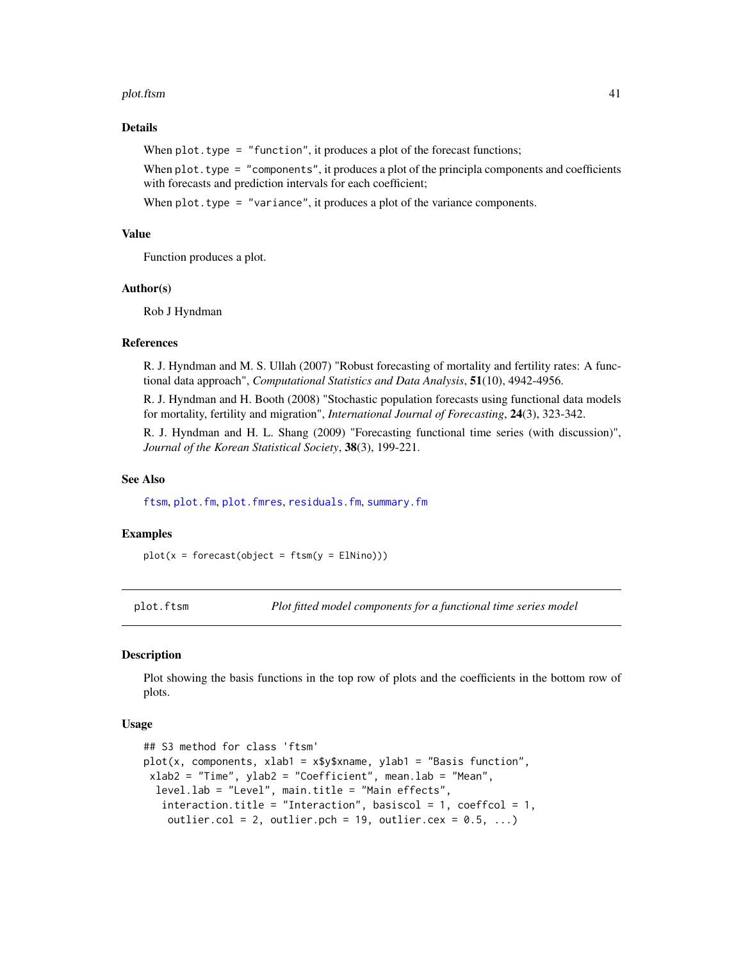#### <span id="page-40-0"></span>plot.ftsm 41

### Details

When  $plot.type = "function", it produces a plot of the forecast functions;$ 

When  $plot.type = "components", it produces a plot of the principal components and coefficients$ with forecasts and prediction intervals for each coefficient;

When  $plot.type = "variance", it produces a plot of the variance components.$ 

### Value

Function produces a plot.

#### Author(s)

Rob J Hyndman

#### References

R. J. Hyndman and M. S. Ullah (2007) "Robust forecasting of mortality and fertility rates: A functional data approach", *Computational Statistics and Data Analysis*, 51(10), 4942-4956.

R. J. Hyndman and H. Booth (2008) "Stochastic population forecasts using functional data models for mortality, fertility and migration", *International Journal of Forecasting*, 24(3), 323-342.

R. J. Hyndman and H. L. Shang (2009) "Forecasting functional time series (with discussion)", *Journal of the Korean Statistical Society*, 38(3), 199-221.

### See Also

[ftsm](#page-21-1), [plot.fm](#page-36-1), [plot.fmres](#page-38-1), [residuals.fm](#page-45-1), [summary.fm](#page-49-1)

#### Examples

 $plot(x = forecast(object = ftsm(y = EllNino)))$ 

plot.ftsm *Plot fitted model components for a functional time series model*

#### Description

Plot showing the basis functions in the top row of plots and the coefficients in the bottom row of plots.

#### Usage

```
## S3 method for class 'ftsm'
plot(x, components, xlab1 = x$y$xname, ylab1 = "Basis function",
xlab2 = "Time", ylab2 = "Coefficient", mean.lab = "Mean",
  level.lab = "Level", main.title = "Main effects",
   interaction.title = "Interaction", basiscol = 1, coeffcol = 1,
   outlier.col = 2, outlier.pch = 19, outlier.cex = 0.5, ...)
```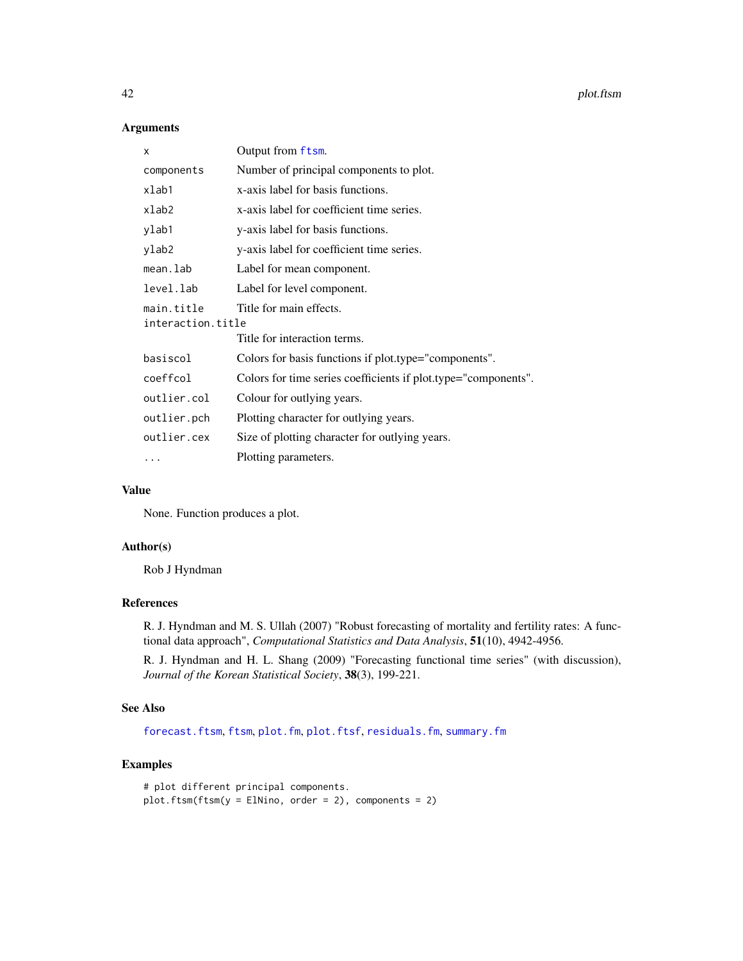### Arguments

| X                               | Output from ftsm.                                              |
|---------------------------------|----------------------------------------------------------------|
| components                      | Number of principal components to plot.                        |
| xlab1                           | x-axis label for basis functions.                              |
| xlab2                           | x-axis label for coefficient time series.                      |
| ylab1                           | y-axis label for basis functions.                              |
| ylab2                           | y-axis label for coefficient time series.                      |
| mean.lab                        | Label for mean component.                                      |
| level.lab                       | Label for level component.                                     |
| main title<br>interaction.title | Title for main effects.                                        |
|                                 | Title for interaction terms.                                   |
| basiscol                        | Colors for basis functions if plot.type="components".          |
| coeffcol                        | Colors for time series coefficients if plot.type="components". |
| outlier.col                     | Colour for outlying years.                                     |
| outlier.pch                     | Plotting character for outlying years.                         |
| outlier.cex                     | Size of plotting character for outlying years.                 |
| .                               | Plotting parameters.                                           |

#### Value

None. Function produces a plot.

### Author(s)

Rob J Hyndman

### References

R. J. Hyndman and M. S. Ullah (2007) "Robust forecasting of mortality and fertility rates: A functional data approach", *Computational Statistics and Data Analysis*, 51(10), 4942-4956.

R. J. Hyndman and H. L. Shang (2009) "Forecasting functional time series" (with discussion), *Journal of the Korean Statistical Society*, 38(3), 199-221.

### See Also

[forecast.ftsm](#page-14-1), [ftsm](#page-21-1), [plot.fm](#page-36-1), [plot.ftsf](#page-39-1), [residuals.fm](#page-45-1), [summary.fm](#page-49-1)

### Examples

```
# plot different principal components.
plot.ftsm(ftsm(y = ElNino, order = 2), components = 2)
```
<span id="page-41-0"></span>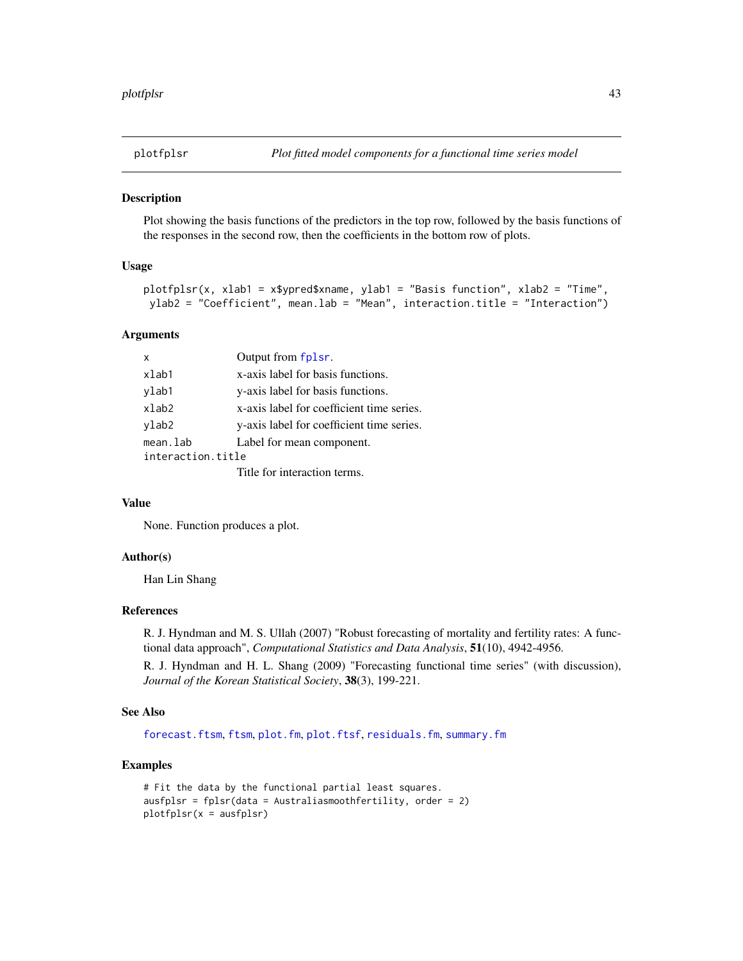<span id="page-42-0"></span>

Plot showing the basis functions of the predictors in the top row, followed by the basis functions of the responses in the second row, then the coefficients in the bottom row of plots.

### Usage

```
plotfplsr(x, xlab1 = x$ypred$xname, ylab1 = "Basis function", xlab2 = "Time",
ylab2 = "Coefficient", mean.lab = "Mean", interaction.title = "Interaction")
```
#### Arguments

| x                 | Output from fplsr.                        |
|-------------------|-------------------------------------------|
| xlab1             | x-axis label for basis functions.         |
| ylab1             | y-axis label for basis functions.         |
| xlab2             | x-axis label for coefficient time series. |
| ylab2             | y-axis label for coefficient time series. |
| mean.lab          | Label for mean component.                 |
| interaction.title |                                           |
|                   | Title for interaction terms.              |

#### Value

None. Function produces a plot.

#### Author(s)

Han Lin Shang

#### References

R. J. Hyndman and M. S. Ullah (2007) "Robust forecasting of mortality and fertility rates: A functional data approach", *Computational Statistics and Data Analysis*, 51(10), 4942-4956.

R. J. Hyndman and H. L. Shang (2009) "Forecasting functional time series" (with discussion), *Journal of the Korean Statistical Society*, 38(3), 199-221.

### See Also

[forecast.ftsm](#page-14-1), [ftsm](#page-21-1), [plot.fm](#page-36-1), [plot.ftsf](#page-39-1), [residuals.fm](#page-45-1), [summary.fm](#page-49-1)

#### Examples

```
# Fit the data by the functional partial least squares.
ausfplsr = fplsr(data = Australiasmoothfertility, order = 2)
plotfplsr(x = ausfplsr)
```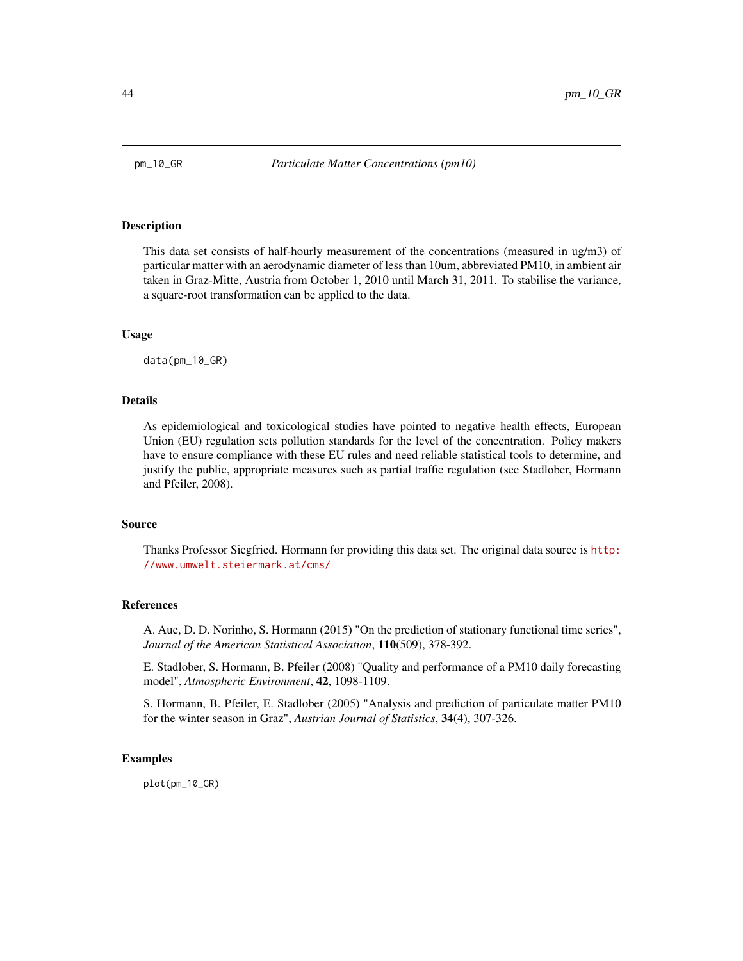<span id="page-43-0"></span>

This data set consists of half-hourly measurement of the concentrations (measured in ug/m3) of particular matter with an aerodynamic diameter of less than 10um, abbreviated PM10, in ambient air taken in Graz-Mitte, Austria from October 1, 2010 until March 31, 2011. To stabilise the variance, a square-root transformation can be applied to the data.

#### Usage

data(pm\_10\_GR)

### Details

As epidemiological and toxicological studies have pointed to negative health effects, European Union (EU) regulation sets pollution standards for the level of the concentration. Policy makers have to ensure compliance with these EU rules and need reliable statistical tools to determine, and justify the public, appropriate measures such as partial traffic regulation (see Stadlober, Hormann and Pfeiler, 2008).

#### Source

Thanks Professor Siegfried. Hormann for providing this data set. The original data source is [http:](http://www.umwelt.steiermark.at/cms/) [//www.umwelt.steiermark.at/cms/](http://www.umwelt.steiermark.at/cms/)

#### References

A. Aue, D. D. Norinho, S. Hormann (2015) "On the prediction of stationary functional time series", *Journal of the American Statistical Association*, 110(509), 378-392.

E. Stadlober, S. Hormann, B. Pfeiler (2008) "Quality and performance of a PM10 daily forecasting model", *Atmospheric Environment*, 42, 1098-1109.

S. Hormann, B. Pfeiler, E. Stadlober (2005) "Analysis and prediction of particulate matter PM10 for the winter season in Graz", *Austrian Journal of Statistics*, 34(4), 307-326.

#### Examples

plot(pm\_10\_GR)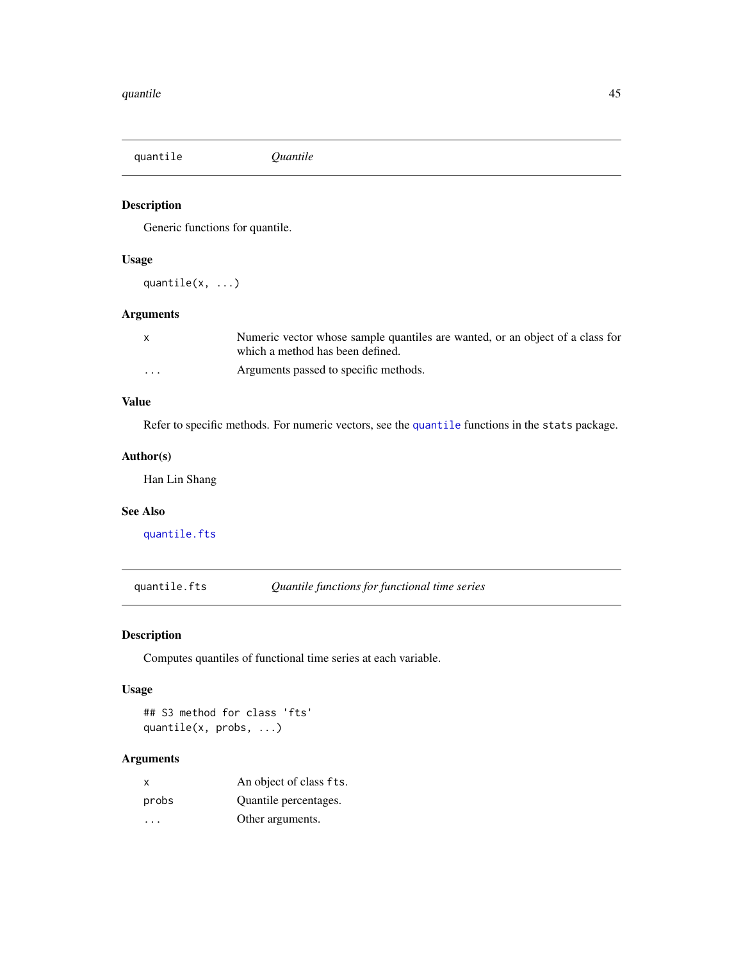<span id="page-44-2"></span><span id="page-44-0"></span>quantile *Quantile*

### Description

Generic functions for quantile.

### Usage

quantile(x, ...)

## Arguments

|          | Numeric vector whose sample quantiles are wanted, or an object of a class for |
|----------|-------------------------------------------------------------------------------|
|          | which a method has been defined.                                              |
| $\cdots$ | Arguments passed to specific methods.                                         |

## Value

Refer to specific methods. For numeric vectors, see the [quantile](#page-44-2) functions in the stats package.

### Author(s)

Han Lin Shang

### See Also

[quantile.fts](#page-44-1)

<span id="page-44-1"></span>quantile.fts *Quantile functions for functional time series*

### Description

Computes quantiles of functional time series at each variable.

### Usage

## S3 method for class 'fts' quantile(x, probs, ...)

## Arguments

| $\mathsf{x}$ | An object of class fts. |
|--------------|-------------------------|
| probs        | Quantile percentages.   |
| .            | Other arguments.        |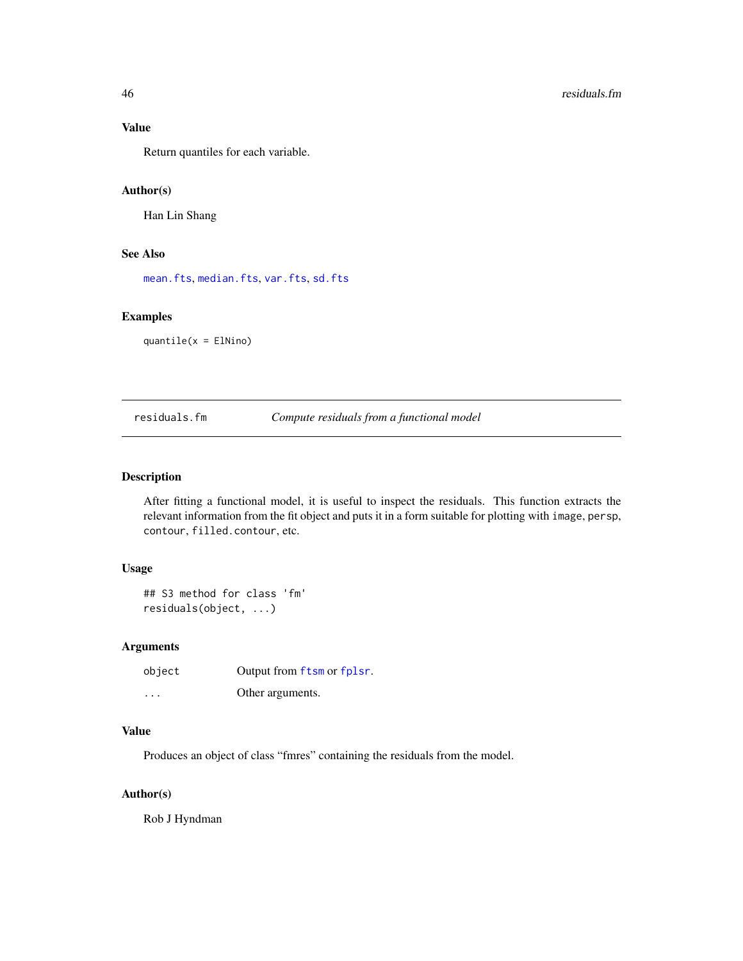### Value

Return quantiles for each variable.

### Author(s)

Han Lin Shang

### See Also

[mean.fts](#page-29-1), [median.fts](#page-31-1), [var.fts](#page-51-1), [sd.fts](#page-47-1)

### Examples

quantile(x = ElNino)

### <span id="page-45-1"></span>residuals.fm *Compute residuals from a functional model*

#### Description

After fitting a functional model, it is useful to inspect the residuals. This function extracts the relevant information from the fit object and puts it in a form suitable for plotting with image, persp, contour, filled.contour, etc.

### Usage

```
## S3 method for class 'fm'
residuals(object, ...)
```
### Arguments

| object                  | Output from ftsm or fplsr. |
|-------------------------|----------------------------|
| $\cdot$ $\cdot$ $\cdot$ | Other arguments.           |

#### Value

Produces an object of class "fmres" containing the residuals from the model.

### Author(s)

Rob J Hyndman

<span id="page-45-0"></span>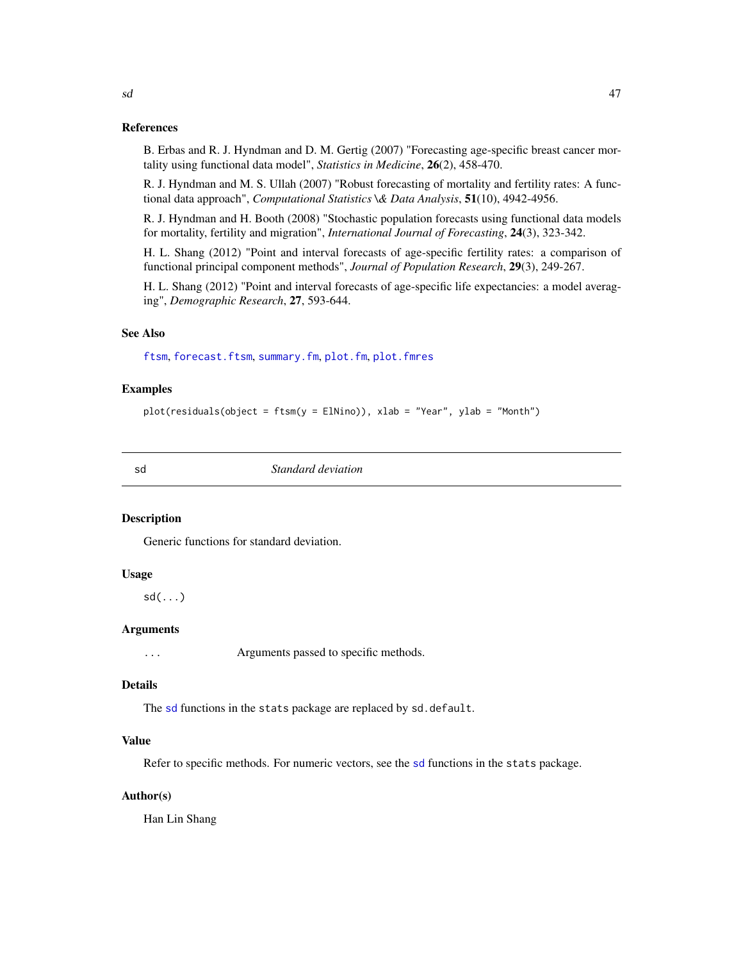#### References

B. Erbas and R. J. Hyndman and D. M. Gertig (2007) "Forecasting age-specific breast cancer mortality using functional data model", *Statistics in Medicine*, 26(2), 458-470.

R. J. Hyndman and M. S. Ullah (2007) "Robust forecasting of mortality and fertility rates: A functional data approach", *Computational Statistics \& Data Analysis*, 51(10), 4942-4956.

R. J. Hyndman and H. Booth (2008) "Stochastic population forecasts using functional data models for mortality, fertility and migration", *International Journal of Forecasting*, 24(3), 323-342.

H. L. Shang (2012) "Point and interval forecasts of age-specific fertility rates: a comparison of functional principal component methods", *Journal of Population Research*, 29(3), 249-267.

H. L. Shang (2012) "Point and interval forecasts of age-specific life expectancies: a model averaging", *Demographic Research*, 27, 593-644.

### See Also

[ftsm](#page-21-1), [forecast.ftsm](#page-14-1), [summary.fm](#page-49-1), [plot.fm](#page-36-1), [plot.fmres](#page-38-1)

### Examples

```
plot(residuals(object = ftsm(y = ElNino)), xlab = "Year", ylab = "Month")
```
<span id="page-46-1"></span>sd *Standard deviation*

### **Description**

Generic functions for standard deviation.

### Usage

sd(...)

### Arguments

... Arguments passed to specific methods.

#### Details

The [sd](#page-46-1) functions in the stats package are replaced by sd.default.

### Value

Refer to specific methods. For numeric vectors, see the [sd](#page-46-1) functions in the stats package.

#### Author(s)

Han Lin Shang

<span id="page-46-0"></span> $sd$  and the set of  $47$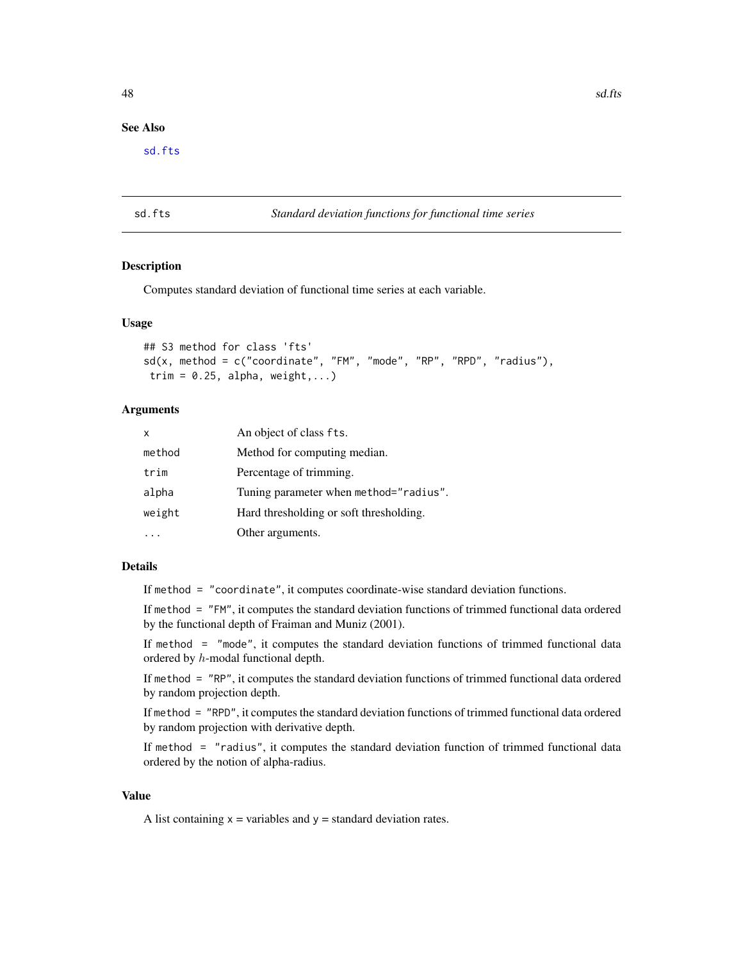### <span id="page-47-0"></span>See Also

[sd.fts](#page-47-1)

### <span id="page-47-1"></span>sd.fts *Standard deviation functions for functional time series*

### Description

Computes standard deviation of functional time series at each variable.

#### Usage

```
## S3 method for class 'fts'
sd(x, \text{ method} = c("coordinate", "FM", "mode", "RP", "RPD", "radius"),trim = 0.25, alpha, weight,...)
```
#### **Arguments**

| $\boldsymbol{\mathsf{x}}$ | An object of class fts.                 |
|---------------------------|-----------------------------------------|
| method                    | Method for computing median.            |
| trim                      | Percentage of trimming.                 |
| alpha                     | Tuning parameter when method="radius".  |
| weight                    | Hard thresholding or soft thresholding. |
|                           | Other arguments.                        |

#### Details

If method = "coordinate", it computes coordinate-wise standard deviation functions.

If method = "FM", it computes the standard deviation functions of trimmed functional data ordered by the functional depth of Fraiman and Muniz (2001).

If method = "mode", it computes the standard deviation functions of trimmed functional data ordered by h-modal functional depth.

If method = "RP", it computes the standard deviation functions of trimmed functional data ordered by random projection depth.

If method = "RPD", it computes the standard deviation functions of trimmed functional data ordered by random projection with derivative depth.

If method = "radius", it computes the standard deviation function of trimmed functional data ordered by the notion of alpha-radius.

### Value

A list containing  $x =$  variables and  $y =$  standard deviation rates.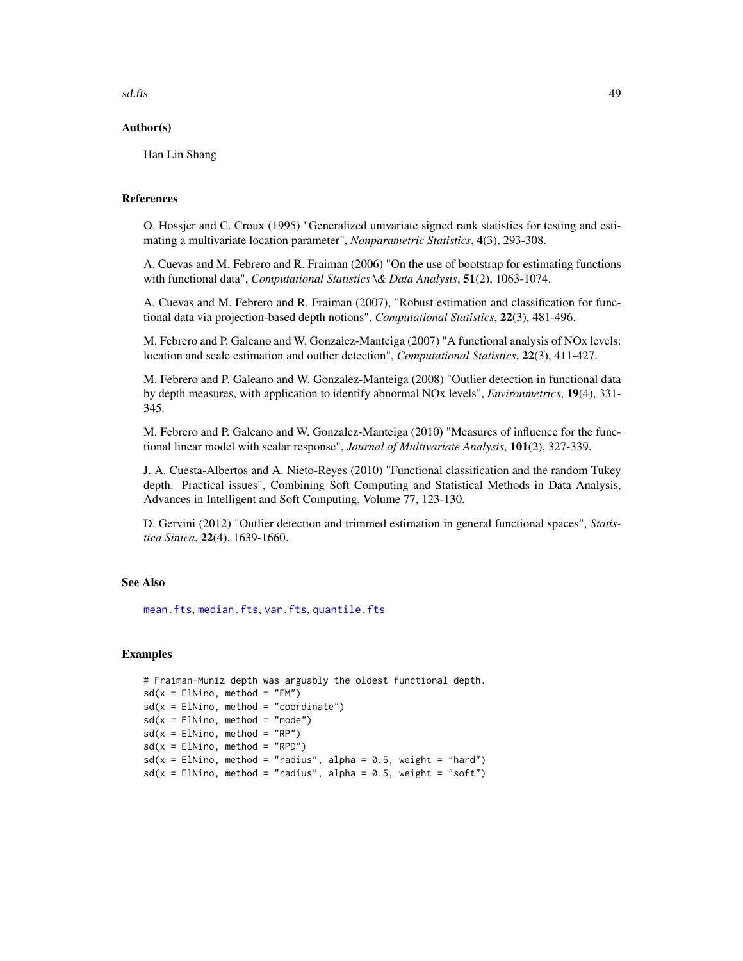<span id="page-48-0"></span> $s$ d.fts  $\frac{49}{2}$ 

#### Author(s)

Han Lin Shang

### References

O. Hossjer and C. Croux (1995) "Generalized univariate signed rank statistics for testing and estimating a multivariate location parameter", *Nonparametric Statistics*, 4(3), 293-308.

A. Cuevas and M. Febrero and R. Fraiman (2006) "On the use of bootstrap for estimating functions with functional data", *Computational Statistics \& Data Analysis*, 51(2), 1063-1074.

A. Cuevas and M. Febrero and R. Fraiman (2007), "Robust estimation and classification for functional data via projection-based depth notions", *Computational Statistics*, 22(3), 481-496.

M. Febrero and P. Galeano and W. Gonzalez-Manteiga (2007) "A functional analysis of NOx levels: location and scale estimation and outlier detection", *Computational Statistics*, 22(3), 411-427.

M. Febrero and P. Galeano and W. Gonzalez-Manteiga (2008) "Outlier detection in functional data by depth measures, with application to identify abnormal NOx levels", *Environmetrics*, 19(4), 331- 345.

M. Febrero and P. Galeano and W. Gonzalez-Manteiga (2010) "Measures of influence for the functional linear model with scalar response", *Journal of Multivariate Analysis*, 101(2), 327-339.

J. A. Cuesta-Albertos and A. Nieto-Reyes (2010) "Functional classification and the random Tukey depth. Practical issues", Combining Soft Computing and Statistical Methods in Data Analysis, Advances in Intelligent and Soft Computing, Volume 77, 123-130.

D. Gervini (2012) "Outlier detection and trimmed estimation in general functional spaces", *Statistica Sinica*, 22(4), 1639-1660.

#### See Also

[mean.fts](#page-29-1), [median.fts](#page-31-1), [var.fts](#page-51-1), [quantile.fts](#page-44-1)

#### Examples

```
# Fraiman-Muniz depth was arguably the oldest functional depth.
sd(x = E1Nino, method = "FM")sd(x = E1Nino, method = "coordinate")sd(x = E1Nino, method = "mode")sd(x = E1Nino, method = "RP")sd(x = E1Nino, method = "RPD")sd(x = E1Nino, method = "radius", alpha = 0.5, weight = "hard")sd(x = E1Nino, method = "radius", alpha = 0.5, weight = "soft")
```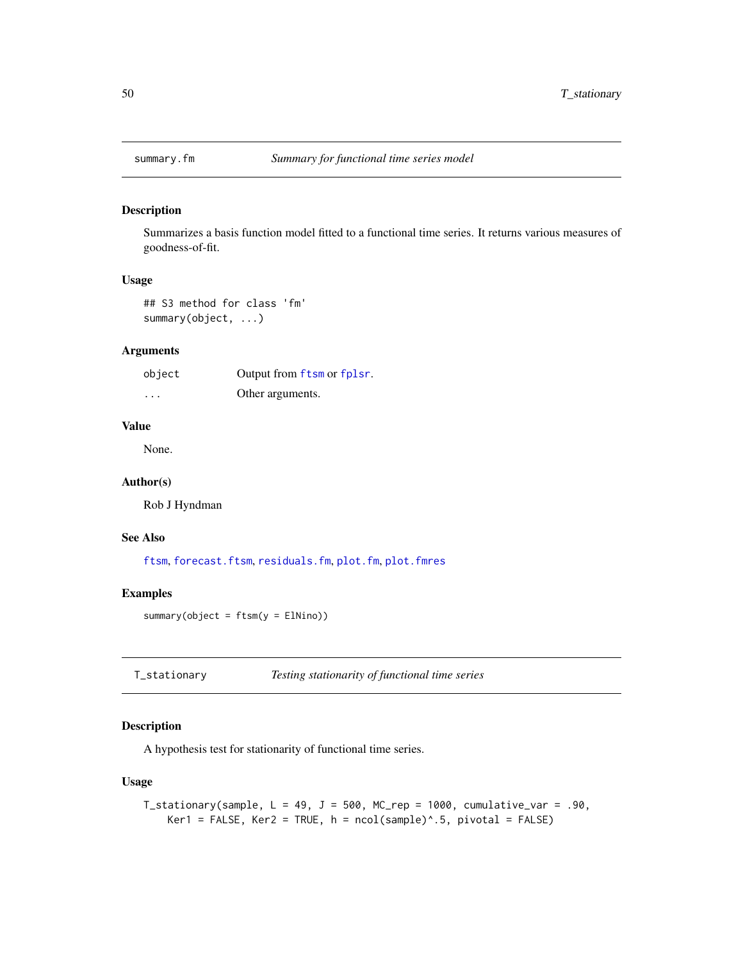<span id="page-49-1"></span><span id="page-49-0"></span>

Summarizes a basis function model fitted to a functional time series. It returns various measures of goodness-of-fit.

### Usage

## S3 method for class 'fm' summary(object, ...)

#### Arguments

| object  | Output from ftsm or fplsr. |
|---------|----------------------------|
| $\cdot$ | Other arguments.           |

### Value

None.

### Author(s)

Rob J Hyndman

### See Also

[ftsm](#page-21-1), [forecast.ftsm](#page-14-1), [residuals.fm](#page-45-1), [plot.fm](#page-36-1), [plot.fmres](#page-38-1)

### Examples

summary(object =  $ftsm(y = Elhino)$ )

T\_stationary *Testing stationarity of functional time series*

### Description

A hypothesis test for stationarity of functional time series.

### Usage

T\_stationary(sample,  $L = 49$ ,  $J = 500$ , MC\_rep = 1000, cumulative\_var = .90, Ker1 = FALSE, Ker2 = TRUE,  $h = \text{ncol}(\text{sample})^{\wedge} .5$ , pivotal = FALSE)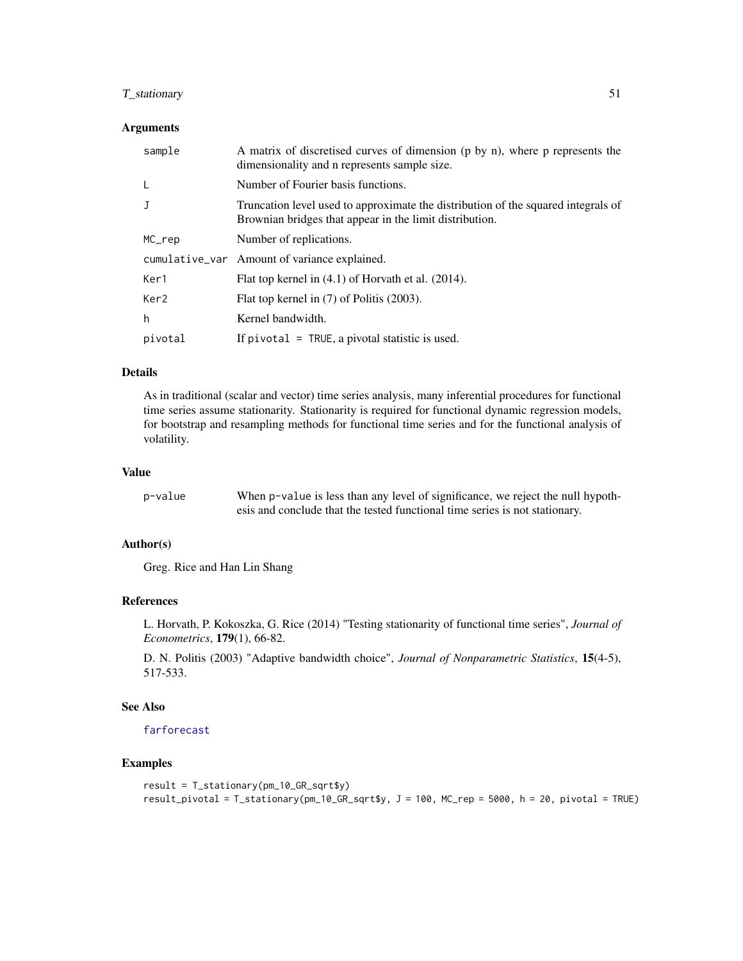### <span id="page-50-0"></span>T\_stationary 51

### Arguments

| sample           | A matrix of discretised curves of dimension (p by n), where p represents the<br>dimensionality and n represents sample size.                 |
|------------------|----------------------------------------------------------------------------------------------------------------------------------------------|
| L                | Number of Fourier basis functions.                                                                                                           |
| J                | Truncation level used to approximate the distribution of the squared integrals of<br>Brownian bridges that appear in the limit distribution. |
| MC_rep           | Number of replications.                                                                                                                      |
|                  | cumulative_var Amount of variance explained.                                                                                                 |
| Ker1             | Flat top kernel in (4.1) of Horvath et al. (2014).                                                                                           |
| Ker <sub>2</sub> | Flat top kernel in (7) of Politis (2003).                                                                                                    |
| h                | Kernel bandwidth.                                                                                                                            |
| pivotal          | If $pivotal = TRUE$ , a pivotal statistic is used.                                                                                           |

#### Details

As in traditional (scalar and vector) time series analysis, many inferential procedures for functional time series assume stationarity. Stationarity is required for functional dynamic regression models, for bootstrap and resampling methods for functional time series and for the functional analysis of volatility.

### Value

| p−value | When p-value is less than any level of significance, we reject the null hypoth- |
|---------|---------------------------------------------------------------------------------|
|         | esis and conclude that the tested functional time series is not stationary.     |

### Author(s)

Greg. Rice and Han Lin Shang

### References

L. Horvath, P. Kokoszka, G. Rice (2014) "Testing stationarity of functional time series", *Journal of Econometrics*, 179(1), 66-82.

D. N. Politis (2003) "Adaptive bandwidth choice", *Journal of Nonparametric Statistics*, 15(4-5), 517-533.

### See Also

[farforecast](#page-11-1)

### Examples

```
result = T_stationary(pm_10_GR_sqrt$y)
result_pivotal = T_stationary(pm_10_GR_sqrt$y, J = 100, MC_rep = 5000, h = 20, pivotal = TRUE)
```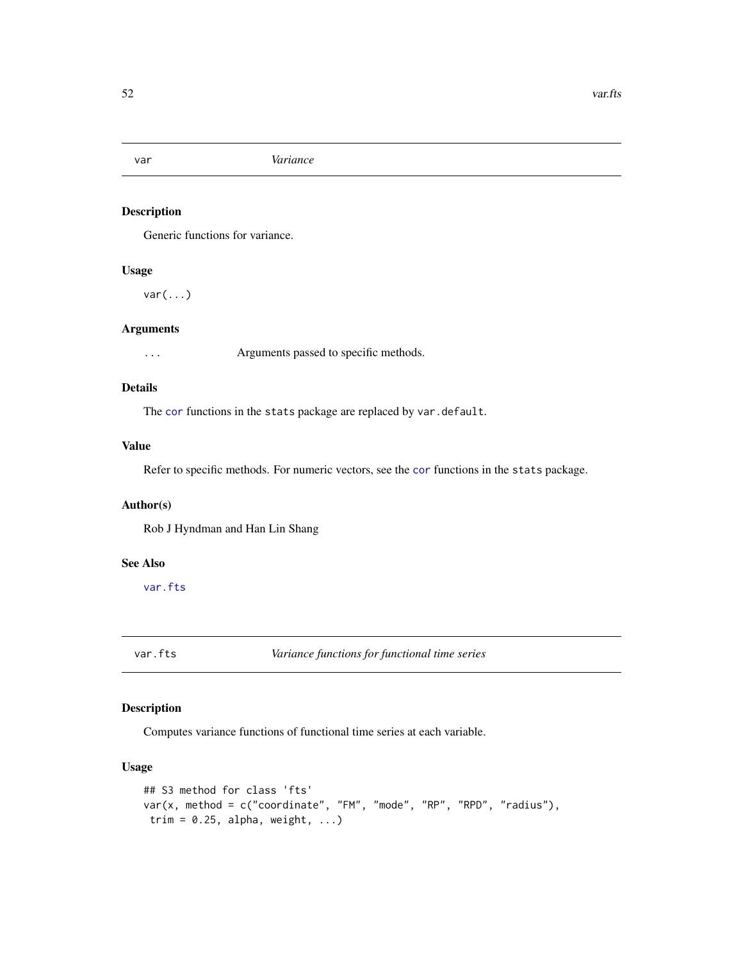<span id="page-51-0"></span>

Generic functions for variance.

### Usage

 $var(...)$ 

### Arguments

... Arguments passed to specific methods.

### Details

The [cor](#page-0-0) functions in the stats package are replaced by var.default.

### Value

Refer to specific methods. For numeric vectors, see the [cor](#page-0-0) functions in the stats package.

### Author(s)

Rob J Hyndman and Han Lin Shang

#### See Also

[var.fts](#page-51-1)

<span id="page-51-1"></span>var.fts *Variance functions for functional time series*

### Description

Computes variance functions of functional time series at each variable.

### Usage

```
## S3 method for class 'fts'
var(x, method = c("coordinate", "FM", "mode", "RP", "RPD", "radius"),
trim = 0.25, alpha, weight, ...)
```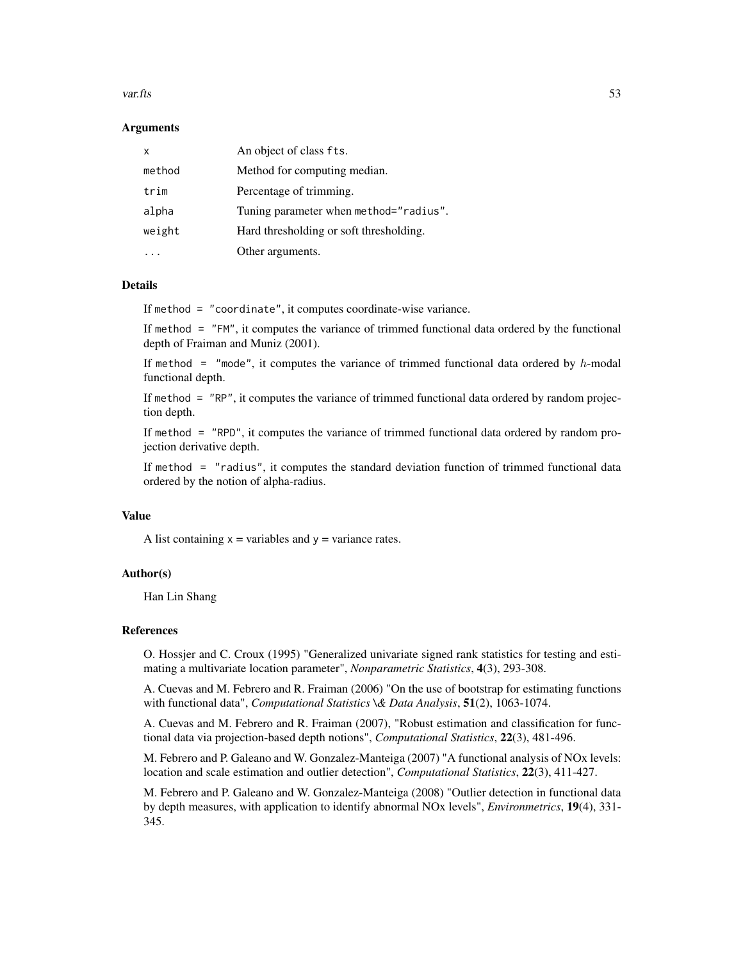#### var.fts 53

#### Arguments

| x      | An object of class fts.                 |
|--------|-----------------------------------------|
| method | Method for computing median.            |
| trim   | Percentage of trimming.                 |
| alpha  | Tuning parameter when method="radius".  |
| weight | Hard thresholding or soft thresholding. |
|        | Other arguments.                        |

### Details

If method = "coordinate", it computes coordinate-wise variance.

If method = "FM", it computes the variance of trimmed functional data ordered by the functional depth of Fraiman and Muniz (2001).

If method  $=$  "mode", it computes the variance of trimmed functional data ordered by h-modal functional depth.

If method = "RP", it computes the variance of trimmed functional data ordered by random projection depth.

If method = "RPD", it computes the variance of trimmed functional data ordered by random projection derivative depth.

If method = "radius", it computes the standard deviation function of trimmed functional data ordered by the notion of alpha-radius.

#### Value

A list containing  $x =$  variables and  $y =$  variance rates.

#### Author(s)

Han Lin Shang

### References

O. Hossjer and C. Croux (1995) "Generalized univariate signed rank statistics for testing and estimating a multivariate location parameter", *Nonparametric Statistics*, 4(3), 293-308.

A. Cuevas and M. Febrero and R. Fraiman (2006) "On the use of bootstrap for estimating functions with functional data", *Computational Statistics \& Data Analysis*, 51(2), 1063-1074.

A. Cuevas and M. Febrero and R. Fraiman (2007), "Robust estimation and classification for functional data via projection-based depth notions", *Computational Statistics*, 22(3), 481-496.

M. Febrero and P. Galeano and W. Gonzalez-Manteiga (2007) "A functional analysis of NOx levels: location and scale estimation and outlier detection", *Computational Statistics*, 22(3), 411-427.

M. Febrero and P. Galeano and W. Gonzalez-Manteiga (2008) "Outlier detection in functional data by depth measures, with application to identify abnormal NOx levels", *Environmetrics*, 19(4), 331- 345.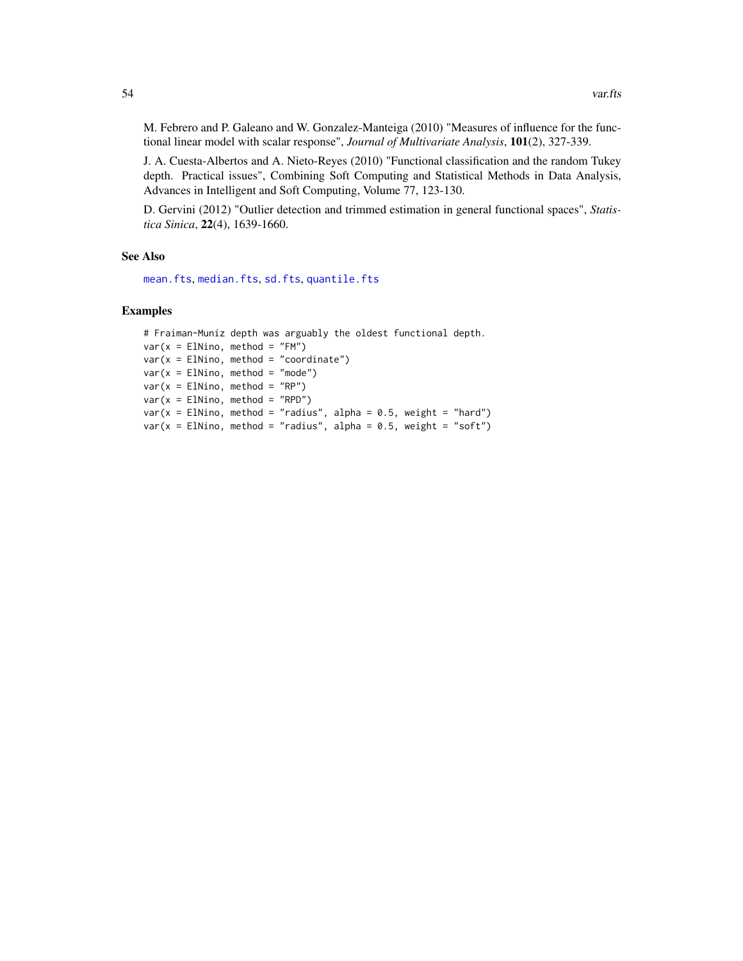<span id="page-53-0"></span>M. Febrero and P. Galeano and W. Gonzalez-Manteiga (2010) "Measures of influence for the functional linear model with scalar response", *Journal of Multivariate Analysis*, 101(2), 327-339.

J. A. Cuesta-Albertos and A. Nieto-Reyes (2010) "Functional classification and the random Tukey depth. Practical issues", Combining Soft Computing and Statistical Methods in Data Analysis, Advances in Intelligent and Soft Computing, Volume 77, 123-130.

D. Gervini (2012) "Outlier detection and trimmed estimation in general functional spaces", *Statistica Sinica*, 22(4), 1639-1660.

#### See Also

```
mean.fts, median.fts, sd.fts, quantile.fts
```
#### Examples

```
# Fraiman-Muniz depth was arguably the oldest functional depth.
var(x = E1Nino, method = "FM")var(x = ElNino, method = "coordinate")var(x = ElNino, method = "mode")var(x = E1Nino, method = "RP")var(x = E1Nino, method = "RPD")var(x = E1Nino, method = "radius", alpha = 0.5, weight = "hard")var(x = E1Nino, method = "radius", alpha = 0.5, weight = "soft")
```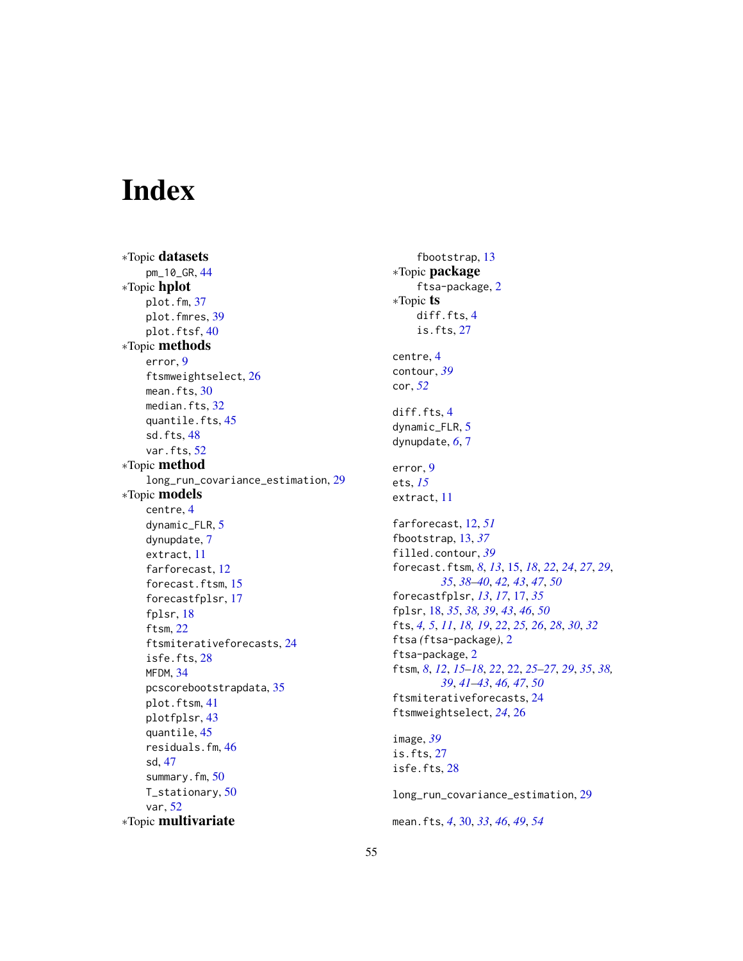# <span id="page-54-0"></span>Index

∗Topic datasets pm\_10\_GR, [44](#page-43-0) ∗Topic hplot plot.fm, [37](#page-36-0) plot.fmres, [39](#page-38-0) plot.ftsf, [40](#page-39-0) ∗Topic methods error, [9](#page-8-0) ftsmweightselect, [26](#page-25-0) mean.fts, [30](#page-29-0) median.fts, [32](#page-31-0) quantile.fts, [45](#page-44-0) sd.fts, [48](#page-47-0) var.fts, [52](#page-51-0) ∗Topic method long\_run\_covariance\_estimation, [29](#page-28-0) ∗Topic models centre, [4](#page-3-0) dynamic\_FLR, [5](#page-4-0) dynupdate, [7](#page-6-0) extract, [11](#page-10-0) farforecast, [12](#page-11-0) forecast.ftsm, [15](#page-14-0) forecastfplsr, [17](#page-16-0) fplsr, [18](#page-17-0) ftsm, [22](#page-21-0) ftsmiterativeforecasts, [24](#page-23-0) isfe.fts, [28](#page-27-0) MFDM, [34](#page-33-0) pcscorebootstrapdata, [35](#page-34-0) plot.ftsm, [41](#page-40-0) plotfplsr, [43](#page-42-0) quantile, [45](#page-44-0) residuals.fm, [46](#page-45-0) sd, [47](#page-46-0) summary.fm, [50](#page-49-0) T\_stationary, [50](#page-49-0) var, [52](#page-51-0) ∗Topic multivariate

fbootstrap, [13](#page-12-0) ∗Topic package ftsa-package, [2](#page-1-0) ∗Topic ts diff.fts, [4](#page-3-0) is.fts, [27](#page-26-0) centre, [4](#page-3-0) contour, *[39](#page-38-0)* cor, *[52](#page-51-0)* diff.fts, [4](#page-3-0) dynamic\_FLR, [5](#page-4-0) dynupdate, *[6](#page-5-0)*, [7](#page-6-0) error, [9](#page-8-0) ets, *[15](#page-14-0)* extract, [11](#page-10-0) farforecast, [12,](#page-11-0) *[51](#page-50-0)* fbootstrap, [13,](#page-12-0) *[37](#page-36-0)* filled.contour, *[39](#page-38-0)* forecast.ftsm, *[8](#page-7-0)*, *[13](#page-12-0)*, [15,](#page-14-0) *[18](#page-17-0)*, *[22](#page-21-0)*, *[24](#page-23-0)*, *[27](#page-26-0)*, *[29](#page-28-0)*, *[35](#page-34-0)*, *[38](#page-37-0)[–40](#page-39-0)*, *[42,](#page-41-0) [43](#page-42-0)*, *[47](#page-46-0)*, *[50](#page-49-0)* forecastfplsr, *[13](#page-12-0)*, *[17](#page-16-0)*, [17,](#page-16-0) *[35](#page-34-0)* fplsr, [18,](#page-17-0) *[35](#page-34-0)*, *[38,](#page-37-0) [39](#page-38-0)*, *[43](#page-42-0)*, *[46](#page-45-0)*, *[50](#page-49-0)* fts, *[4,](#page-3-0) [5](#page-4-0)*, *[11](#page-10-0)*, *[18,](#page-17-0) [19](#page-18-0)*, *[22](#page-21-0)*, *[25,](#page-24-0) [26](#page-25-0)*, *[28](#page-27-0)*, *[30](#page-29-0)*, *[32](#page-31-0)* ftsa *(*ftsa-package*)*, [2](#page-1-0) ftsa-package, [2](#page-1-0) ftsm, *[8](#page-7-0)*, *[12](#page-11-0)*, *[15](#page-14-0)[–18](#page-17-0)*, *[22](#page-21-0)*, [22,](#page-21-0) *[25](#page-24-0)[–27](#page-26-0)*, *[29](#page-28-0)*, *[35](#page-34-0)*, *[38,](#page-37-0) [39](#page-38-0)*, *[41](#page-40-0)[–43](#page-42-0)*, *[46,](#page-45-0) [47](#page-46-0)*, *[50](#page-49-0)* ftsmiterativeforecasts, [24](#page-23-0) ftsmweightselect, *[24](#page-23-0)*, [26](#page-25-0) image, *[39](#page-38-0)* is.fts, [27](#page-26-0) isfe.fts, [28](#page-27-0)

long\_run\_covariance\_estimation, [29](#page-28-0) mean.fts, *[4](#page-3-0)*, [30,](#page-29-0) *[33](#page-32-0)*, *[46](#page-45-0)*, *[49](#page-48-0)*, *[54](#page-53-0)*